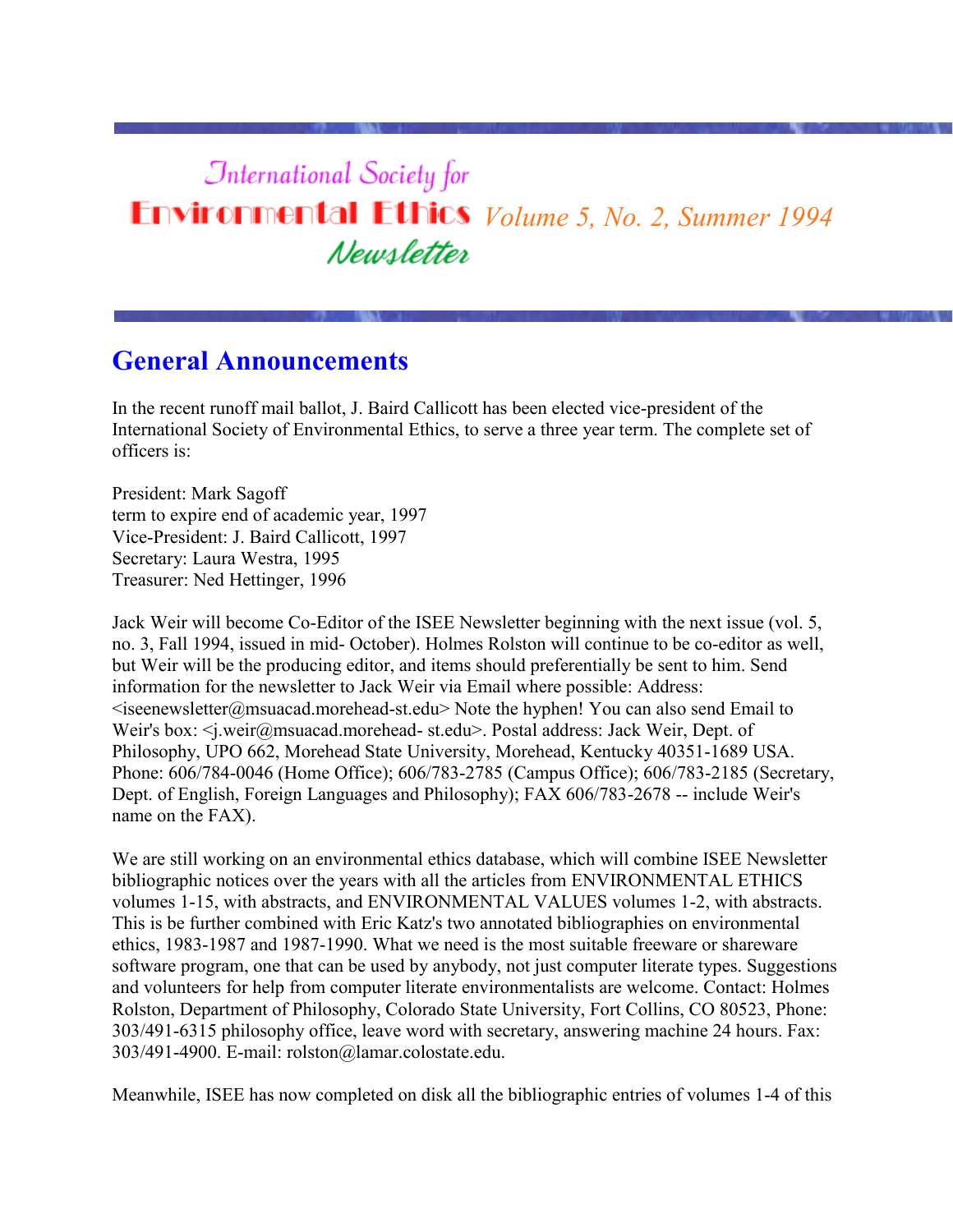# **International Society for Environmental Ethics** *Volume 5, No. 2, Summer 1994* Newsletter

# **General Announcements**

In the recent runoff mail ballot, J. Baird Callicott has been elected vice-president of the International Society of Environmental Ethics, to serve a three year term. The complete set of officers is:

President: Mark Sagoff term to expire end of academic year, 1997 Vice-President: J. Baird Callicott, 1997 Secretary: Laura Westra, 1995 Treasurer: Ned Hettinger, 1996

Jack Weir will become Co-Editor of the ISEE Newsletter beginning with the next issue (vol. 5, no. 3, Fall 1994, issued in mid- October). Holmes Rolston will continue to be co-editor as well, but Weir will be the producing editor, and items should preferentially be sent to him. Send information for the newsletter to Jack Weir via Email where possible: Address:  $\leq$ iseenewsletter@msuacad.morehead-st.edu> Note the hyphen! You can also send Email to Weir's box: <j.weir@msuacad.morehead- st.edu>. Postal address: Jack Weir, Dept. of Philosophy, UPO 662, Morehead State University, Morehead, Kentucky 40351-1689 USA. Phone: 606/784-0046 (Home Office); 606/783-2785 (Campus Office); 606/783-2185 (Secretary, Dept. of English, Foreign Languages and Philosophy); FAX 606/783-2678 -- include Weir's name on the FAX).

We are still working on an environmental ethics database, which will combine ISEE Newsletter bibliographic notices over the years with all the articles from ENVIRONMENTAL ETHICS volumes 1-15, with abstracts, and ENVIRONMENTAL VALUES volumes 1-2, with abstracts. This is be further combined with Eric Katz's two annotated bibliographies on environmental ethics, 1983-1987 and 1987-1990. What we need is the most suitable freeware or shareware software program, one that can be used by anybody, not just computer literate types. Suggestions and volunteers for help from computer literate environmentalists are welcome. Contact: Holmes Rolston, Department of Philosophy, Colorado State University, Fort Collins, CO 80523, Phone: 303/491-6315 philosophy office, leave word with secretary, answering machine 24 hours. Fax: 303/491-4900. E-mail: rolston@lamar.colostate.edu.

Meanwhile, ISEE has now completed on disk all the bibliographic entries of volumes 1-4 of this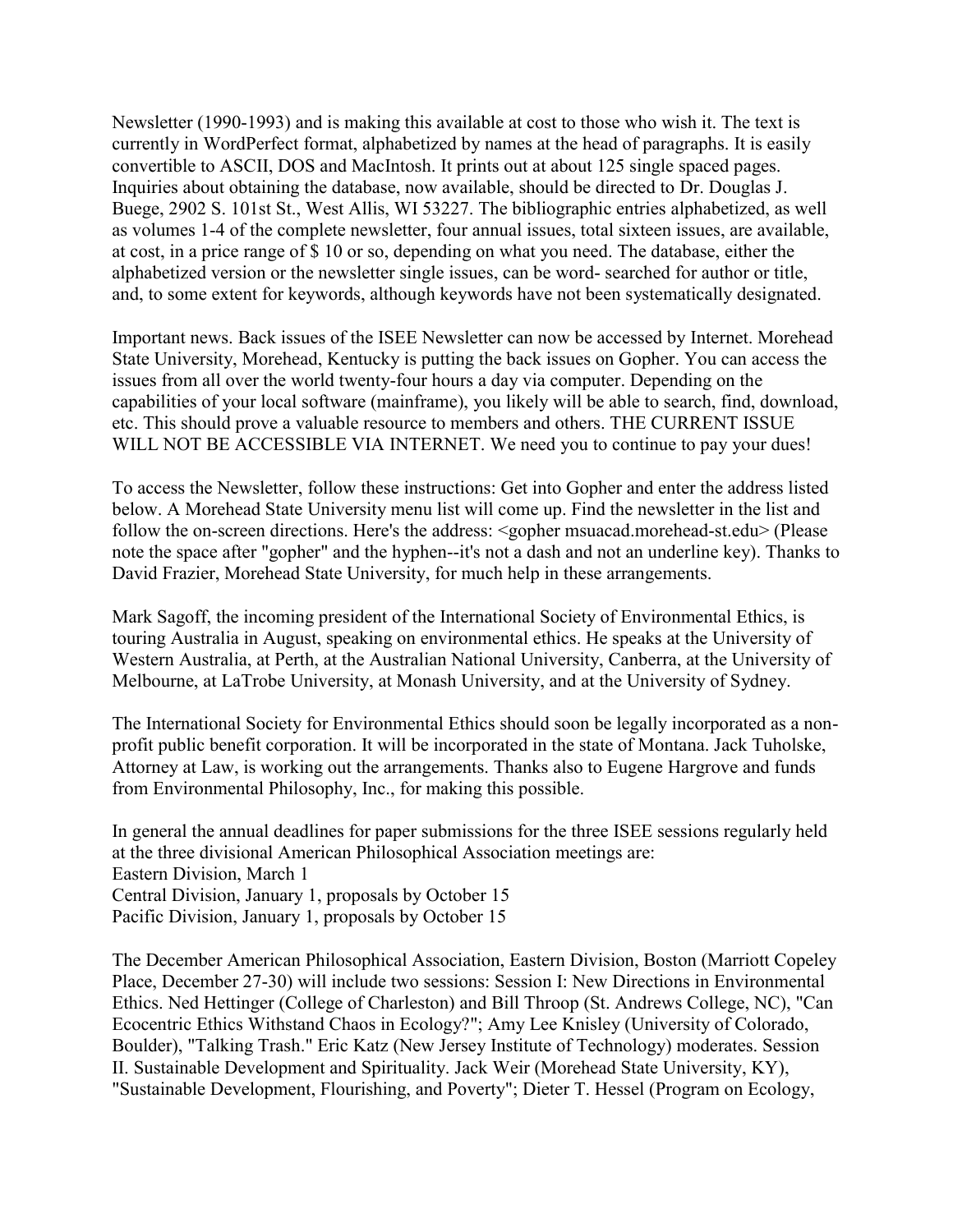Newsletter (1990-1993) and is making this available at cost to those who wish it. The text is currently in WordPerfect format, alphabetized by names at the head of paragraphs. It is easily convertible to ASCII, DOS and MacIntosh. It prints out at about 125 single spaced pages. Inquiries about obtaining the database, now available, should be directed to Dr. Douglas J. Buege, 2902 S. 101st St., West Allis, WI 53227. The bibliographic entries alphabetized, as well as volumes 1-4 of the complete newsletter, four annual issues, total sixteen issues, are available, at cost, in a price range of \$ 10 or so, depending on what you need. The database, either the alphabetized version or the newsletter single issues, can be word- searched for author or title, and, to some extent for keywords, although keywords have not been systematically designated.

Important news. Back issues of the ISEE Newsletter can now be accessed by Internet. Morehead State University, Morehead, Kentucky is putting the back issues on Gopher. You can access the issues from all over the world twenty-four hours a day via computer. Depending on the capabilities of your local software (mainframe), you likely will be able to search, find, download, etc. This should prove a valuable resource to members and others. THE CURRENT ISSUE WILL NOT BE ACCESSIBLE VIA INTERNET. We need you to continue to pay your dues!

To access the Newsletter, follow these instructions: Get into Gopher and enter the address listed below. A Morehead State University menu list will come up. Find the newsletter in the list and follow the on-screen directions. Here's the address: <gopher msuacad.morehead-st.edu> (Please note the space after "gopher" and the hyphen--it's not a dash and not an underline key). Thanks to David Frazier, Morehead State University, for much help in these arrangements.

Mark Sagoff, the incoming president of the International Society of Environmental Ethics, is touring Australia in August, speaking on environmental ethics. He speaks at the University of Western Australia, at Perth, at the Australian National University, Canberra, at the University of Melbourne, at LaTrobe University, at Monash University, and at the University of Sydney.

The International Society for Environmental Ethics should soon be legally incorporated as a nonprofit public benefit corporation. It will be incorporated in the state of Montana. Jack Tuholske, Attorney at Law, is working out the arrangements. Thanks also to Eugene Hargrove and funds from Environmental Philosophy, Inc., for making this possible.

In general the annual deadlines for paper submissions for the three ISEE sessions regularly held at the three divisional American Philosophical Association meetings are: Eastern Division, March 1 Central Division, January 1, proposals by October 15 Pacific Division, January 1, proposals by October 15

The December American Philosophical Association, Eastern Division, Boston (Marriott Copeley Place, December 27-30) will include two sessions: Session I: New Directions in Environmental Ethics. Ned Hettinger (College of Charleston) and Bill Throop (St. Andrews College, NC), "Can Ecocentric Ethics Withstand Chaos in Ecology?"; Amy Lee Knisley (University of Colorado, Boulder), "Talking Trash." Eric Katz (New Jersey Institute of Technology) moderates. Session II. Sustainable Development and Spirituality. Jack Weir (Morehead State University, KY), "Sustainable Development, Flourishing, and Poverty"; Dieter T. Hessel (Program on Ecology,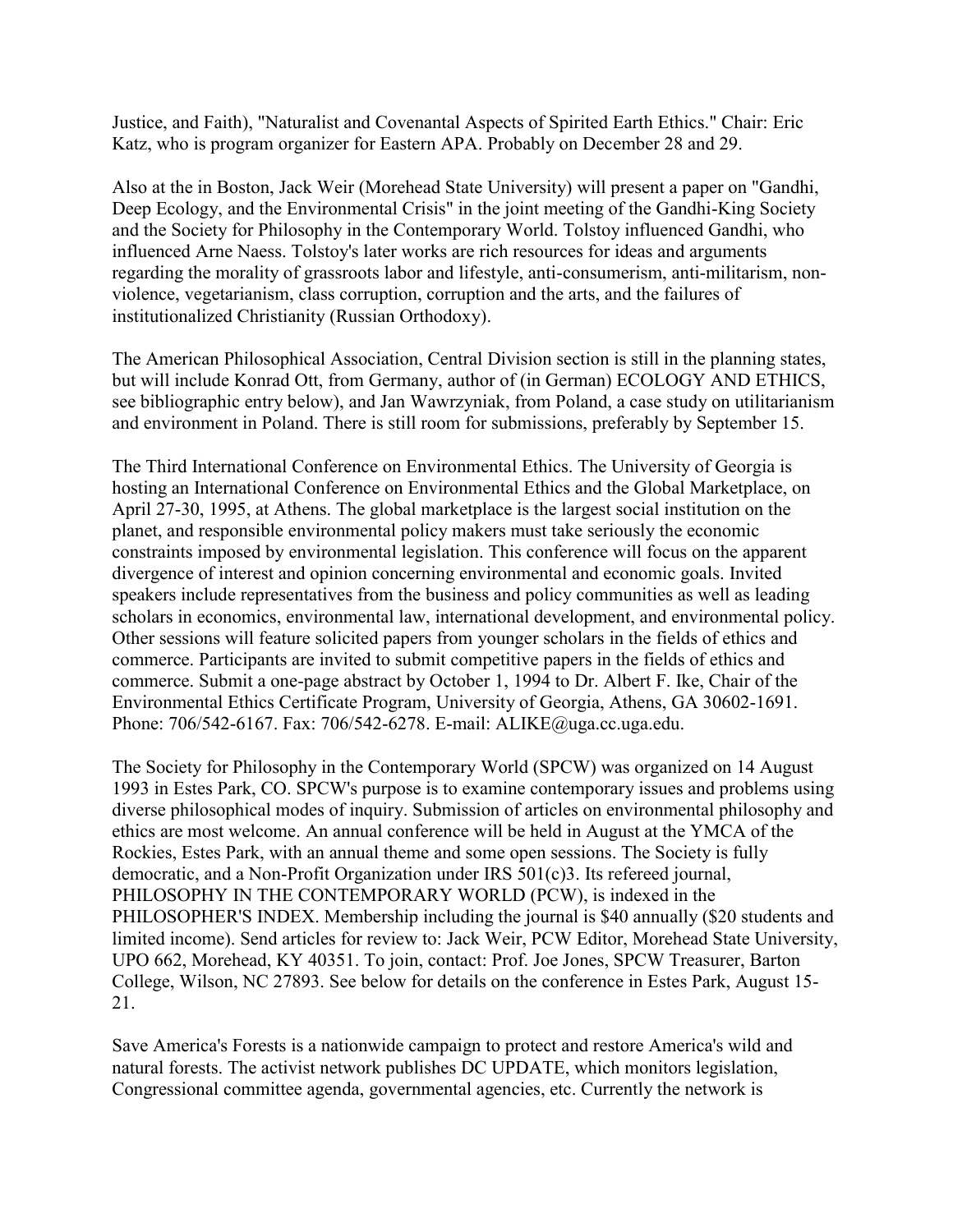Justice, and Faith), "Naturalist and Covenantal Aspects of Spirited Earth Ethics." Chair: Eric Katz, who is program organizer for Eastern APA. Probably on December 28 and 29.

Also at the in Boston, Jack Weir (Morehead State University) will present a paper on "Gandhi, Deep Ecology, and the Environmental Crisis" in the joint meeting of the Gandhi-King Society and the Society for Philosophy in the Contemporary World. Tolstoy influenced Gandhi, who influenced Arne Naess. Tolstoy's later works are rich resources for ideas and arguments regarding the morality of grassroots labor and lifestyle, anti-consumerism, anti-militarism, nonviolence, vegetarianism, class corruption, corruption and the arts, and the failures of institutionalized Christianity (Russian Orthodoxy).

The American Philosophical Association, Central Division section is still in the planning states, but will include Konrad Ott, from Germany, author of (in German) ECOLOGY AND ETHICS, see bibliographic entry below), and Jan Wawrzyniak, from Poland, a case study on utilitarianism and environment in Poland. There is still room for submissions, preferably by September 15.

The Third International Conference on Environmental Ethics. The University of Georgia is hosting an International Conference on Environmental Ethics and the Global Marketplace, on April 27-30, 1995, at Athens. The global marketplace is the largest social institution on the planet, and responsible environmental policy makers must take seriously the economic constraints imposed by environmental legislation. This conference will focus on the apparent divergence of interest and opinion concerning environmental and economic goals. Invited speakers include representatives from the business and policy communities as well as leading scholars in economics, environmental law, international development, and environmental policy. Other sessions will feature solicited papers from younger scholars in the fields of ethics and commerce. Participants are invited to submit competitive papers in the fields of ethics and commerce. Submit a one-page abstract by October 1, 1994 to Dr. Albert F. Ike, Chair of the Environmental Ethics Certificate Program, University of Georgia, Athens, GA 30602-1691. Phone: 706/542-6167. Fax: 706/542-6278. E-mail: ALIKE@uga.cc.uga.edu.

The Society for Philosophy in the Contemporary World (SPCW) was organized on 14 August 1993 in Estes Park, CO. SPCW's purpose is to examine contemporary issues and problems using diverse philosophical modes of inquiry. Submission of articles on environmental philosophy and ethics are most welcome. An annual conference will be held in August at the YMCA of the Rockies, Estes Park, with an annual theme and some open sessions. The Society is fully democratic, and a Non-Profit Organization under IRS 501(c)3. Its refereed journal, PHILOSOPHY IN THE CONTEMPORARY WORLD (PCW), is indexed in the PHILOSOPHER'S INDEX. Membership including the journal is \$40 annually (\$20 students and limited income). Send articles for review to: Jack Weir, PCW Editor, Morehead State University, UPO 662, Morehead, KY 40351. To join, contact: Prof. Joe Jones, SPCW Treasurer, Barton College, Wilson, NC 27893. See below for details on the conference in Estes Park, August 15- 21.

Save America's Forests is a nationwide campaign to protect and restore America's wild and natural forests. The activist network publishes DC UPDATE, which monitors legislation, Congressional committee agenda, governmental agencies, etc. Currently the network is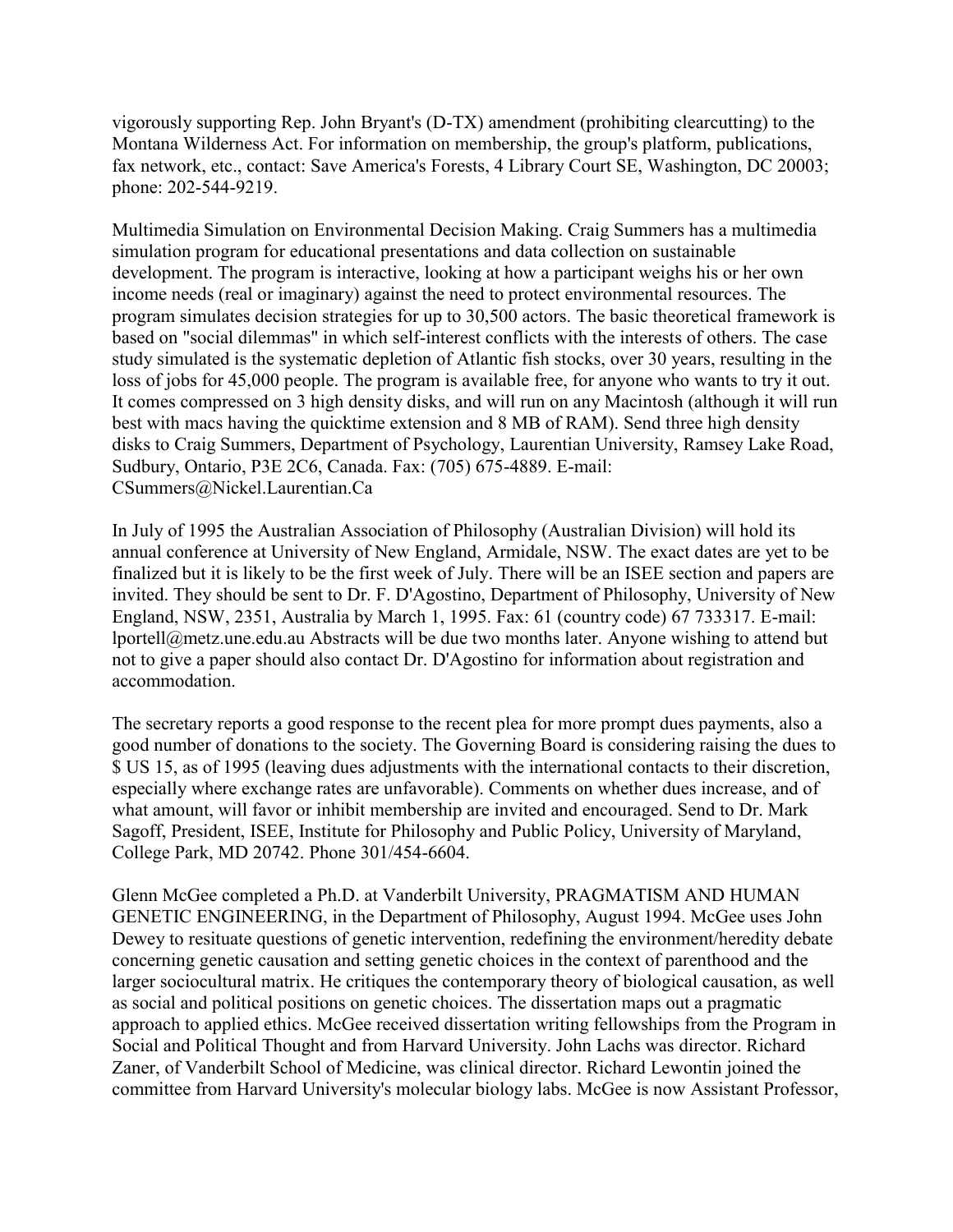vigorously supporting Rep. John Bryant's (D-TX) amendment (prohibiting clearcutting) to the Montana Wilderness Act. For information on membership, the group's platform, publications, fax network, etc., contact: Save America's Forests, 4 Library Court SE, Washington, DC 20003; phone: 202-544-9219.

Multimedia Simulation on Environmental Decision Making. Craig Summers has a multimedia simulation program for educational presentations and data collection on sustainable development. The program is interactive, looking at how a participant weighs his or her own income needs (real or imaginary) against the need to protect environmental resources. The program simulates decision strategies for up to 30,500 actors. The basic theoretical framework is based on "social dilemmas" in which self-interest conflicts with the interests of others. The case study simulated is the systematic depletion of Atlantic fish stocks, over 30 years, resulting in the loss of jobs for 45,000 people. The program is available free, for anyone who wants to try it out. It comes compressed on 3 high density disks, and will run on any Macintosh (although it will run best with macs having the quicktime extension and 8 MB of RAM). Send three high density disks to Craig Summers, Department of Psychology, Laurentian University, Ramsey Lake Road, Sudbury, Ontario, P3E 2C6, Canada. Fax: (705) 675-4889. E-mail: CSummers@Nickel.Laurentian.Ca

In July of 1995 the Australian Association of Philosophy (Australian Division) will hold its annual conference at University of New England, Armidale, NSW. The exact dates are yet to be finalized but it is likely to be the first week of July. There will be an ISEE section and papers are invited. They should be sent to Dr. F. D'Agostino, Department of Philosophy, University of New England, NSW, 2351, Australia by March 1, 1995. Fax: 61 (country code) 67 733317. E-mail: lportell@metz.une.edu.au Abstracts will be due two months later. Anyone wishing to attend but not to give a paper should also contact Dr. D'Agostino for information about registration and accommodation.

The secretary reports a good response to the recent plea for more prompt dues payments, also a good number of donations to the society. The Governing Board is considering raising the dues to \$ US 15, as of 1995 (leaving dues adjustments with the international contacts to their discretion, especially where exchange rates are unfavorable). Comments on whether dues increase, and of what amount, will favor or inhibit membership are invited and encouraged. Send to Dr. Mark Sagoff, President, ISEE, Institute for Philosophy and Public Policy, University of Maryland, College Park, MD 20742. Phone 301/454-6604.

Glenn McGee completed a Ph.D. at Vanderbilt University, PRAGMATISM AND HUMAN GENETIC ENGINEERING, in the Department of Philosophy, August 1994. McGee uses John Dewey to resituate questions of genetic intervention, redefining the environment/heredity debate concerning genetic causation and setting genetic choices in the context of parenthood and the larger sociocultural matrix. He critiques the contemporary theory of biological causation, as well as social and political positions on genetic choices. The dissertation maps out a pragmatic approach to applied ethics. McGee received dissertation writing fellowships from the Program in Social and Political Thought and from Harvard University. John Lachs was director. Richard Zaner, of Vanderbilt School of Medicine, was clinical director. Richard Lewontin joined the committee from Harvard University's molecular biology labs. McGee is now Assistant Professor,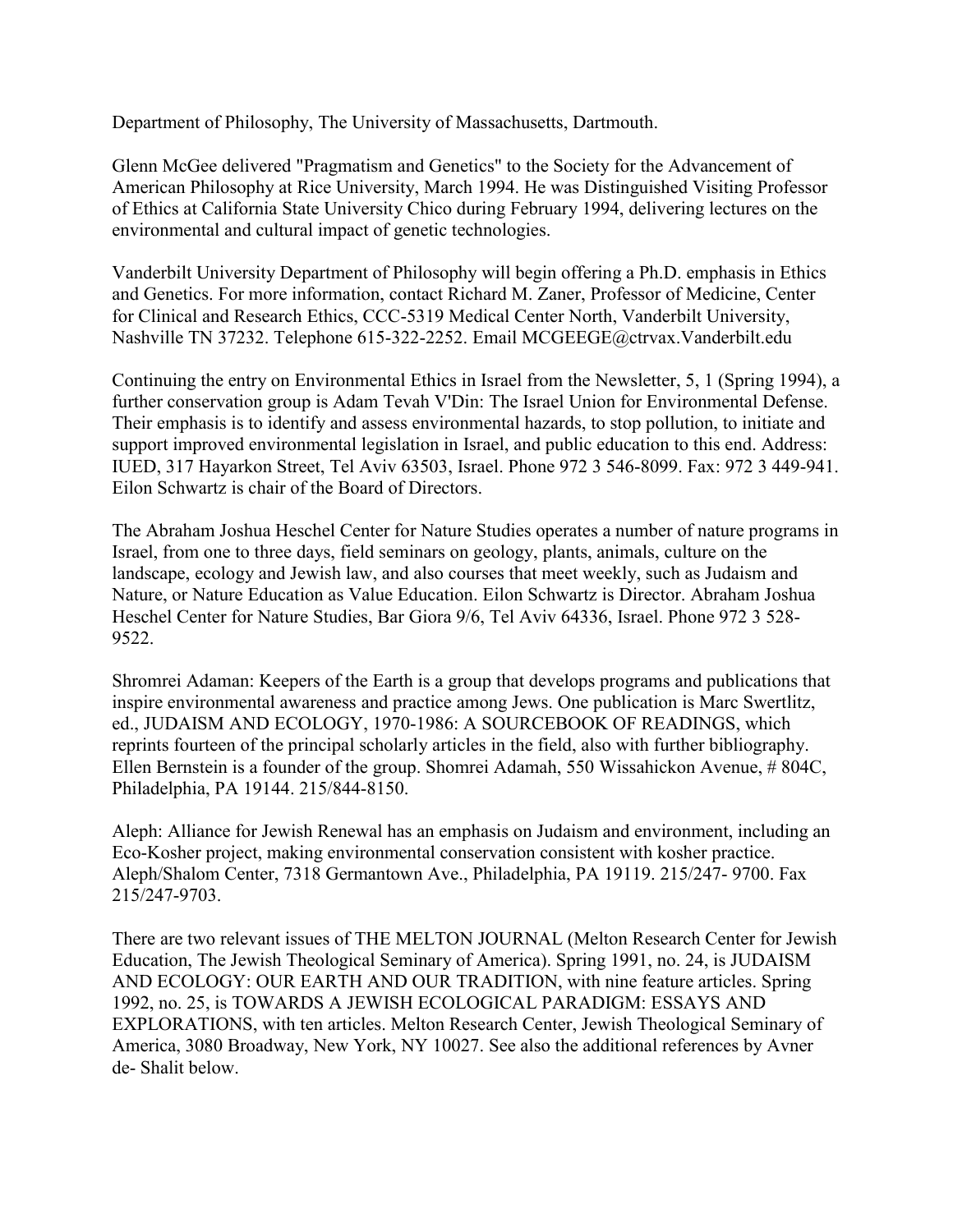Department of Philosophy, The University of Massachusetts, Dartmouth.

Glenn McGee delivered "Pragmatism and Genetics" to the Society for the Advancement of American Philosophy at Rice University, March 1994. He was Distinguished Visiting Professor of Ethics at California State University Chico during February 1994, delivering lectures on the environmental and cultural impact of genetic technologies.

Vanderbilt University Department of Philosophy will begin offering a Ph.D. emphasis in Ethics and Genetics. For more information, contact Richard M. Zaner, Professor of Medicine, Center for Clinical and Research Ethics, CCC-5319 Medical Center North, Vanderbilt University, Nashville TN 37232. Telephone 615-322-2252. Email MCGEEGE@ctrvax.Vanderbilt.edu

Continuing the entry on Environmental Ethics in Israel from the Newsletter, 5, 1 (Spring 1994), a further conservation group is Adam Tevah V'Din: The Israel Union for Environmental Defense. Their emphasis is to identify and assess environmental hazards, to stop pollution, to initiate and support improved environmental legislation in Israel, and public education to this end. Address: IUED, 317 Hayarkon Street, Tel Aviv 63503, Israel. Phone 972 3 546-8099. Fax: 972 3 449-941. Eilon Schwartz is chair of the Board of Directors.

The Abraham Joshua Heschel Center for Nature Studies operates a number of nature programs in Israel, from one to three days, field seminars on geology, plants, animals, culture on the landscape, ecology and Jewish law, and also courses that meet weekly, such as Judaism and Nature, or Nature Education as Value Education. Eilon Schwartz is Director. Abraham Joshua Heschel Center for Nature Studies, Bar Giora 9/6, Tel Aviv 64336, Israel. Phone 972 3 528- 9522.

Shromrei Adaman: Keepers of the Earth is a group that develops programs and publications that inspire environmental awareness and practice among Jews. One publication is Marc Swertlitz, ed., JUDAISM AND ECOLOGY, 1970-1986: A SOURCEBOOK OF READINGS, which reprints fourteen of the principal scholarly articles in the field, also with further bibliography. Ellen Bernstein is a founder of the group. Shomrei Adamah, 550 Wissahickon Avenue, # 804C, Philadelphia, PA 19144. 215/844-8150.

Aleph: Alliance for Jewish Renewal has an emphasis on Judaism and environment, including an Eco-Kosher project, making environmental conservation consistent with kosher practice. Aleph/Shalom Center, 7318 Germantown Ave., Philadelphia, PA 19119. 215/247- 9700. Fax 215/247-9703.

There are two relevant issues of THE MELTON JOURNAL (Melton Research Center for Jewish Education, The Jewish Theological Seminary of America). Spring 1991, no. 24, is JUDAISM AND ECOLOGY: OUR EARTH AND OUR TRADITION, with nine feature articles. Spring 1992, no. 25, is TOWARDS A JEWISH ECOLOGICAL PARADIGM: ESSAYS AND EXPLORATIONS, with ten articles. Melton Research Center, Jewish Theological Seminary of America, 3080 Broadway, New York, NY 10027. See also the additional references by Avner de- Shalit below.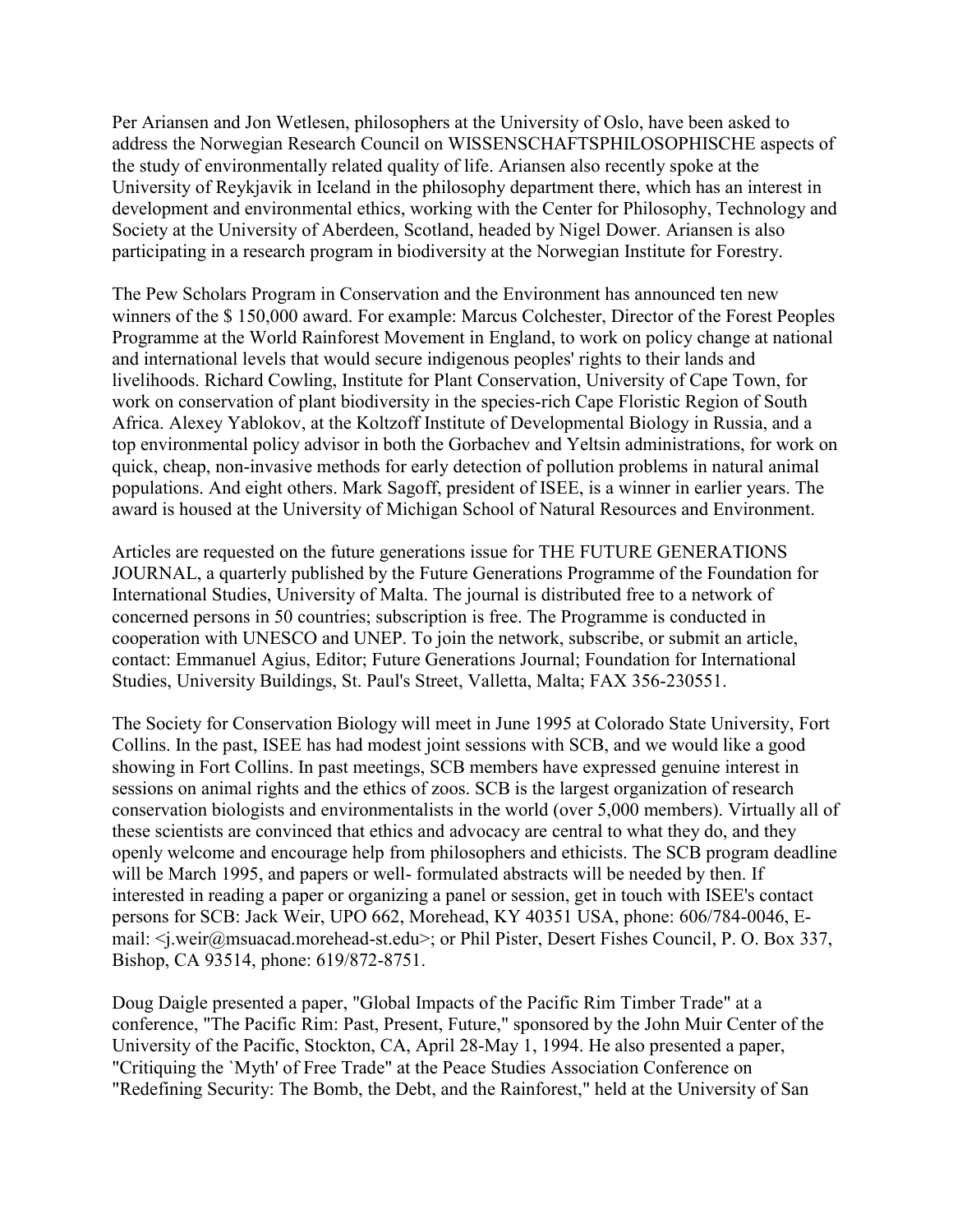Per Ariansen and Jon Wetlesen, philosophers at the University of Oslo, have been asked to address the Norwegian Research Council on WISSENSCHAFTSPHILOSOPHISCHE aspects of the study of environmentally related quality of life. Ariansen also recently spoke at the University of Reykjavik in Iceland in the philosophy department there, which has an interest in development and environmental ethics, working with the Center for Philosophy, Technology and Society at the University of Aberdeen, Scotland, headed by Nigel Dower. Ariansen is also participating in a research program in biodiversity at the Norwegian Institute for Forestry.

The Pew Scholars Program in Conservation and the Environment has announced ten new winners of the \$ 150,000 award. For example: Marcus Colchester, Director of the Forest Peoples Programme at the World Rainforest Movement in England, to work on policy change at national and international levels that would secure indigenous peoples' rights to their lands and livelihoods. Richard Cowling, Institute for Plant Conservation, University of Cape Town, for work on conservation of plant biodiversity in the species-rich Cape Floristic Region of South Africa. Alexey Yablokov, at the Koltzoff Institute of Developmental Biology in Russia, and a top environmental policy advisor in both the Gorbachev and Yeltsin administrations, for work on quick, cheap, non-invasive methods for early detection of pollution problems in natural animal populations. And eight others. Mark Sagoff, president of ISEE, is a winner in earlier years. The award is housed at the University of Michigan School of Natural Resources and Environment.

Articles are requested on the future generations issue for THE FUTURE GENERATIONS JOURNAL, a quarterly published by the Future Generations Programme of the Foundation for International Studies, University of Malta. The journal is distributed free to a network of concerned persons in 50 countries; subscription is free. The Programme is conducted in cooperation with UNESCO and UNEP. To join the network, subscribe, or submit an article, contact: Emmanuel Agius, Editor; Future Generations Journal; Foundation for International Studies, University Buildings, St. Paul's Street, Valletta, Malta; FAX 356-230551.

The Society for Conservation Biology will meet in June 1995 at Colorado State University, Fort Collins. In the past, ISEE has had modest joint sessions with SCB, and we would like a good showing in Fort Collins. In past meetings, SCB members have expressed genuine interest in sessions on animal rights and the ethics of zoos. SCB is the largest organization of research conservation biologists and environmentalists in the world (over 5,000 members). Virtually all of these scientists are convinced that ethics and advocacy are central to what they do, and they openly welcome and encourage help from philosophers and ethicists. The SCB program deadline will be March 1995, and papers or well- formulated abstracts will be needed by then. If interested in reading a paper or organizing a panel or session, get in touch with ISEE's contact persons for SCB: Jack Weir, UPO 662, Morehead, KY 40351 USA, phone: 606/784-0046, Email: <j.weir@msuacad.morehead-st.edu>; or Phil Pister, Desert Fishes Council, P. O. Box 337, Bishop, CA 93514, phone: 619/872-8751.

Doug Daigle presented a paper, "Global Impacts of the Pacific Rim Timber Trade" at a conference, "The Pacific Rim: Past, Present, Future," sponsored by the John Muir Center of the University of the Pacific, Stockton, CA, April 28-May 1, 1994. He also presented a paper, "Critiquing the `Myth' of Free Trade" at the Peace Studies Association Conference on "Redefining Security: The Bomb, the Debt, and the Rainforest," held at the University of San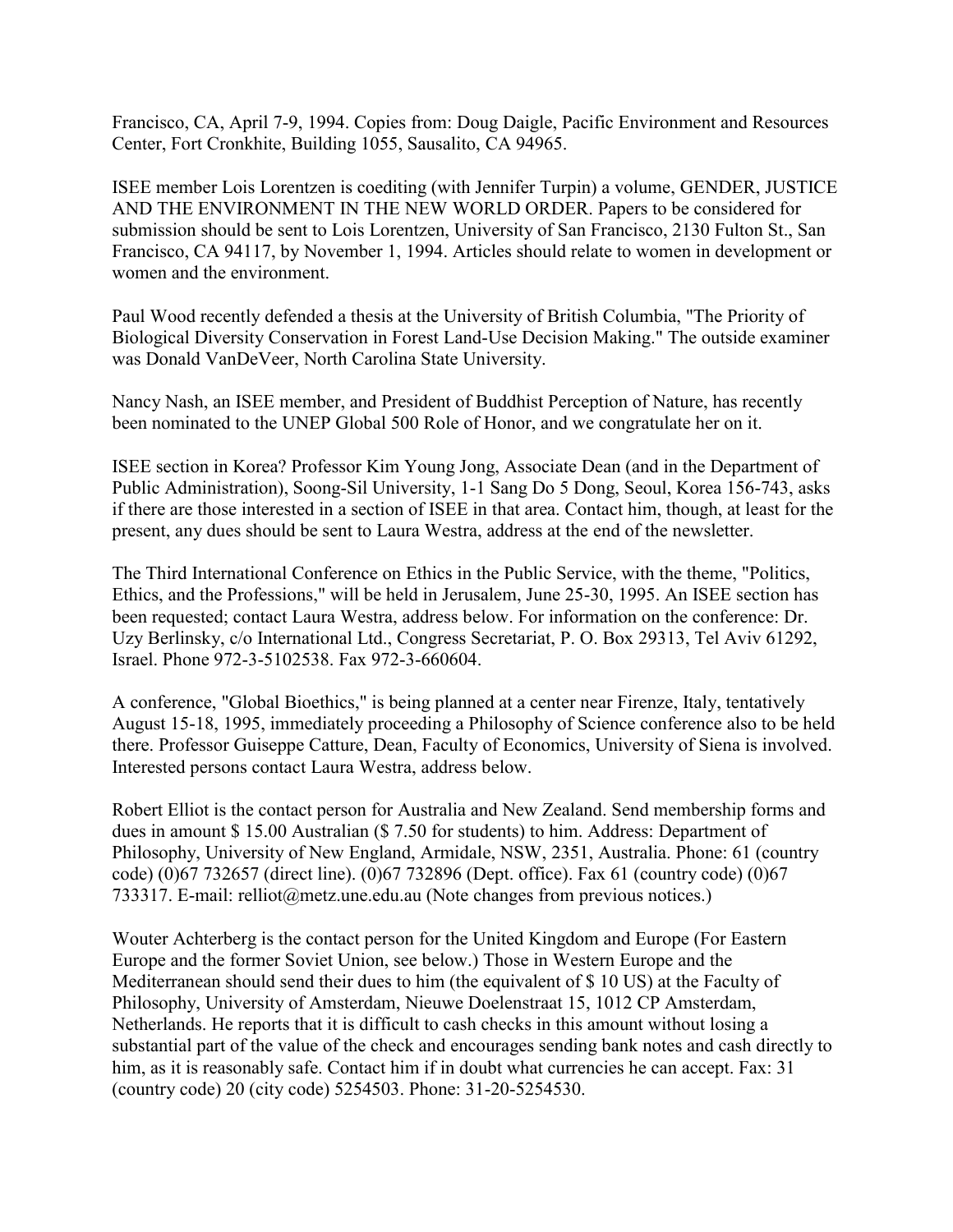Francisco, CA, April 7-9, 1994. Copies from: Doug Daigle, Pacific Environment and Resources Center, Fort Cronkhite, Building 1055, Sausalito, CA 94965.

ISEE member Lois Lorentzen is coediting (with Jennifer Turpin) a volume, GENDER, JUSTICE AND THE ENVIRONMENT IN THE NEW WORLD ORDER. Papers to be considered for submission should be sent to Lois Lorentzen, University of San Francisco, 2130 Fulton St., San Francisco, CA 94117, by November 1, 1994. Articles should relate to women in development or women and the environment.

Paul Wood recently defended a thesis at the University of British Columbia, "The Priority of Biological Diversity Conservation in Forest Land-Use Decision Making." The outside examiner was Donald VanDeVeer, North Carolina State University.

Nancy Nash, an ISEE member, and President of Buddhist Perception of Nature, has recently been nominated to the UNEP Global 500 Role of Honor, and we congratulate her on it.

ISEE section in Korea? Professor Kim Young Jong, Associate Dean (and in the Department of Public Administration), Soong-Sil University, 1-1 Sang Do 5 Dong, Seoul, Korea 156-743, asks if there are those interested in a section of ISEE in that area. Contact him, though, at least for the present, any dues should be sent to Laura Westra, address at the end of the newsletter.

The Third International Conference on Ethics in the Public Service, with the theme, "Politics, Ethics, and the Professions," will be held in Jerusalem, June 25-30, 1995. An ISEE section has been requested; contact Laura Westra, address below. For information on the conference: Dr. Uzy Berlinsky, c/o International Ltd., Congress Secretariat, P. O. Box 29313, Tel Aviv 61292, Israel. Phone 972-3-5102538. Fax 972-3-660604.

A conference, "Global Bioethics," is being planned at a center near Firenze, Italy, tentatively August 15-18, 1995, immediately proceeding a Philosophy of Science conference also to be held there. Professor Guiseppe Catture, Dean, Faculty of Economics, University of Siena is involved. Interested persons contact Laura Westra, address below.

Robert Elliot is the contact person for Australia and New Zealand. Send membership forms and dues in amount \$ 15.00 Australian (\$ 7.50 for students) to him. Address: Department of Philosophy, University of New England, Armidale, NSW, 2351, Australia. Phone: 61 (country code) (0)67 732657 (direct line). (0)67 732896 (Dept. office). Fax 61 (country code) (0)67 733317. E-mail: relliot@metz.une.edu.au (Note changes from previous notices.)

Wouter Achterberg is the contact person for the United Kingdom and Europe (For Eastern Europe and the former Soviet Union, see below.) Those in Western Europe and the Mediterranean should send their dues to him (the equivalent of \$ 10 US) at the Faculty of Philosophy, University of Amsterdam, Nieuwe Doelenstraat 15, 1012 CP Amsterdam, Netherlands. He reports that it is difficult to cash checks in this amount without losing a substantial part of the value of the check and encourages sending bank notes and cash directly to him, as it is reasonably safe. Contact him if in doubt what currencies he can accept. Fax: 31 (country code) 20 (city code) 5254503. Phone: 31-20-5254530.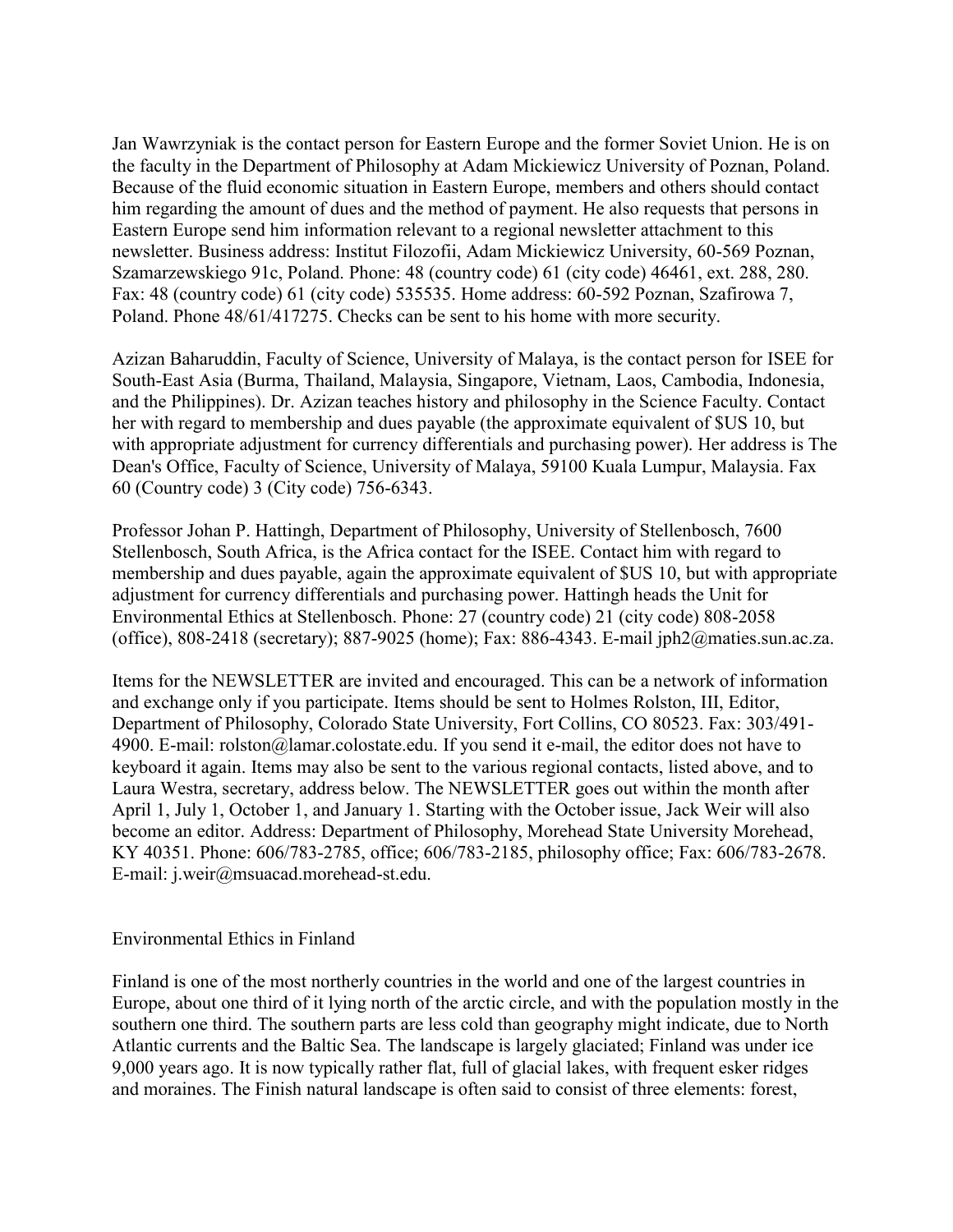Jan Wawrzyniak is the contact person for Eastern Europe and the former Soviet Union. He is on the faculty in the Department of Philosophy at Adam Mickiewicz University of Poznan, Poland. Because of the fluid economic situation in Eastern Europe, members and others should contact him regarding the amount of dues and the method of payment. He also requests that persons in Eastern Europe send him information relevant to a regional newsletter attachment to this newsletter. Business address: Institut Filozofii, Adam Mickiewicz University, 60-569 Poznan, Szamarzewskiego 91c, Poland. Phone: 48 (country code) 61 (city code) 46461, ext. 288, 280. Fax: 48 (country code) 61 (city code) 535535. Home address: 60-592 Poznan, Szafirowa 7, Poland. Phone 48/61/417275. Checks can be sent to his home with more security.

Azizan Baharuddin, Faculty of Science, University of Malaya, is the contact person for ISEE for South-East Asia (Burma, Thailand, Malaysia, Singapore, Vietnam, Laos, Cambodia, Indonesia, and the Philippines). Dr. Azizan teaches history and philosophy in the Science Faculty. Contact her with regard to membership and dues payable (the approximate equivalent of \$US 10, but with appropriate adjustment for currency differentials and purchasing power). Her address is The Dean's Office, Faculty of Science, University of Malaya, 59100 Kuala Lumpur, Malaysia. Fax 60 (Country code) 3 (City code) 756-6343.

Professor Johan P. Hattingh, Department of Philosophy, University of Stellenbosch, 7600 Stellenbosch, South Africa, is the Africa contact for the ISEE. Contact him with regard to membership and dues payable, again the approximate equivalent of \$US 10, but with appropriate adjustment for currency differentials and purchasing power. Hattingh heads the Unit for Environmental Ethics at Stellenbosch. Phone: 27 (country code) 21 (city code) 808-2058 (office), 808-2418 (secretary); 887-9025 (home); Fax: 886-4343. E-mail jph2@maties.sun.ac.za.

Items for the NEWSLETTER are invited and encouraged. This can be a network of information and exchange only if you participate. Items should be sent to Holmes Rolston, III, Editor, Department of Philosophy, Colorado State University, Fort Collins, CO 80523. Fax: 303/491- 4900. E-mail: rolston@lamar.colostate.edu. If you send it e-mail, the editor does not have to keyboard it again. Items may also be sent to the various regional contacts, listed above, and to Laura Westra, secretary, address below. The NEWSLETTER goes out within the month after April 1, July 1, October 1, and January 1. Starting with the October issue, Jack Weir will also become an editor. Address: Department of Philosophy, Morehead State University Morehead, KY 40351. Phone: 606/783-2785, office; 606/783-2185, philosophy office; Fax: 606/783-2678. E-mail: j.weir@msuacad.morehead-st.edu.

#### Environmental Ethics in Finland

Finland is one of the most northerly countries in the world and one of the largest countries in Europe, about one third of it lying north of the arctic circle, and with the population mostly in the southern one third. The southern parts are less cold than geography might indicate, due to North Atlantic currents and the Baltic Sea. The landscape is largely glaciated; Finland was under ice 9,000 years ago. It is now typically rather flat, full of glacial lakes, with frequent esker ridges and moraines. The Finish natural landscape is often said to consist of three elements: forest,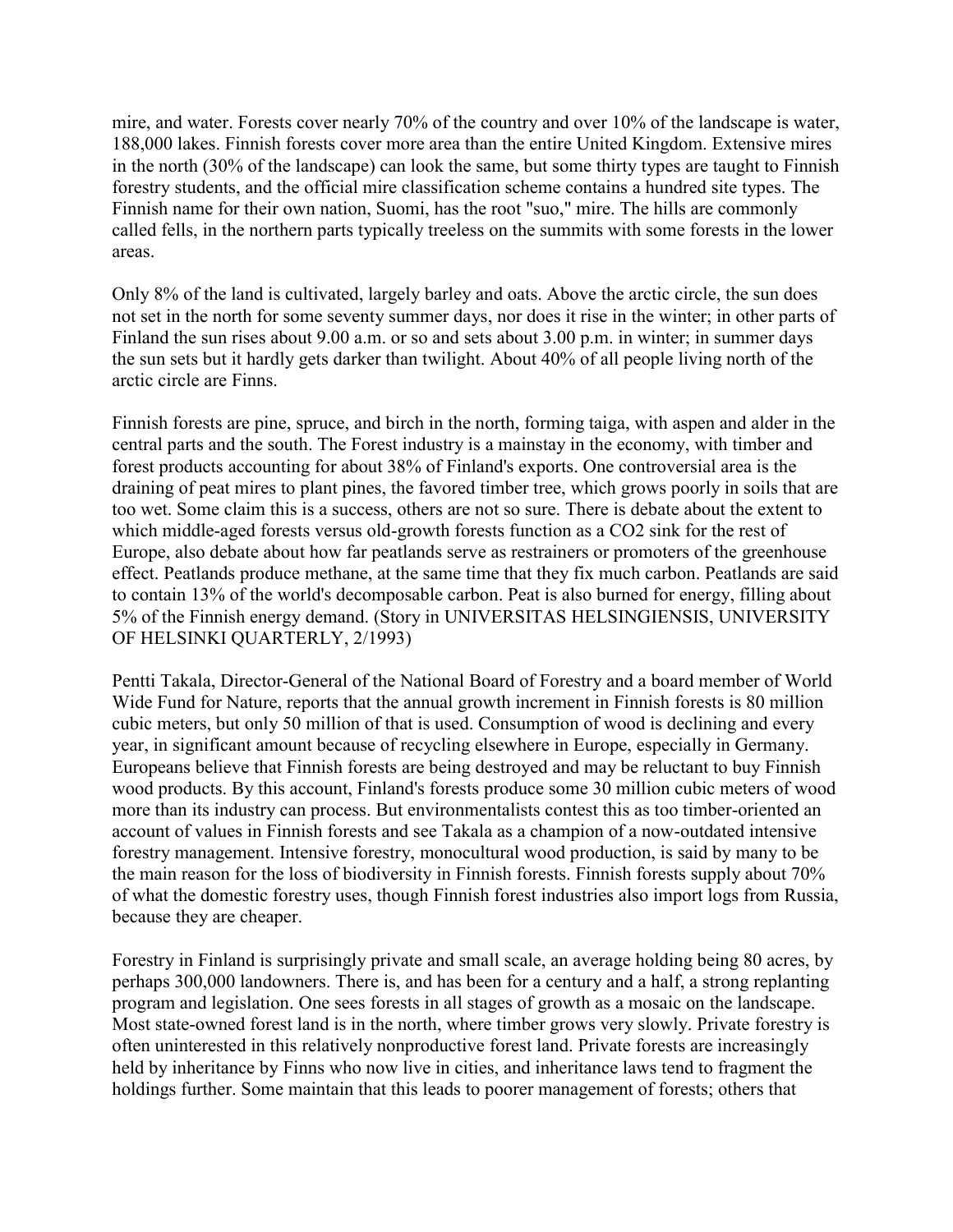mire, and water. Forests cover nearly 70% of the country and over 10% of the landscape is water, 188,000 lakes. Finnish forests cover more area than the entire United Kingdom. Extensive mires in the north (30% of the landscape) can look the same, but some thirty types are taught to Finnish forestry students, and the official mire classification scheme contains a hundred site types. The Finnish name for their own nation, Suomi, has the root "suo," mire. The hills are commonly called fells, in the northern parts typically treeless on the summits with some forests in the lower areas.

Only 8% of the land is cultivated, largely barley and oats. Above the arctic circle, the sun does not set in the north for some seventy summer days, nor does it rise in the winter; in other parts of Finland the sun rises about 9.00 a.m. or so and sets about 3.00 p.m. in winter; in summer days the sun sets but it hardly gets darker than twilight. About 40% of all people living north of the arctic circle are Finns.

Finnish forests are pine, spruce, and birch in the north, forming taiga, with aspen and alder in the central parts and the south. The Forest industry is a mainstay in the economy, with timber and forest products accounting for about 38% of Finland's exports. One controversial area is the draining of peat mires to plant pines, the favored timber tree, which grows poorly in soils that are too wet. Some claim this is a success, others are not so sure. There is debate about the extent to which middle-aged forests versus old-growth forests function as a CO2 sink for the rest of Europe, also debate about how far peatlands serve as restrainers or promoters of the greenhouse effect. Peatlands produce methane, at the same time that they fix much carbon. Peatlands are said to contain 13% of the world's decomposable carbon. Peat is also burned for energy, filling about 5% of the Finnish energy demand. (Story in UNIVERSITAS HELSINGIENSIS, UNIVERSITY OF HELSINKI QUARTERLY, 2/1993)

Pentti Takala, Director-General of the National Board of Forestry and a board member of World Wide Fund for Nature, reports that the annual growth increment in Finnish forests is 80 million cubic meters, but only 50 million of that is used. Consumption of wood is declining and every year, in significant amount because of recycling elsewhere in Europe, especially in Germany. Europeans believe that Finnish forests are being destroyed and may be reluctant to buy Finnish wood products. By this account, Finland's forests produce some 30 million cubic meters of wood more than its industry can process. But environmentalists contest this as too timber-oriented an account of values in Finnish forests and see Takala as a champion of a now-outdated intensive forestry management. Intensive forestry, monocultural wood production, is said by many to be the main reason for the loss of biodiversity in Finnish forests. Finnish forests supply about 70% of what the domestic forestry uses, though Finnish forest industries also import logs from Russia, because they are cheaper.

Forestry in Finland is surprisingly private and small scale, an average holding being 80 acres, by perhaps 300,000 landowners. There is, and has been for a century and a half, a strong replanting program and legislation. One sees forests in all stages of growth as a mosaic on the landscape. Most state-owned forest land is in the north, where timber grows very slowly. Private forestry is often uninterested in this relatively nonproductive forest land. Private forests are increasingly held by inheritance by Finns who now live in cities, and inheritance laws tend to fragment the holdings further. Some maintain that this leads to poorer management of forests; others that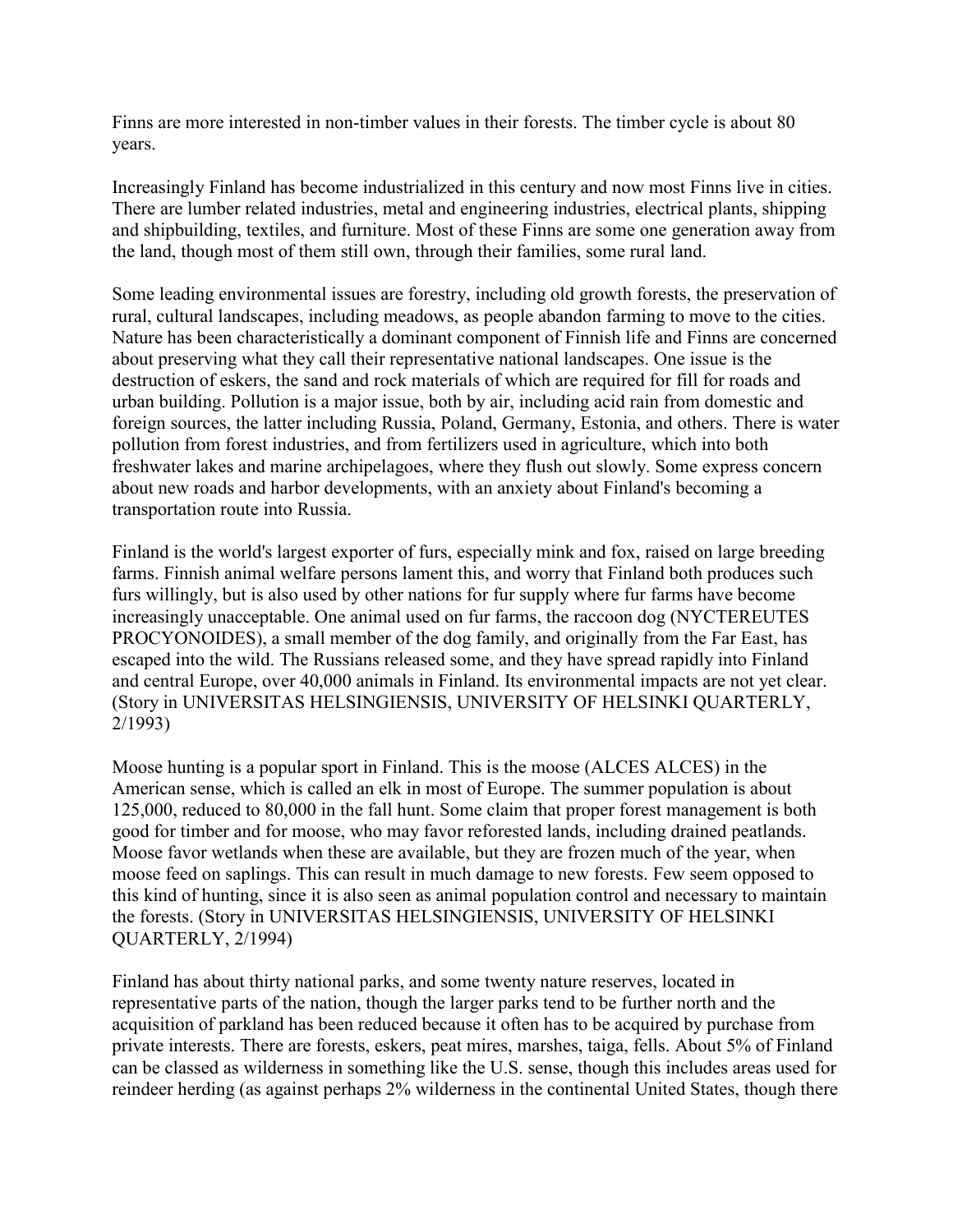Finns are more interested in non-timber values in their forests. The timber cycle is about 80 years.

Increasingly Finland has become industrialized in this century and now most Finns live in cities. There are lumber related industries, metal and engineering industries, electrical plants, shipping and shipbuilding, textiles, and furniture. Most of these Finns are some one generation away from the land, though most of them still own, through their families, some rural land.

Some leading environmental issues are forestry, including old growth forests, the preservation of rural, cultural landscapes, including meadows, as people abandon farming to move to the cities. Nature has been characteristically a dominant component of Finnish life and Finns are concerned about preserving what they call their representative national landscapes. One issue is the destruction of eskers, the sand and rock materials of which are required for fill for roads and urban building. Pollution is a major issue, both by air, including acid rain from domestic and foreign sources, the latter including Russia, Poland, Germany, Estonia, and others. There is water pollution from forest industries, and from fertilizers used in agriculture, which into both freshwater lakes and marine archipelagoes, where they flush out slowly. Some express concern about new roads and harbor developments, with an anxiety about Finland's becoming a transportation route into Russia.

Finland is the world's largest exporter of furs, especially mink and fox, raised on large breeding farms. Finnish animal welfare persons lament this, and worry that Finland both produces such furs willingly, but is also used by other nations for fur supply where fur farms have become increasingly unacceptable. One animal used on fur farms, the raccoon dog (NYCTEREUTES PROCYONOIDES), a small member of the dog family, and originally from the Far East, has escaped into the wild. The Russians released some, and they have spread rapidly into Finland and central Europe, over 40,000 animals in Finland. Its environmental impacts are not yet clear. (Story in UNIVERSITAS HELSINGIENSIS, UNIVERSITY OF HELSINKI QUARTERLY, 2/1993)

Moose hunting is a popular sport in Finland. This is the moose (ALCES ALCES) in the American sense, which is called an elk in most of Europe. The summer population is about 125,000, reduced to 80,000 in the fall hunt. Some claim that proper forest management is both good for timber and for moose, who may favor reforested lands, including drained peatlands. Moose favor wetlands when these are available, but they are frozen much of the year, when moose feed on saplings. This can result in much damage to new forests. Few seem opposed to this kind of hunting, since it is also seen as animal population control and necessary to maintain the forests. (Story in UNIVERSITAS HELSINGIENSIS, UNIVERSITY OF HELSINKI QUARTERLY, 2/1994)

Finland has about thirty national parks, and some twenty nature reserves, located in representative parts of the nation, though the larger parks tend to be further north and the acquisition of parkland has been reduced because it often has to be acquired by purchase from private interests. There are forests, eskers, peat mires, marshes, taiga, fells. About 5% of Finland can be classed as wilderness in something like the U.S. sense, though this includes areas used for reindeer herding (as against perhaps 2% wilderness in the continental United States, though there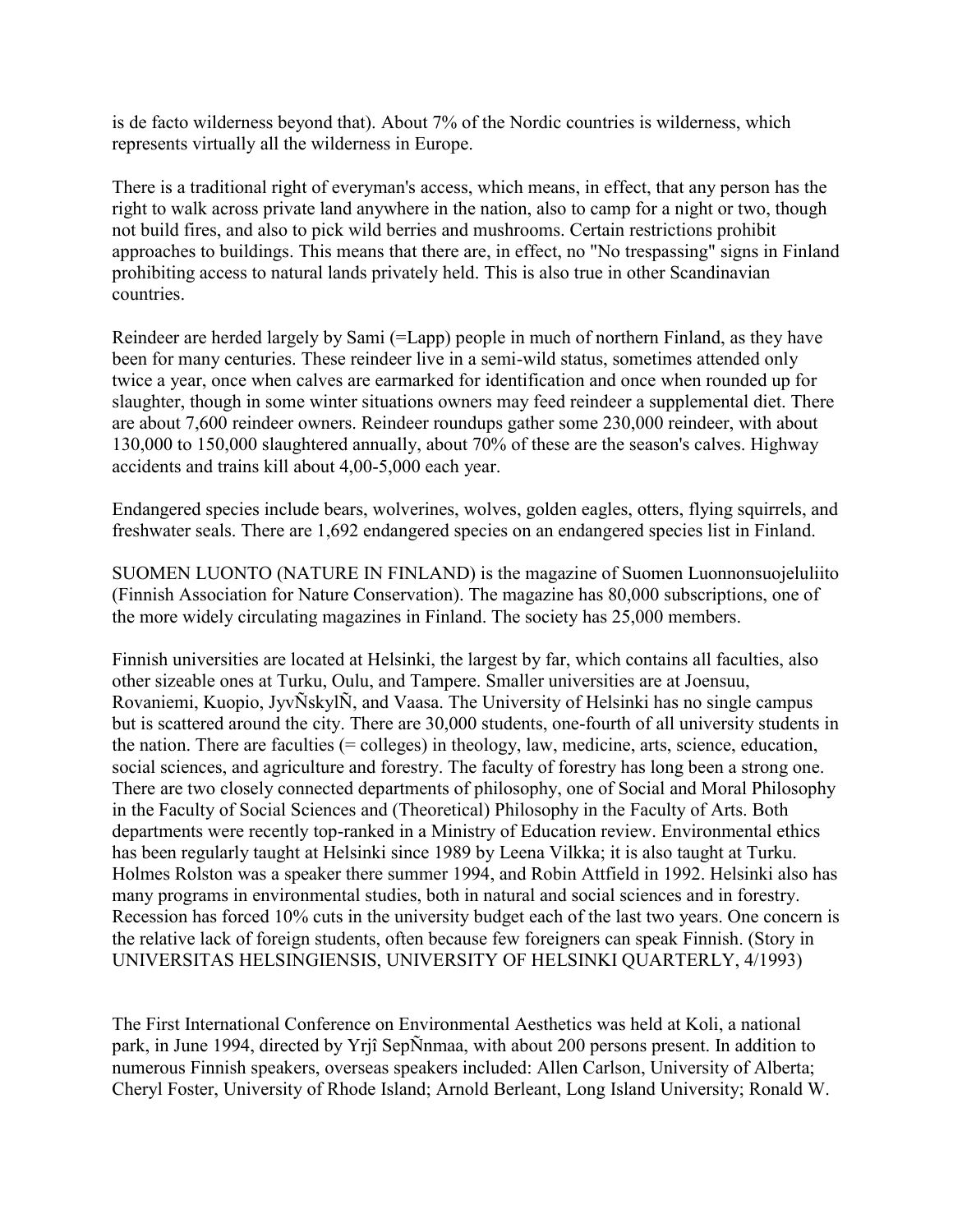is de facto wilderness beyond that). About 7% of the Nordic countries is wilderness, which represents virtually all the wilderness in Europe.

There is a traditional right of everyman's access, which means, in effect, that any person has the right to walk across private land anywhere in the nation, also to camp for a night or two, though not build fires, and also to pick wild berries and mushrooms. Certain restrictions prohibit approaches to buildings. This means that there are, in effect, no "No trespassing" signs in Finland prohibiting access to natural lands privately held. This is also true in other Scandinavian countries.

Reindeer are herded largely by Sami (=Lapp) people in much of northern Finland, as they have been for many centuries. These reindeer live in a semi-wild status, sometimes attended only twice a year, once when calves are earmarked for identification and once when rounded up for slaughter, though in some winter situations owners may feed reindeer a supplemental diet. There are about 7,600 reindeer owners. Reindeer roundups gather some 230,000 reindeer, with about 130,000 to 150,000 slaughtered annually, about 70% of these are the season's calves. Highway accidents and trains kill about 4,00-5,000 each year.

Endangered species include bears, wolverines, wolves, golden eagles, otters, flying squirrels, and freshwater seals. There are 1,692 endangered species on an endangered species list in Finland.

SUOMEN LUONTO (NATURE IN FINLAND) is the magazine of Suomen Luonnonsuojeluliito (Finnish Association for Nature Conservation). The magazine has 80,000 subscriptions, one of the more widely circulating magazines in Finland. The society has 25,000 members.

Finnish universities are located at Helsinki, the largest by far, which contains all faculties, also other sizeable ones at Turku, Oulu, and Tampere. Smaller universities are at Joensuu, Rovaniemi, Kuopio, JyvÑskylÑ, and Vaasa. The University of Helsinki has no single campus but is scattered around the city. There are 30,000 students, one-fourth of all university students in the nation. There are faculties (= colleges) in theology, law, medicine, arts, science, education, social sciences, and agriculture and forestry. The faculty of forestry has long been a strong one. There are two closely connected departments of philosophy, one of Social and Moral Philosophy in the Faculty of Social Sciences and (Theoretical) Philosophy in the Faculty of Arts. Both departments were recently top-ranked in a Ministry of Education review. Environmental ethics has been regularly taught at Helsinki since 1989 by Leena Vilkka; it is also taught at Turku. Holmes Rolston was a speaker there summer 1994, and Robin Attfield in 1992. Helsinki also has many programs in environmental studies, both in natural and social sciences and in forestry. Recession has forced 10% cuts in the university budget each of the last two years. One concern is the relative lack of foreign students, often because few foreigners can speak Finnish. (Story in UNIVERSITAS HELSINGIENSIS, UNIVERSITY OF HELSINKI QUARTERLY, 4/1993)

The First International Conference on Environmental Aesthetics was held at Koli, a national park, in June 1994, directed by Yrjî SepÑnmaa, with about 200 persons present. In addition to numerous Finnish speakers, overseas speakers included: Allen Carlson, University of Alberta; Cheryl Foster, University of Rhode Island; Arnold Berleant, Long Island University; Ronald W.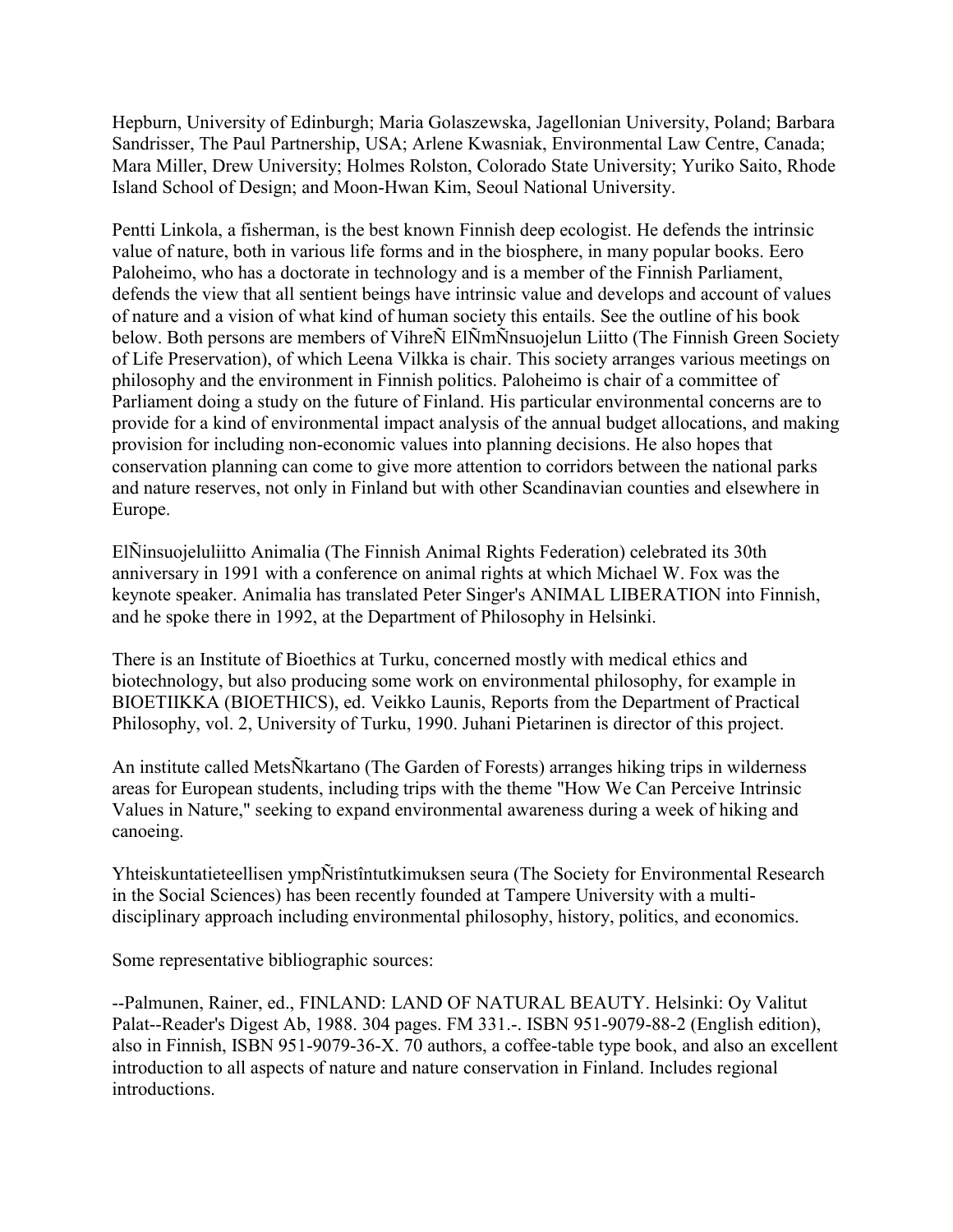Hepburn, University of Edinburgh; Maria Golaszewska, Jagellonian University, Poland; Barbara Sandrisser, The Paul Partnership, USA; Arlene Kwasniak, Environmental Law Centre, Canada; Mara Miller, Drew University; Holmes Rolston, Colorado State University; Yuriko Saito, Rhode Island School of Design; and Moon-Hwan Kim, Seoul National University.

Pentti Linkola, a fisherman, is the best known Finnish deep ecologist. He defends the intrinsic value of nature, both in various life forms and in the biosphere, in many popular books. Eero Paloheimo, who has a doctorate in technology and is a member of the Finnish Parliament, defends the view that all sentient beings have intrinsic value and develops and account of values of nature and a vision of what kind of human society this entails. See the outline of his book below. Both persons are members of VihreÑ ElÑmÑnsuojelun Liitto (The Finnish Green Society of Life Preservation), of which Leena Vilkka is chair. This society arranges various meetings on philosophy and the environment in Finnish politics. Paloheimo is chair of a committee of Parliament doing a study on the future of Finland. His particular environmental concerns are to provide for a kind of environmental impact analysis of the annual budget allocations, and making provision for including non-economic values into planning decisions. He also hopes that conservation planning can come to give more attention to corridors between the national parks and nature reserves, not only in Finland but with other Scandinavian counties and elsewhere in Europe.

ElÑinsuojeluliitto Animalia (The Finnish Animal Rights Federation) celebrated its 30th anniversary in 1991 with a conference on animal rights at which Michael W. Fox was the keynote speaker. Animalia has translated Peter Singer's ANIMAL LIBERATION into Finnish, and he spoke there in 1992, at the Department of Philosophy in Helsinki.

There is an Institute of Bioethics at Turku, concerned mostly with medical ethics and biotechnology, but also producing some work on environmental philosophy, for example in BIOETIIKKA (BIOETHICS), ed. Veikko Launis, Reports from the Department of Practical Philosophy, vol. 2, University of Turku, 1990. Juhani Pietarinen is director of this project.

An institute called MetsÑkartano (The Garden of Forests) arranges hiking trips in wilderness areas for European students, including trips with the theme "How We Can Perceive Intrinsic Values in Nature," seeking to expand environmental awareness during a week of hiking and canoeing.

Yhteiskuntatieteellisen ympÑristîntutkimuksen seura (The Society for Environmental Research in the Social Sciences) has been recently founded at Tampere University with a multidisciplinary approach including environmental philosophy, history, politics, and economics.

Some representative bibliographic sources:

--Palmunen, Rainer, ed., FINLAND: LAND OF NATURAL BEAUTY. Helsinki: Oy Valitut Palat--Reader's Digest Ab, 1988. 304 pages. FM 331.-. ISBN 951-9079-88-2 (English edition), also in Finnish, ISBN 951-9079-36-X. 70 authors, a coffee-table type book, and also an excellent introduction to all aspects of nature and nature conservation in Finland. Includes regional introductions.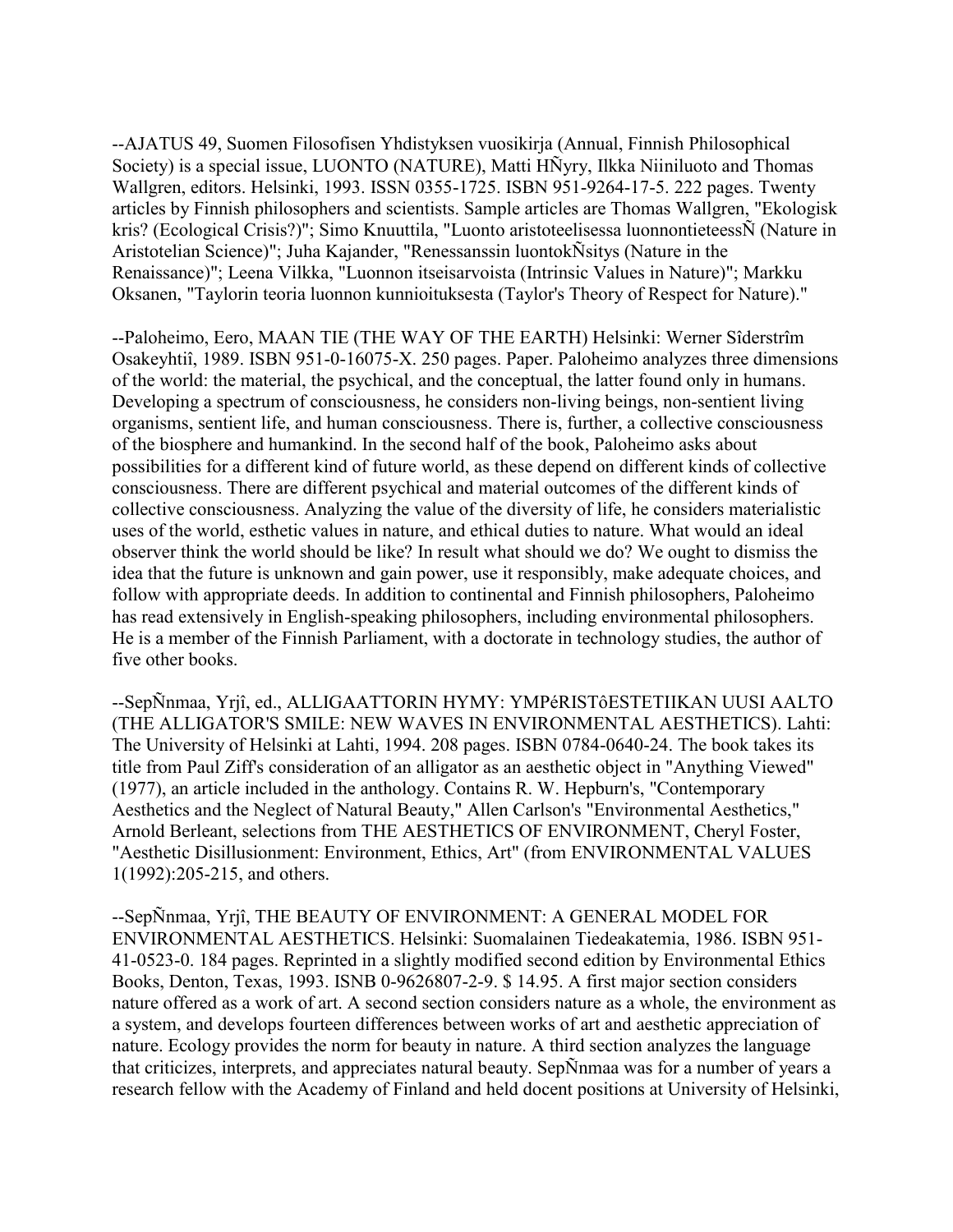--AJATUS 49, Suomen Filosofisen Yhdistyksen vuosikirja (Annual, Finnish Philosophical Society) is a special issue, LUONTO (NATURE), Matti HÑyry, Ilkka Niiniluoto and Thomas Wallgren, editors. Helsinki, 1993. ISSN 0355-1725. ISBN 951-9264-17-5. 222 pages. Twenty articles by Finnish philosophers and scientists. Sample articles are Thomas Wallgren, "Ekologisk kris? (Ecological Crisis?)"; Simo Knuuttila, "Luonto aristoteelisessa luonnontieteessÑ (Nature in Aristotelian Science)"; Juha Kajander, "Renessanssin luontokÑsitys (Nature in the Renaissance)"; Leena Vilkka, "Luonnon itseisarvoista (Intrinsic Values in Nature)"; Markku Oksanen, "Taylorin teoria luonnon kunnioituksesta (Taylor's Theory of Respect for Nature)."

--Paloheimo, Eero, MAAN TIE (THE WAY OF THE EARTH) Helsinki: Werner Sîderstrîm Osakeyhtiî, 1989. ISBN 951-0-16075-X. 250 pages. Paper. Paloheimo analyzes three dimensions of the world: the material, the psychical, and the conceptual, the latter found only in humans. Developing a spectrum of consciousness, he considers non-living beings, non-sentient living organisms, sentient life, and human consciousness. There is, further, a collective consciousness of the biosphere and humankind. In the second half of the book, Paloheimo asks about possibilities for a different kind of future world, as these depend on different kinds of collective consciousness. There are different psychical and material outcomes of the different kinds of collective consciousness. Analyzing the value of the diversity of life, he considers materialistic uses of the world, esthetic values in nature, and ethical duties to nature. What would an ideal observer think the world should be like? In result what should we do? We ought to dismiss the idea that the future is unknown and gain power, use it responsibly, make adequate choices, and follow with appropriate deeds. In addition to continental and Finnish philosophers, Paloheimo has read extensively in English-speaking philosophers, including environmental philosophers. He is a member of the Finnish Parliament, with a doctorate in technology studies, the author of five other books.

--SepÑnmaa, Yrjî, ed., ALLIGAATTORIN HYMY: YMPéRISTôESTETIIKAN UUSI AALTO (THE ALLIGATOR'S SMILE: NEW WAVES IN ENVIRONMENTAL AESTHETICS). Lahti: The University of Helsinki at Lahti, 1994. 208 pages. ISBN 0784-0640-24. The book takes its title from Paul Ziff's consideration of an alligator as an aesthetic object in "Anything Viewed" (1977), an article included in the anthology. Contains R. W. Hepburn's, "Contemporary Aesthetics and the Neglect of Natural Beauty," Allen Carlson's "Environmental Aesthetics," Arnold Berleant, selections from THE AESTHETICS OF ENVIRONMENT, Cheryl Foster, "Aesthetic Disillusionment: Environment, Ethics, Art" (from ENVIRONMENTAL VALUES 1(1992):205-215, and others.

--SepÑnmaa, Yrjî, THE BEAUTY OF ENVIRONMENT: A GENERAL MODEL FOR ENVIRONMENTAL AESTHETICS. Helsinki: Suomalainen Tiedeakatemia, 1986. ISBN 951- 41-0523-0. 184 pages. Reprinted in a slightly modified second edition by Environmental Ethics Books, Denton, Texas, 1993. ISNB 0-9626807-2-9. \$ 14.95. A first major section considers nature offered as a work of art. A second section considers nature as a whole, the environment as a system, and develops fourteen differences between works of art and aesthetic appreciation of nature. Ecology provides the norm for beauty in nature. A third section analyzes the language that criticizes, interprets, and appreciates natural beauty. SepÑnmaa was for a number of years a research fellow with the Academy of Finland and held docent positions at University of Helsinki,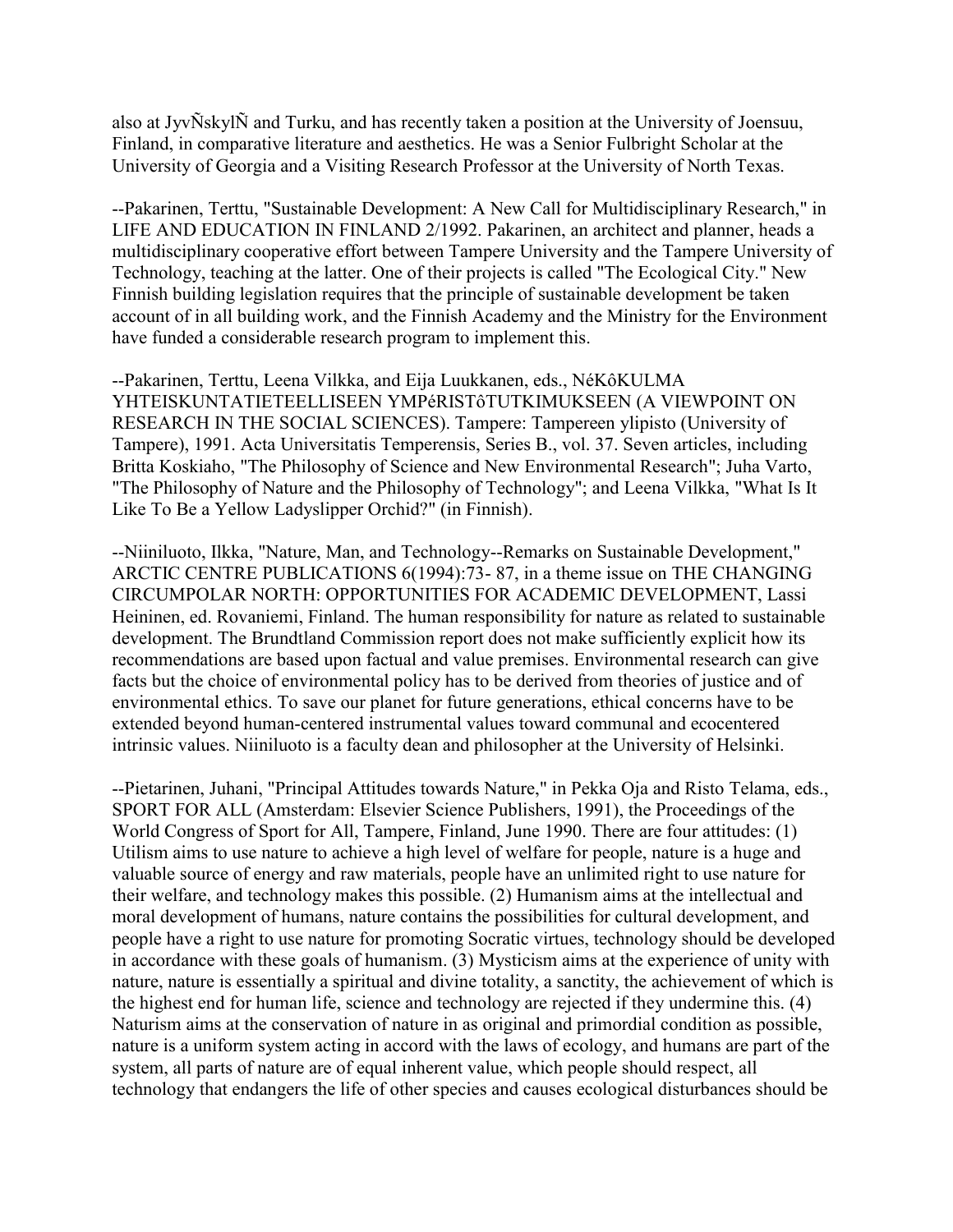also at JyvÑskylÑ and Turku, and has recently taken a position at the University of Joensuu, Finland, in comparative literature and aesthetics. He was a Senior Fulbright Scholar at the University of Georgia and a Visiting Research Professor at the University of North Texas.

--Pakarinen, Terttu, "Sustainable Development: A New Call for Multidisciplinary Research," in LIFE AND EDUCATION IN FINLAND 2/1992. Pakarinen, an architect and planner, heads a multidisciplinary cooperative effort between Tampere University and the Tampere University of Technology, teaching at the latter. One of their projects is called "The Ecological City." New Finnish building legislation requires that the principle of sustainable development be taken account of in all building work, and the Finnish Academy and the Ministry for the Environment have funded a considerable research program to implement this.

--Pakarinen, Terttu, Leena Vilkka, and Eija Luukkanen, eds., NéKôKULMA YHTEISKUNTATIETEELLISEEN YMPéRISTôTUTKIMUKSEEN (A VIEWPOINT ON RESEARCH IN THE SOCIAL SCIENCES). Tampere: Tampereen ylipisto (University of Tampere), 1991. Acta Universitatis Temperensis, Series B., vol. 37. Seven articles, including Britta Koskiaho, "The Philosophy of Science and New Environmental Research"; Juha Varto, "The Philosophy of Nature and the Philosophy of Technology"; and Leena Vilkka, "What Is It Like To Be a Yellow Ladyslipper Orchid?" (in Finnish).

--Niiniluoto, Ilkka, "Nature, Man, and Technology--Remarks on Sustainable Development," ARCTIC CENTRE PUBLICATIONS 6(1994):73- 87, in a theme issue on THE CHANGING CIRCUMPOLAR NORTH: OPPORTUNITIES FOR ACADEMIC DEVELOPMENT, Lassi Heininen, ed. Rovaniemi, Finland. The human responsibility for nature as related to sustainable development. The Brundtland Commission report does not make sufficiently explicit how its recommendations are based upon factual and value premises. Environmental research can give facts but the choice of environmental policy has to be derived from theories of justice and of environmental ethics. To save our planet for future generations, ethical concerns have to be extended beyond human-centered instrumental values toward communal and ecocentered intrinsic values. Niiniluoto is a faculty dean and philosopher at the University of Helsinki.

--Pietarinen, Juhani, "Principal Attitudes towards Nature," in Pekka Oja and Risto Telama, eds., SPORT FOR ALL (Amsterdam: Elsevier Science Publishers, 1991), the Proceedings of the World Congress of Sport for All, Tampere, Finland, June 1990. There are four attitudes: (1) Utilism aims to use nature to achieve a high level of welfare for people, nature is a huge and valuable source of energy and raw materials, people have an unlimited right to use nature for their welfare, and technology makes this possible. (2) Humanism aims at the intellectual and moral development of humans, nature contains the possibilities for cultural development, and people have a right to use nature for promoting Socratic virtues, technology should be developed in accordance with these goals of humanism. (3) Mysticism aims at the experience of unity with nature, nature is essentially a spiritual and divine totality, a sanctity, the achievement of which is the highest end for human life, science and technology are rejected if they undermine this. (4) Naturism aims at the conservation of nature in as original and primordial condition as possible, nature is a uniform system acting in accord with the laws of ecology, and humans are part of the system, all parts of nature are of equal inherent value, which people should respect, all technology that endangers the life of other species and causes ecological disturbances should be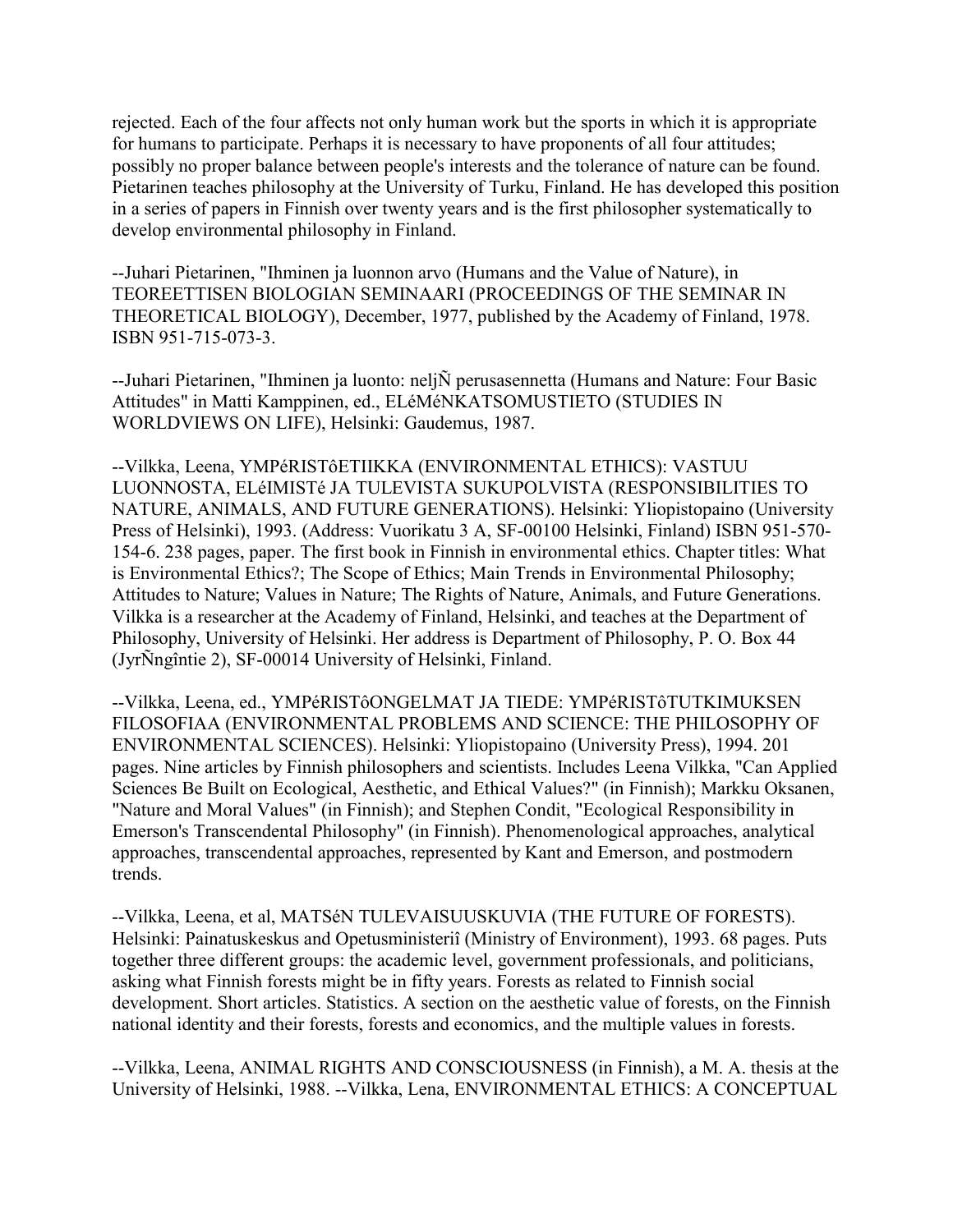rejected. Each of the four affects not only human work but the sports in which it is appropriate for humans to participate. Perhaps it is necessary to have proponents of all four attitudes; possibly no proper balance between people's interests and the tolerance of nature can be found. Pietarinen teaches philosophy at the University of Turku, Finland. He has developed this position in a series of papers in Finnish over twenty years and is the first philosopher systematically to develop environmental philosophy in Finland.

--Juhari Pietarinen, "Ihminen ja luonnon arvo (Humans and the Value of Nature), in TEOREETTISEN BIOLOGIAN SEMINAARI (PROCEEDINGS OF THE SEMINAR IN THEORETICAL BIOLOGY), December, 1977, published by the Academy of Finland, 1978. ISBN 951-715-073-3.

--Juhari Pietarinen, "Ihminen ja luonto: neljÑ perusasennetta (Humans and Nature: Four Basic Attitudes" in Matti Kamppinen, ed., ELéMéNKATSOMUSTIETO (STUDIES IN WORLDVIEWS ON LIFE), Helsinki: Gaudemus, 1987.

--Vilkka, Leena, YMPéRISTôETIIKKA (ENVIRONMENTAL ETHICS): VASTUU LUONNOSTA, ELéIMISTé JA TULEVISTA SUKUPOLVISTA (RESPONSIBILITIES TO NATURE, ANIMALS, AND FUTURE GENERATIONS). Helsinki: Yliopistopaino (University Press of Helsinki), 1993. (Address: Vuorikatu 3 A, SF-00100 Helsinki, Finland) ISBN 951-570- 154-6. 238 pages, paper. The first book in Finnish in environmental ethics. Chapter titles: What is Environmental Ethics?; The Scope of Ethics; Main Trends in Environmental Philosophy; Attitudes to Nature; Values in Nature; The Rights of Nature, Animals, and Future Generations. Vilkka is a researcher at the Academy of Finland, Helsinki, and teaches at the Department of Philosophy, University of Helsinki. Her address is Department of Philosophy, P. O. Box 44 (JyrÑngîntie 2), SF-00014 University of Helsinki, Finland.

--Vilkka, Leena, ed., YMPéRISTôONGELMAT JA TIEDE: YMPéRISTôTUTKIMUKSEN FILOSOFIAA (ENVIRONMENTAL PROBLEMS AND SCIENCE: THE PHILOSOPHY OF ENVIRONMENTAL SCIENCES). Helsinki: Yliopistopaino (University Press), 1994. 201 pages. Nine articles by Finnish philosophers and scientists. Includes Leena Vilkka, "Can Applied Sciences Be Built on Ecological, Aesthetic, and Ethical Values?" (in Finnish); Markku Oksanen, "Nature and Moral Values" (in Finnish); and Stephen Condit, "Ecological Responsibility in Emerson's Transcendental Philosophy" (in Finnish). Phenomenological approaches, analytical approaches, transcendental approaches, represented by Kant and Emerson, and postmodern trends.

--Vilkka, Leena, et al, MATSéN TULEVAISUUSKUVIA (THE FUTURE OF FORESTS). Helsinki: Painatuskeskus and Opetusministeriî (Ministry of Environment), 1993. 68 pages. Puts together three different groups: the academic level, government professionals, and politicians, asking what Finnish forests might be in fifty years. Forests as related to Finnish social development. Short articles. Statistics. A section on the aesthetic value of forests, on the Finnish national identity and their forests, forests and economics, and the multiple values in forests.

--Vilkka, Leena, ANIMAL RIGHTS AND CONSCIOUSNESS (in Finnish), a M. A. thesis at the University of Helsinki, 1988. --Vilkka, Lena, ENVIRONMENTAL ETHICS: A CONCEPTUAL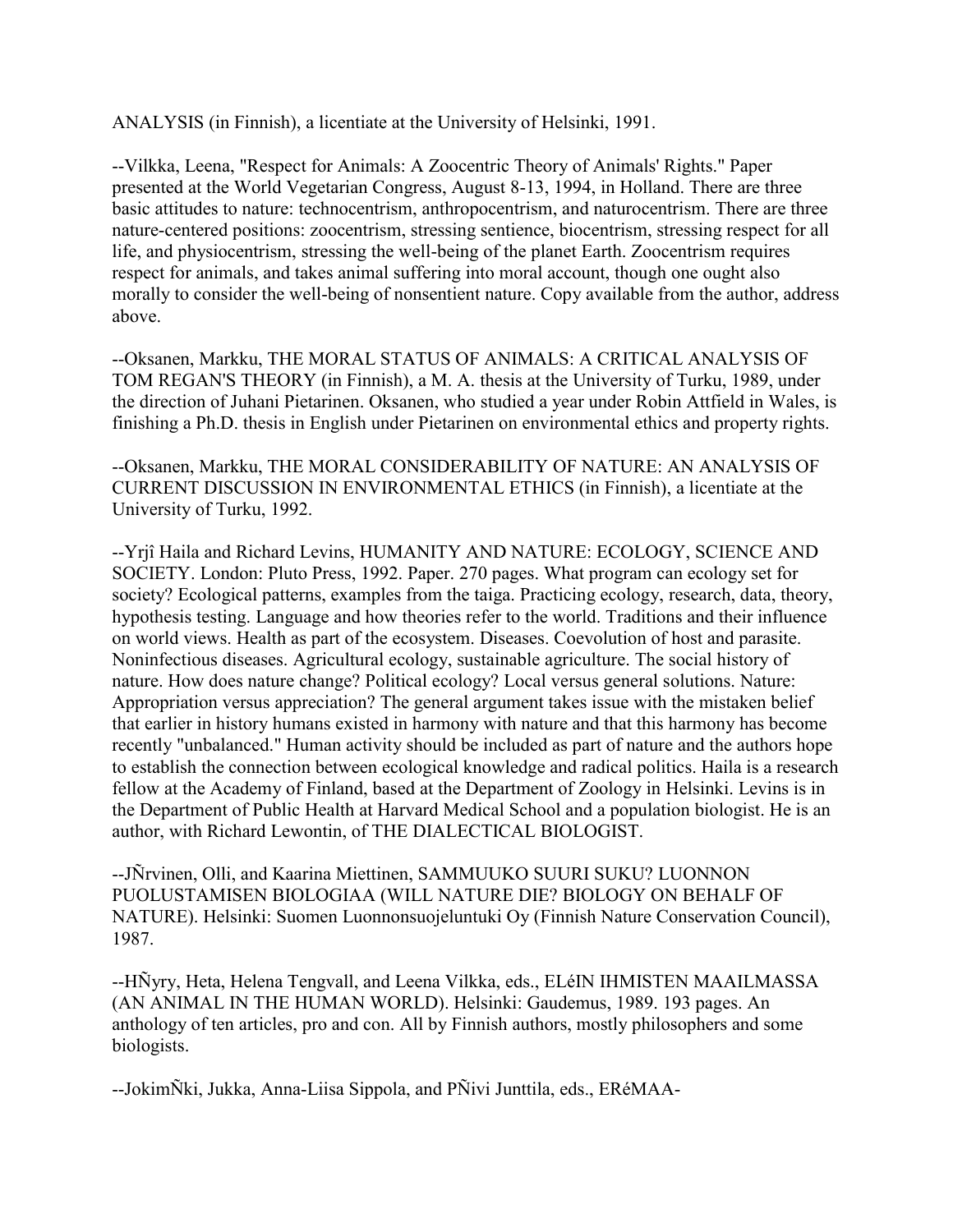ANALYSIS (in Finnish), a licentiate at the University of Helsinki, 1991.

--Vilkka, Leena, "Respect for Animals: A Zoocentric Theory of Animals' Rights." Paper presented at the World Vegetarian Congress, August 8-13, 1994, in Holland. There are three basic attitudes to nature: technocentrism, anthropocentrism, and naturocentrism. There are three nature-centered positions: zoocentrism, stressing sentience, biocentrism, stressing respect for all life, and physiocentrism, stressing the well-being of the planet Earth. Zoocentrism requires respect for animals, and takes animal suffering into moral account, though one ought also morally to consider the well-being of nonsentient nature. Copy available from the author, address above.

--Oksanen, Markku, THE MORAL STATUS OF ANIMALS: A CRITICAL ANALYSIS OF TOM REGAN'S THEORY (in Finnish), a M. A. thesis at the University of Turku, 1989, under the direction of Juhani Pietarinen. Oksanen, who studied a year under Robin Attfield in Wales, is finishing a Ph.D. thesis in English under Pietarinen on environmental ethics and property rights.

--Oksanen, Markku, THE MORAL CONSIDERABILITY OF NATURE: AN ANALYSIS OF CURRENT DISCUSSION IN ENVIRONMENTAL ETHICS (in Finnish), a licentiate at the University of Turku, 1992.

--Yrjî Haila and Richard Levins, HUMANITY AND NATURE: ECOLOGY, SCIENCE AND SOCIETY. London: Pluto Press, 1992. Paper. 270 pages. What program can ecology set for society? Ecological patterns, examples from the taiga. Practicing ecology, research, data, theory, hypothesis testing. Language and how theories refer to the world. Traditions and their influence on world views. Health as part of the ecosystem. Diseases. Coevolution of host and parasite. Noninfectious diseases. Agricultural ecology, sustainable agriculture. The social history of nature. How does nature change? Political ecology? Local versus general solutions. Nature: Appropriation versus appreciation? The general argument takes issue with the mistaken belief that earlier in history humans existed in harmony with nature and that this harmony has become recently "unbalanced." Human activity should be included as part of nature and the authors hope to establish the connection between ecological knowledge and radical politics. Haila is a research fellow at the Academy of Finland, based at the Department of Zoology in Helsinki. Levins is in the Department of Public Health at Harvard Medical School and a population biologist. He is an author, with Richard Lewontin, of THE DIALECTICAL BIOLOGIST.

--JÑrvinen, Olli, and Kaarina Miettinen, SAMMUUKO SUURI SUKU? LUONNON PUOLUSTAMISEN BIOLOGIAA (WILL NATURE DIE? BIOLOGY ON BEHALF OF NATURE). Helsinki: Suomen Luonnonsuojeluntuki Oy (Finnish Nature Conservation Council), 1987.

--HÑyry, Heta, Helena Tengvall, and Leena Vilkka, eds., ELéIN IHMISTEN MAAILMASSA (AN ANIMAL IN THE HUMAN WORLD). Helsinki: Gaudemus, 1989. 193 pages. An anthology of ten articles, pro and con. All by Finnish authors, mostly philosophers and some biologists.

--JokimÑki, Jukka, Anna-Liisa Sippola, and PÑivi Junttila, eds., ERéMAA-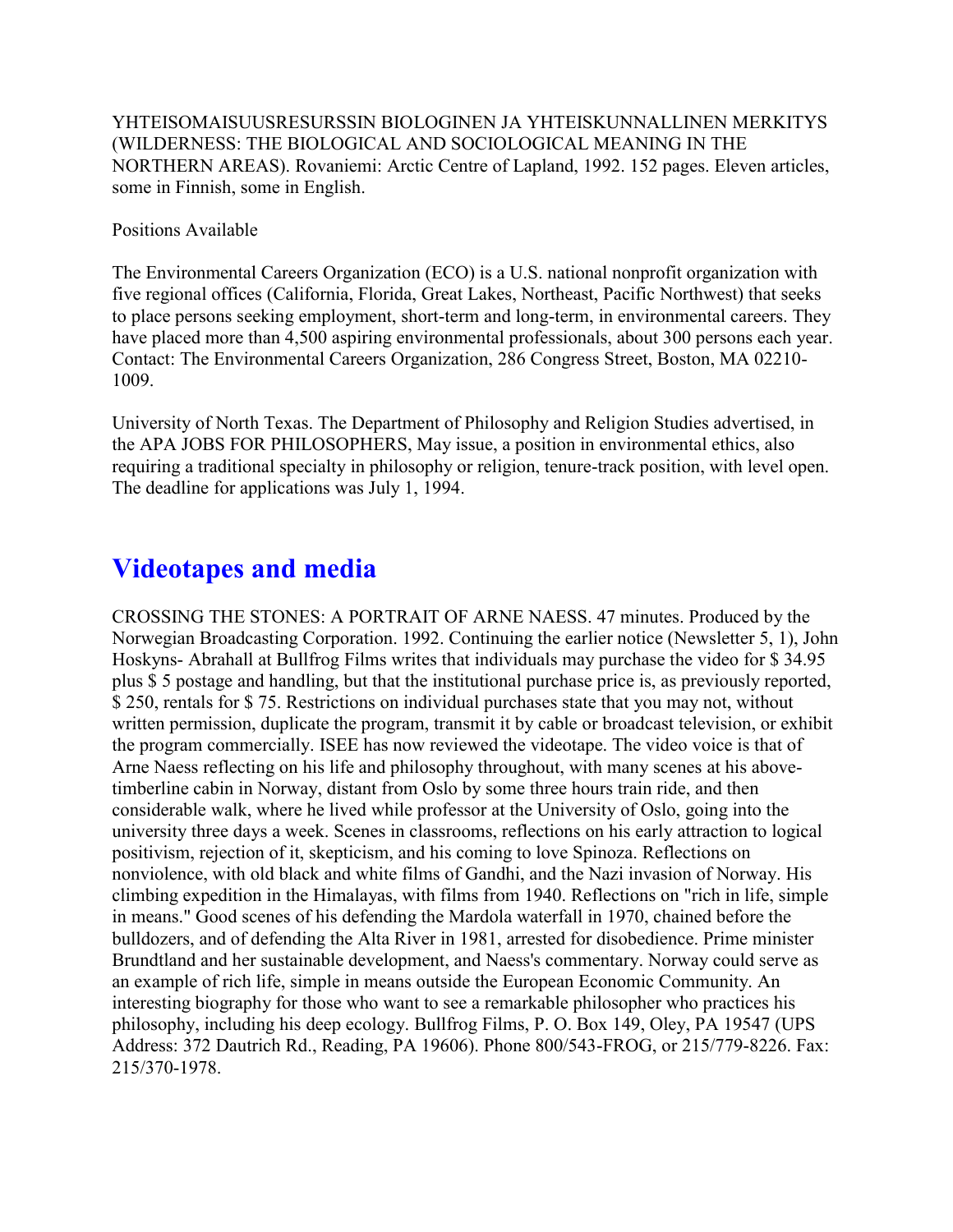YHTEISOMAISUUSRESURSSIN BIOLOGINEN JA YHTEISKUNNALLINEN MERKITYS (WILDERNESS: THE BIOLOGICAL AND SOCIOLOGICAL MEANING IN THE NORTHERN AREAS). Rovaniemi: Arctic Centre of Lapland, 1992. 152 pages. Eleven articles, some in Finnish, some in English.

Positions Available

The Environmental Careers Organization (ECO) is a U.S. national nonprofit organization with five regional offices (California, Florida, Great Lakes, Northeast, Pacific Northwest) that seeks to place persons seeking employment, short-term and long-term, in environmental careers. They have placed more than 4,500 aspiring environmental professionals, about 300 persons each year. Contact: The Environmental Careers Organization, 286 Congress Street, Boston, MA 02210- 1009.

University of North Texas. The Department of Philosophy and Religion Studies advertised, in the APA JOBS FOR PHILOSOPHERS, May issue, a position in environmental ethics, also requiring a traditional specialty in philosophy or religion, tenure-track position, with level open. The deadline for applications was July 1, 1994.

# **Videotapes and media**

CROSSING THE STONES: A PORTRAIT OF ARNE NAESS. 47 minutes. Produced by the Norwegian Broadcasting Corporation. 1992. Continuing the earlier notice (Newsletter 5, 1), John Hoskyns- Abrahall at Bullfrog Films writes that individuals may purchase the video for \$ 34.95 plus \$ 5 postage and handling, but that the institutional purchase price is, as previously reported, \$ 250, rentals for \$ 75. Restrictions on individual purchases state that you may not, without written permission, duplicate the program, transmit it by cable or broadcast television, or exhibit the program commercially. ISEE has now reviewed the videotape. The video voice is that of Arne Naess reflecting on his life and philosophy throughout, with many scenes at his abovetimberline cabin in Norway, distant from Oslo by some three hours train ride, and then considerable walk, where he lived while professor at the University of Oslo, going into the university three days a week. Scenes in classrooms, reflections on his early attraction to logical positivism, rejection of it, skepticism, and his coming to love Spinoza. Reflections on nonviolence, with old black and white films of Gandhi, and the Nazi invasion of Norway. His climbing expedition in the Himalayas, with films from 1940. Reflections on "rich in life, simple in means." Good scenes of his defending the Mardola waterfall in 1970, chained before the bulldozers, and of defending the Alta River in 1981, arrested for disobedience. Prime minister Brundtland and her sustainable development, and Naess's commentary. Norway could serve as an example of rich life, simple in means outside the European Economic Community. An interesting biography for those who want to see a remarkable philosopher who practices his philosophy, including his deep ecology. Bullfrog Films, P. O. Box 149, Oley, PA 19547 (UPS Address: 372 Dautrich Rd., Reading, PA 19606). Phone 800/543-FROG, or 215/779-8226. Fax: 215/370-1978.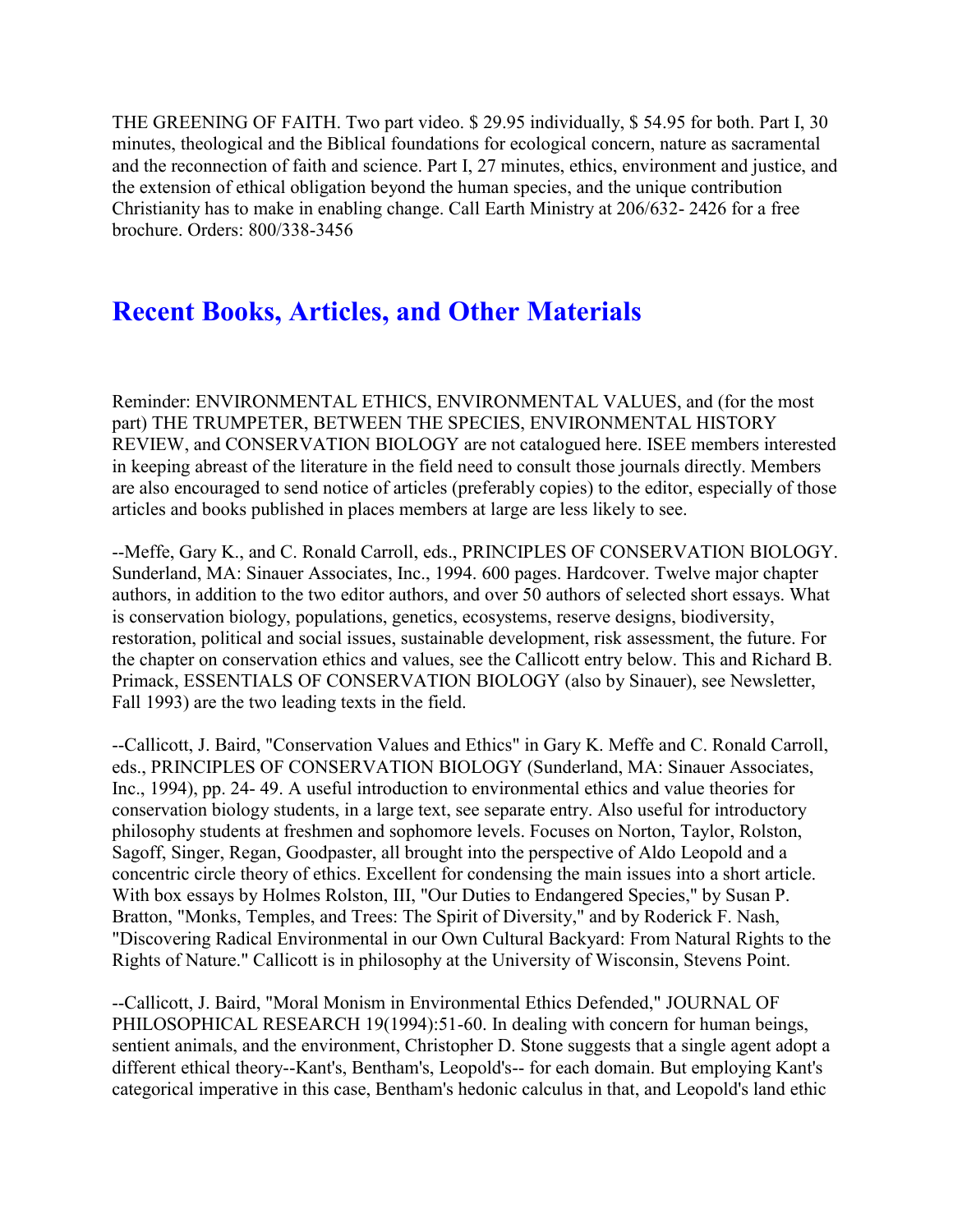THE GREENING OF FAITH. Two part video. \$ 29.95 individually, \$ 54.95 for both. Part I, 30 minutes, theological and the Biblical foundations for ecological concern, nature as sacramental and the reconnection of faith and science. Part I, 27 minutes, ethics, environment and justice, and the extension of ethical obligation beyond the human species, and the unique contribution Christianity has to make in enabling change. Call Earth Ministry at 206/632- 2426 for a free brochure. Orders: 800/338-3456

### **Recent Books, Articles, and Other Materials**

Reminder: ENVIRONMENTAL ETHICS, ENVIRONMENTAL VALUES, and (for the most part) THE TRUMPETER, BETWEEN THE SPECIES, ENVIRONMENTAL HISTORY REVIEW, and CONSERVATION BIOLOGY are not catalogued here. ISEE members interested in keeping abreast of the literature in the field need to consult those journals directly. Members are also encouraged to send notice of articles (preferably copies) to the editor, especially of those articles and books published in places members at large are less likely to see.

--Meffe, Gary K., and C. Ronald Carroll, eds., PRINCIPLES OF CONSERVATION BIOLOGY. Sunderland, MA: Sinauer Associates, Inc., 1994. 600 pages. Hardcover. Twelve major chapter authors, in addition to the two editor authors, and over 50 authors of selected short essays. What is conservation biology, populations, genetics, ecosystems, reserve designs, biodiversity, restoration, political and social issues, sustainable development, risk assessment, the future. For the chapter on conservation ethics and values, see the Callicott entry below. This and Richard B. Primack, ESSENTIALS OF CONSERVATION BIOLOGY (also by Sinauer), see Newsletter, Fall 1993) are the two leading texts in the field.

--Callicott, J. Baird, "Conservation Values and Ethics" in Gary K. Meffe and C. Ronald Carroll, eds., PRINCIPLES OF CONSERVATION BIOLOGY (Sunderland, MA: Sinauer Associates, Inc., 1994), pp. 24- 49. A useful introduction to environmental ethics and value theories for conservation biology students, in a large text, see separate entry. Also useful for introductory philosophy students at freshmen and sophomore levels. Focuses on Norton, Taylor, Rolston, Sagoff, Singer, Regan, Goodpaster, all brought into the perspective of Aldo Leopold and a concentric circle theory of ethics. Excellent for condensing the main issues into a short article. With box essays by Holmes Rolston, III, "Our Duties to Endangered Species," by Susan P. Bratton, "Monks, Temples, and Trees: The Spirit of Diversity," and by Roderick F. Nash, "Discovering Radical Environmental in our Own Cultural Backyard: From Natural Rights to the Rights of Nature." Callicott is in philosophy at the University of Wisconsin, Stevens Point.

--Callicott, J. Baird, "Moral Monism in Environmental Ethics Defended," JOURNAL OF PHILOSOPHICAL RESEARCH 19(1994):51-60. In dealing with concern for human beings, sentient animals, and the environment, Christopher D. Stone suggests that a single agent adopt a different ethical theory--Kant's, Bentham's, Leopold's-- for each domain. But employing Kant's categorical imperative in this case, Bentham's hedonic calculus in that, and Leopold's land ethic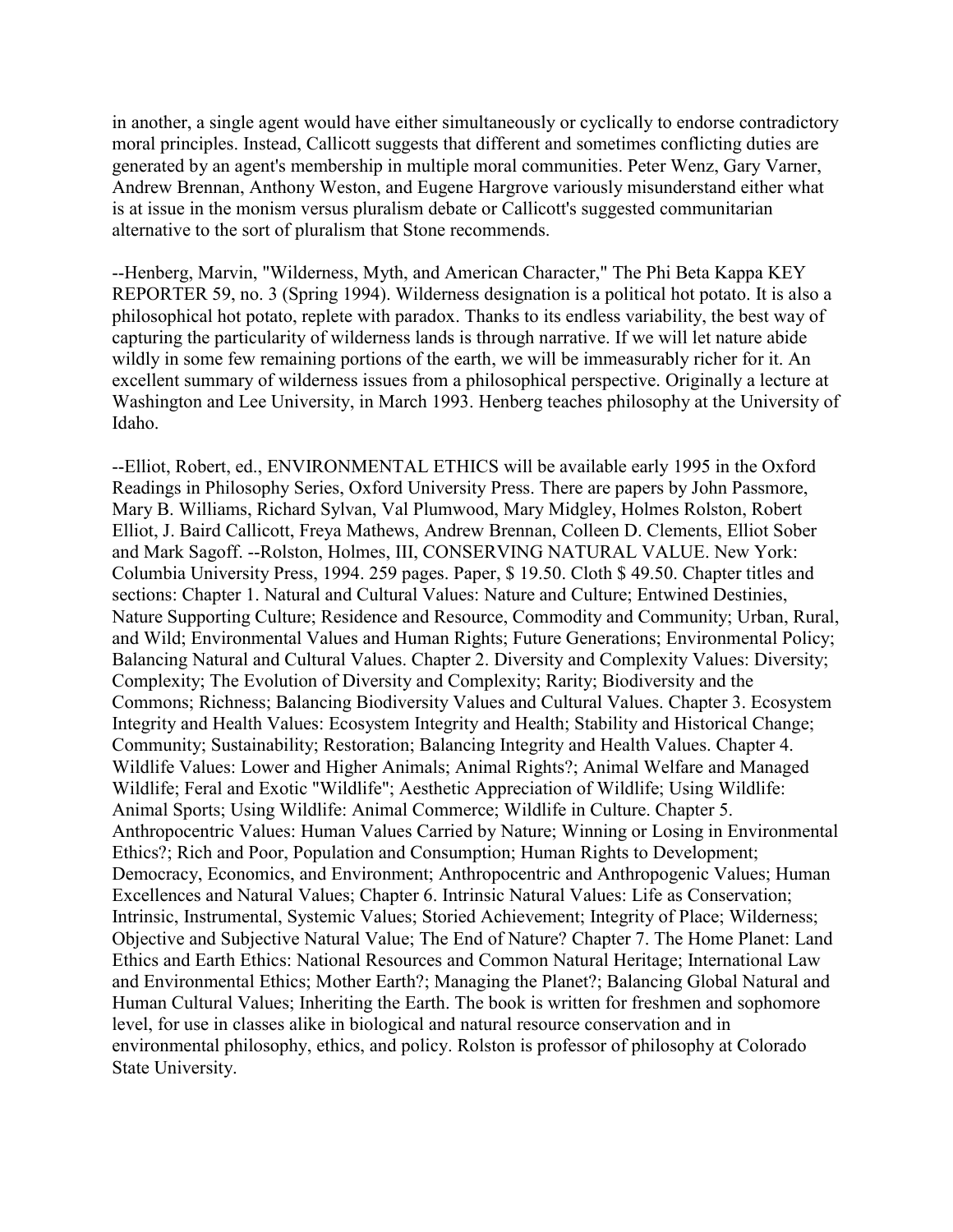in another, a single agent would have either simultaneously or cyclically to endorse contradictory moral principles. Instead, Callicott suggests that different and sometimes conflicting duties are generated by an agent's membership in multiple moral communities. Peter Wenz, Gary Varner, Andrew Brennan, Anthony Weston, and Eugene Hargrove variously misunderstand either what is at issue in the monism versus pluralism debate or Callicott's suggested communitarian alternative to the sort of pluralism that Stone recommends.

--Henberg, Marvin, "Wilderness, Myth, and American Character," The Phi Beta Kappa KEY REPORTER 59, no. 3 (Spring 1994). Wilderness designation is a political hot potato. It is also a philosophical hot potato, replete with paradox. Thanks to its endless variability, the best way of capturing the particularity of wilderness lands is through narrative. If we will let nature abide wildly in some few remaining portions of the earth, we will be immeasurably richer for it. An excellent summary of wilderness issues from a philosophical perspective. Originally a lecture at Washington and Lee University, in March 1993. Henberg teaches philosophy at the University of Idaho.

--Elliot, Robert, ed., ENVIRONMENTAL ETHICS will be available early 1995 in the Oxford Readings in Philosophy Series, Oxford University Press. There are papers by John Passmore, Mary B. Williams, Richard Sylvan, Val Plumwood, Mary Midgley, Holmes Rolston, Robert Elliot, J. Baird Callicott, Freya Mathews, Andrew Brennan, Colleen D. Clements, Elliot Sober and Mark Sagoff. --Rolston, Holmes, III, CONSERVING NATURAL VALUE. New York: Columbia University Press, 1994. 259 pages. Paper, \$ 19.50. Cloth \$ 49.50. Chapter titles and sections: Chapter 1. Natural and Cultural Values: Nature and Culture; Entwined Destinies, Nature Supporting Culture; Residence and Resource, Commodity and Community; Urban, Rural, and Wild; Environmental Values and Human Rights; Future Generations; Environmental Policy; Balancing Natural and Cultural Values. Chapter 2. Diversity and Complexity Values: Diversity; Complexity; The Evolution of Diversity and Complexity; Rarity; Biodiversity and the Commons; Richness; Balancing Biodiversity Values and Cultural Values. Chapter 3. Ecosystem Integrity and Health Values: Ecosystem Integrity and Health; Stability and Historical Change; Community; Sustainability; Restoration; Balancing Integrity and Health Values. Chapter 4. Wildlife Values: Lower and Higher Animals; Animal Rights?; Animal Welfare and Managed Wildlife; Feral and Exotic "Wildlife"; Aesthetic Appreciation of Wildlife; Using Wildlife: Animal Sports; Using Wildlife: Animal Commerce; Wildlife in Culture. Chapter 5. Anthropocentric Values: Human Values Carried by Nature; Winning or Losing in Environmental Ethics?; Rich and Poor, Population and Consumption; Human Rights to Development; Democracy, Economics, and Environment; Anthropocentric and Anthropogenic Values; Human Excellences and Natural Values; Chapter 6. Intrinsic Natural Values: Life as Conservation; Intrinsic, Instrumental, Systemic Values; Storied Achievement; Integrity of Place; Wilderness; Objective and Subjective Natural Value; The End of Nature? Chapter 7. The Home Planet: Land Ethics and Earth Ethics: National Resources and Common Natural Heritage; International Law and Environmental Ethics; Mother Earth?; Managing the Planet?; Balancing Global Natural and Human Cultural Values; Inheriting the Earth. The book is written for freshmen and sophomore level, for use in classes alike in biological and natural resource conservation and in environmental philosophy, ethics, and policy. Rolston is professor of philosophy at Colorado State University.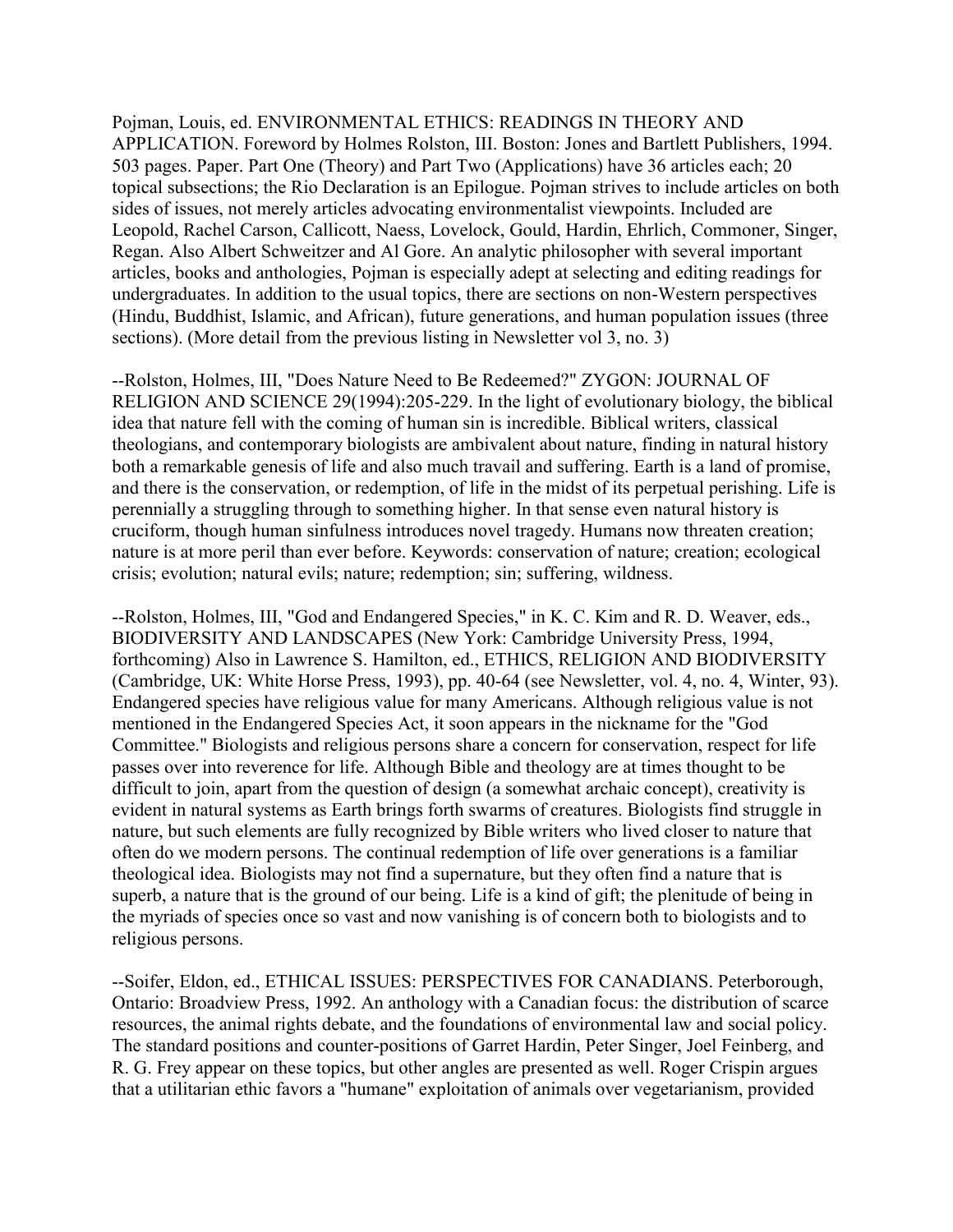Pojman, Louis, ed. ENVIRONMENTAL ETHICS: READINGS IN THEORY AND APPLICATION. Foreword by Holmes Rolston, III. Boston: Jones and Bartlett Publishers, 1994. 503 pages. Paper. Part One (Theory) and Part Two (Applications) have 36 articles each; 20 topical subsections; the Rio Declaration is an Epilogue. Pojman strives to include articles on both sides of issues, not merely articles advocating environmentalist viewpoints. Included are Leopold, Rachel Carson, Callicott, Naess, Lovelock, Gould, Hardin, Ehrlich, Commoner, Singer, Regan. Also Albert Schweitzer and Al Gore. An analytic philosopher with several important articles, books and anthologies, Pojman is especially adept at selecting and editing readings for undergraduates. In addition to the usual topics, there are sections on non-Western perspectives (Hindu, Buddhist, Islamic, and African), future generations, and human population issues (three sections). (More detail from the previous listing in Newsletter vol 3, no. 3)

--Rolston, Holmes, III, "Does Nature Need to Be Redeemed?" ZYGON: JOURNAL OF RELIGION AND SCIENCE 29(1994):205-229. In the light of evolutionary biology, the biblical idea that nature fell with the coming of human sin is incredible. Biblical writers, classical theologians, and contemporary biologists are ambivalent about nature, finding in natural history both a remarkable genesis of life and also much travail and suffering. Earth is a land of promise, and there is the conservation, or redemption, of life in the midst of its perpetual perishing. Life is perennially a struggling through to something higher. In that sense even natural history is cruciform, though human sinfulness introduces novel tragedy. Humans now threaten creation; nature is at more peril than ever before. Keywords: conservation of nature; creation; ecological crisis; evolution; natural evils; nature; redemption; sin; suffering, wildness.

--Rolston, Holmes, III, "God and Endangered Species," in K. C. Kim and R. D. Weaver, eds., BIODIVERSITY AND LANDSCAPES (New York: Cambridge University Press, 1994, forthcoming) Also in Lawrence S. Hamilton, ed., ETHICS, RELIGION AND BIODIVERSITY (Cambridge, UK: White Horse Press, 1993), pp. 40-64 (see Newsletter, vol. 4, no. 4, Winter, 93). Endangered species have religious value for many Americans. Although religious value is not mentioned in the Endangered Species Act, it soon appears in the nickname for the "God Committee." Biologists and religious persons share a concern for conservation, respect for life passes over into reverence for life. Although Bible and theology are at times thought to be difficult to join, apart from the question of design (a somewhat archaic concept), creativity is evident in natural systems as Earth brings forth swarms of creatures. Biologists find struggle in nature, but such elements are fully recognized by Bible writers who lived closer to nature that often do we modern persons. The continual redemption of life over generations is a familiar theological idea. Biologists may not find a supernature, but they often find a nature that is superb, a nature that is the ground of our being. Life is a kind of gift; the plenitude of being in the myriads of species once so vast and now vanishing is of concern both to biologists and to religious persons.

--Soifer, Eldon, ed., ETHICAL ISSUES: PERSPECTIVES FOR CANADIANS. Peterborough, Ontario: Broadview Press, 1992. An anthology with a Canadian focus: the distribution of scarce resources, the animal rights debate, and the foundations of environmental law and social policy. The standard positions and counter-positions of Garret Hardin, Peter Singer, Joel Feinberg, and R. G. Frey appear on these topics, but other angles are presented as well. Roger Crispin argues that a utilitarian ethic favors a "humane" exploitation of animals over vegetarianism, provided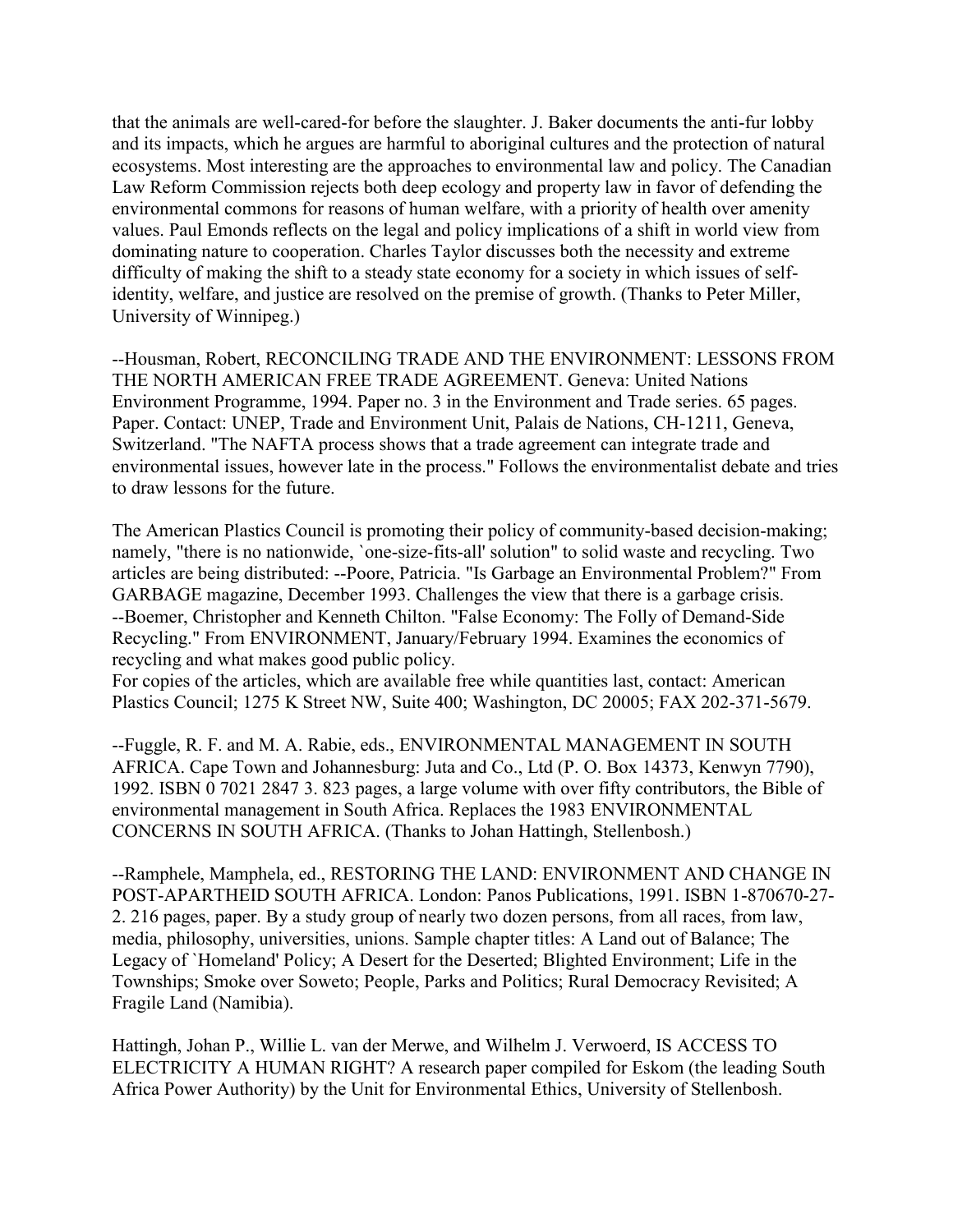that the animals are well-cared-for before the slaughter. J. Baker documents the anti-fur lobby and its impacts, which he argues are harmful to aboriginal cultures and the protection of natural ecosystems. Most interesting are the approaches to environmental law and policy. The Canadian Law Reform Commission rejects both deep ecology and property law in favor of defending the environmental commons for reasons of human welfare, with a priority of health over amenity values. Paul Emonds reflects on the legal and policy implications of a shift in world view from dominating nature to cooperation. Charles Taylor discusses both the necessity and extreme difficulty of making the shift to a steady state economy for a society in which issues of selfidentity, welfare, and justice are resolved on the premise of growth. (Thanks to Peter Miller, University of Winnipeg.)

--Housman, Robert, RECONCILING TRADE AND THE ENVIRONMENT: LESSONS FROM THE NORTH AMERICAN FREE TRADE AGREEMENT. Geneva: United Nations Environment Programme, 1994. Paper no. 3 in the Environment and Trade series. 65 pages. Paper. Contact: UNEP, Trade and Environment Unit, Palais de Nations, CH-1211, Geneva, Switzerland. "The NAFTA process shows that a trade agreement can integrate trade and environmental issues, however late in the process." Follows the environmentalist debate and tries to draw lessons for the future.

The American Plastics Council is promoting their policy of community-based decision-making; namely, "there is no nationwide, `one-size-fits-all' solution" to solid waste and recycling. Two articles are being distributed: --Poore, Patricia. "Is Garbage an Environmental Problem?" From GARBAGE magazine, December 1993. Challenges the view that there is a garbage crisis. --Boemer, Christopher and Kenneth Chilton. "False Economy: The Folly of Demand-Side Recycling." From ENVIRONMENT, January/February 1994. Examines the economics of recycling and what makes good public policy.

For copies of the articles, which are available free while quantities last, contact: American Plastics Council; 1275 K Street NW, Suite 400; Washington, DC 20005; FAX 202-371-5679.

--Fuggle, R. F. and M. A. Rabie, eds., ENVIRONMENTAL MANAGEMENT IN SOUTH AFRICA. Cape Town and Johannesburg: Juta and Co., Ltd (P. O. Box 14373, Kenwyn 7790), 1992. ISBN 0 7021 2847 3. 823 pages, a large volume with over fifty contributors, the Bible of environmental management in South Africa. Replaces the 1983 ENVIRONMENTAL CONCERNS IN SOUTH AFRICA. (Thanks to Johan Hattingh, Stellenbosh.)

--Ramphele, Mamphela, ed., RESTORING THE LAND: ENVIRONMENT AND CHANGE IN POST-APARTHEID SOUTH AFRICA. London: Panos Publications, 1991. ISBN 1-870670-27- 2. 216 pages, paper. By a study group of nearly two dozen persons, from all races, from law, media, philosophy, universities, unions. Sample chapter titles: A Land out of Balance; The Legacy of `Homeland' Policy; A Desert for the Deserted; Blighted Environment; Life in the Townships; Smoke over Soweto; People, Parks and Politics; Rural Democracy Revisited; A Fragile Land (Namibia).

Hattingh, Johan P., Willie L. van der Merwe, and Wilhelm J. Verwoerd, IS ACCESS TO ELECTRICITY A HUMAN RIGHT? A research paper compiled for Eskom (the leading South Africa Power Authority) by the Unit for Environmental Ethics, University of Stellenbosh.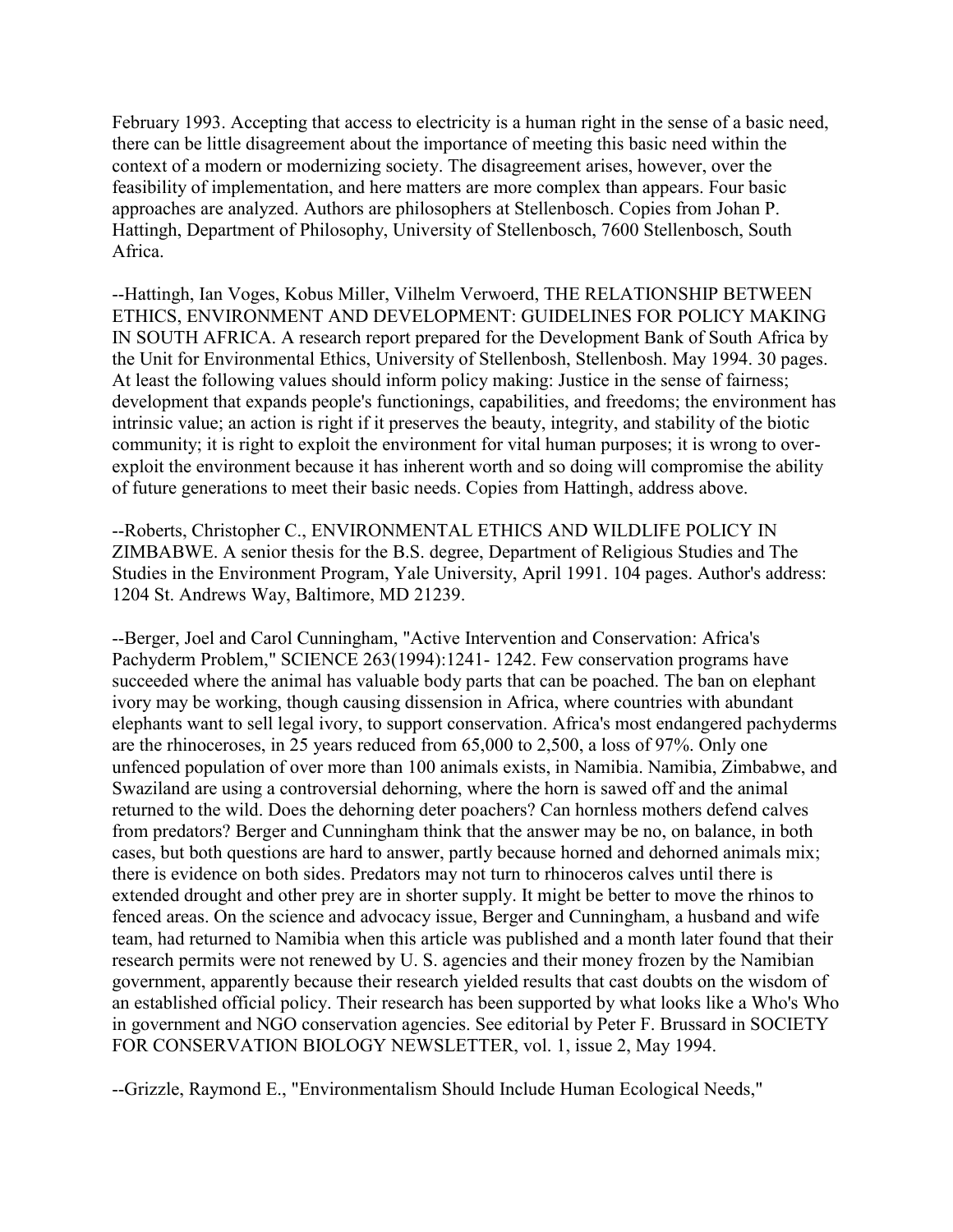February 1993. Accepting that access to electricity is a human right in the sense of a basic need, there can be little disagreement about the importance of meeting this basic need within the context of a modern or modernizing society. The disagreement arises, however, over the feasibility of implementation, and here matters are more complex than appears. Four basic approaches are analyzed. Authors are philosophers at Stellenbosch. Copies from Johan P. Hattingh, Department of Philosophy, University of Stellenbosch, 7600 Stellenbosch, South Africa.

--Hattingh, Ian Voges, Kobus Miller, Vilhelm Verwoerd, THE RELATIONSHIP BETWEEN ETHICS, ENVIRONMENT AND DEVELOPMENT: GUIDELINES FOR POLICY MAKING IN SOUTH AFRICA. A research report prepared for the Development Bank of South Africa by the Unit for Environmental Ethics, University of Stellenbosh, Stellenbosh. May 1994. 30 pages. At least the following values should inform policy making: Justice in the sense of fairness; development that expands people's functionings, capabilities, and freedoms; the environment has intrinsic value; an action is right if it preserves the beauty, integrity, and stability of the biotic community; it is right to exploit the environment for vital human purposes; it is wrong to overexploit the environment because it has inherent worth and so doing will compromise the ability of future generations to meet their basic needs. Copies from Hattingh, address above.

--Roberts, Christopher C., ENVIRONMENTAL ETHICS AND WILDLIFE POLICY IN ZIMBABWE. A senior thesis for the B.S. degree, Department of Religious Studies and The Studies in the Environment Program, Yale University, April 1991. 104 pages. Author's address: 1204 St. Andrews Way, Baltimore, MD 21239.

--Berger, Joel and Carol Cunningham, "Active Intervention and Conservation: Africa's Pachyderm Problem," SCIENCE 263(1994):1241- 1242. Few conservation programs have succeeded where the animal has valuable body parts that can be poached. The ban on elephant ivory may be working, though causing dissension in Africa, where countries with abundant elephants want to sell legal ivory, to support conservation. Africa's most endangered pachyderms are the rhinoceroses, in 25 years reduced from 65,000 to 2,500, a loss of 97%. Only one unfenced population of over more than 100 animals exists, in Namibia. Namibia, Zimbabwe, and Swaziland are using a controversial dehorning, where the horn is sawed off and the animal returned to the wild. Does the dehorning deter poachers? Can hornless mothers defend calves from predators? Berger and Cunningham think that the answer may be no, on balance, in both cases, but both questions are hard to answer, partly because horned and dehorned animals mix; there is evidence on both sides. Predators may not turn to rhinoceros calves until there is extended drought and other prey are in shorter supply. It might be better to move the rhinos to fenced areas. On the science and advocacy issue, Berger and Cunningham, a husband and wife team, had returned to Namibia when this article was published and a month later found that their research permits were not renewed by U. S. agencies and their money frozen by the Namibian government, apparently because their research yielded results that cast doubts on the wisdom of an established official policy. Their research has been supported by what looks like a Who's Who in government and NGO conservation agencies. See editorial by Peter F. Brussard in SOCIETY FOR CONSERVATION BIOLOGY NEWSLETTER, vol. 1, issue 2, May 1994.

--Grizzle, Raymond E., "Environmentalism Should Include Human Ecological Needs,"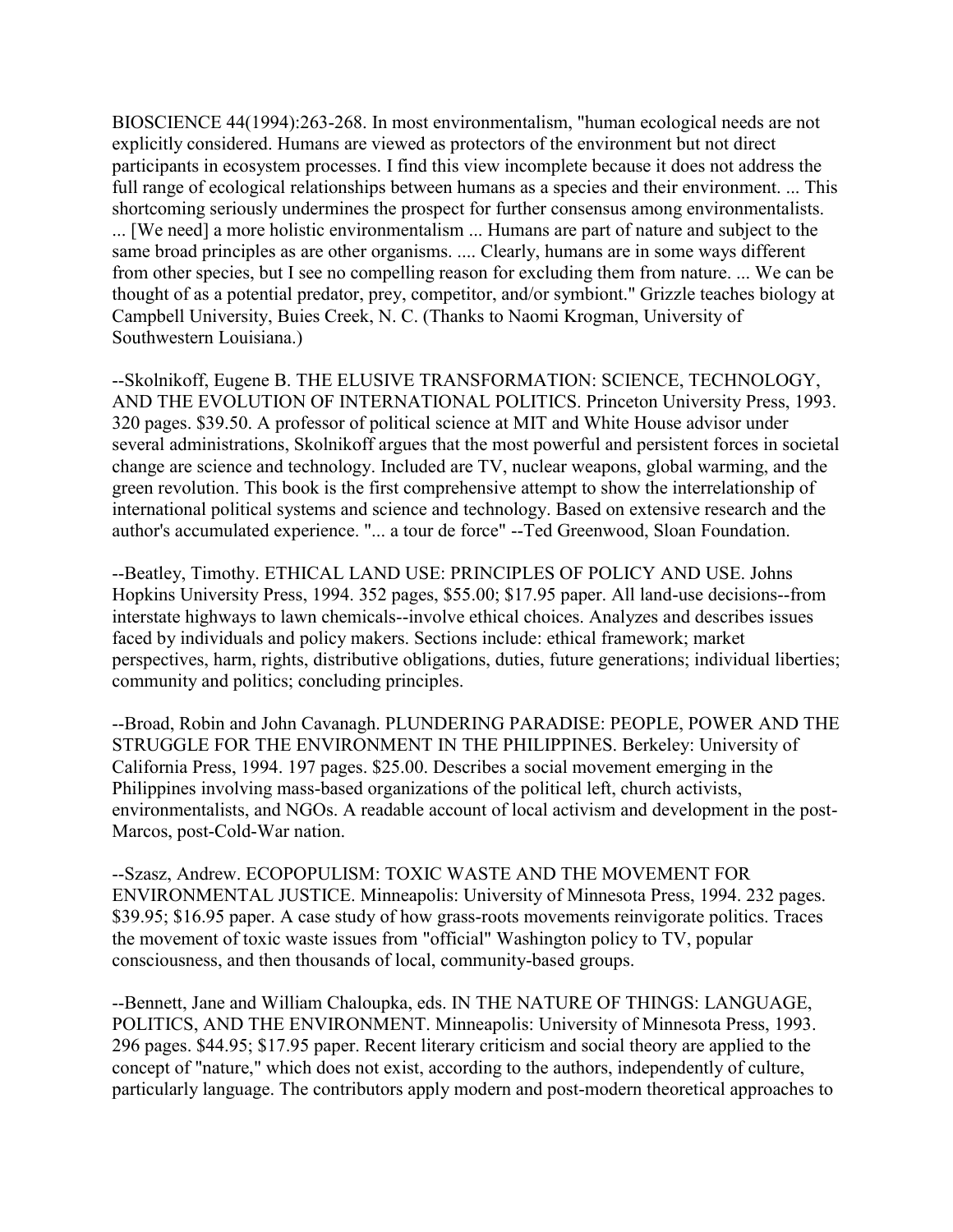BIOSCIENCE 44(1994):263-268. In most environmentalism, "human ecological needs are not explicitly considered. Humans are viewed as protectors of the environment but not direct participants in ecosystem processes. I find this view incomplete because it does not address the full range of ecological relationships between humans as a species and their environment. ... This shortcoming seriously undermines the prospect for further consensus among environmentalists. ... [We need] a more holistic environmentalism ... Humans are part of nature and subject to the same broad principles as are other organisms. .... Clearly, humans are in some ways different from other species, but I see no compelling reason for excluding them from nature. ... We can be thought of as a potential predator, prey, competitor, and/or symbiont." Grizzle teaches biology at Campbell University, Buies Creek, N. C. (Thanks to Naomi Krogman, University of Southwestern Louisiana.)

--Skolnikoff, Eugene B. THE ELUSIVE TRANSFORMATION: SCIENCE, TECHNOLOGY, AND THE EVOLUTION OF INTERNATIONAL POLITICS. Princeton University Press, 1993. 320 pages. \$39.50. A professor of political science at MIT and White House advisor under several administrations, Skolnikoff argues that the most powerful and persistent forces in societal change are science and technology. Included are TV, nuclear weapons, global warming, and the green revolution. This book is the first comprehensive attempt to show the interrelationship of international political systems and science and technology. Based on extensive research and the author's accumulated experience. "... a tour de force" --Ted Greenwood, Sloan Foundation.

--Beatley, Timothy. ETHICAL LAND USE: PRINCIPLES OF POLICY AND USE. Johns Hopkins University Press, 1994. 352 pages, \$55.00; \$17.95 paper. All land-use decisions--from interstate highways to lawn chemicals--involve ethical choices. Analyzes and describes issues faced by individuals and policy makers. Sections include: ethical framework; market perspectives, harm, rights, distributive obligations, duties, future generations; individual liberties; community and politics; concluding principles.

--Broad, Robin and John Cavanagh. PLUNDERING PARADISE: PEOPLE, POWER AND THE STRUGGLE FOR THE ENVIRONMENT IN THE PHILIPPINES. Berkeley: University of California Press, 1994. 197 pages. \$25.00. Describes a social movement emerging in the Philippines involving mass-based organizations of the political left, church activists, environmentalists, and NGOs. A readable account of local activism and development in the post-Marcos, post-Cold-War nation.

--Szasz, Andrew. ECOPOPULISM: TOXIC WASTE AND THE MOVEMENT FOR ENVIRONMENTAL JUSTICE. Minneapolis: University of Minnesota Press, 1994. 232 pages. \$39.95; \$16.95 paper. A case study of how grass-roots movements reinvigorate politics. Traces the movement of toxic waste issues from "official" Washington policy to TV, popular consciousness, and then thousands of local, community-based groups.

--Bennett, Jane and William Chaloupka, eds. IN THE NATURE OF THINGS: LANGUAGE, POLITICS, AND THE ENVIRONMENT. Minneapolis: University of Minnesota Press, 1993. 296 pages. \$44.95; \$17.95 paper. Recent literary criticism and social theory are applied to the concept of "nature," which does not exist, according to the authors, independently of culture, particularly language. The contributors apply modern and post-modern theoretical approaches to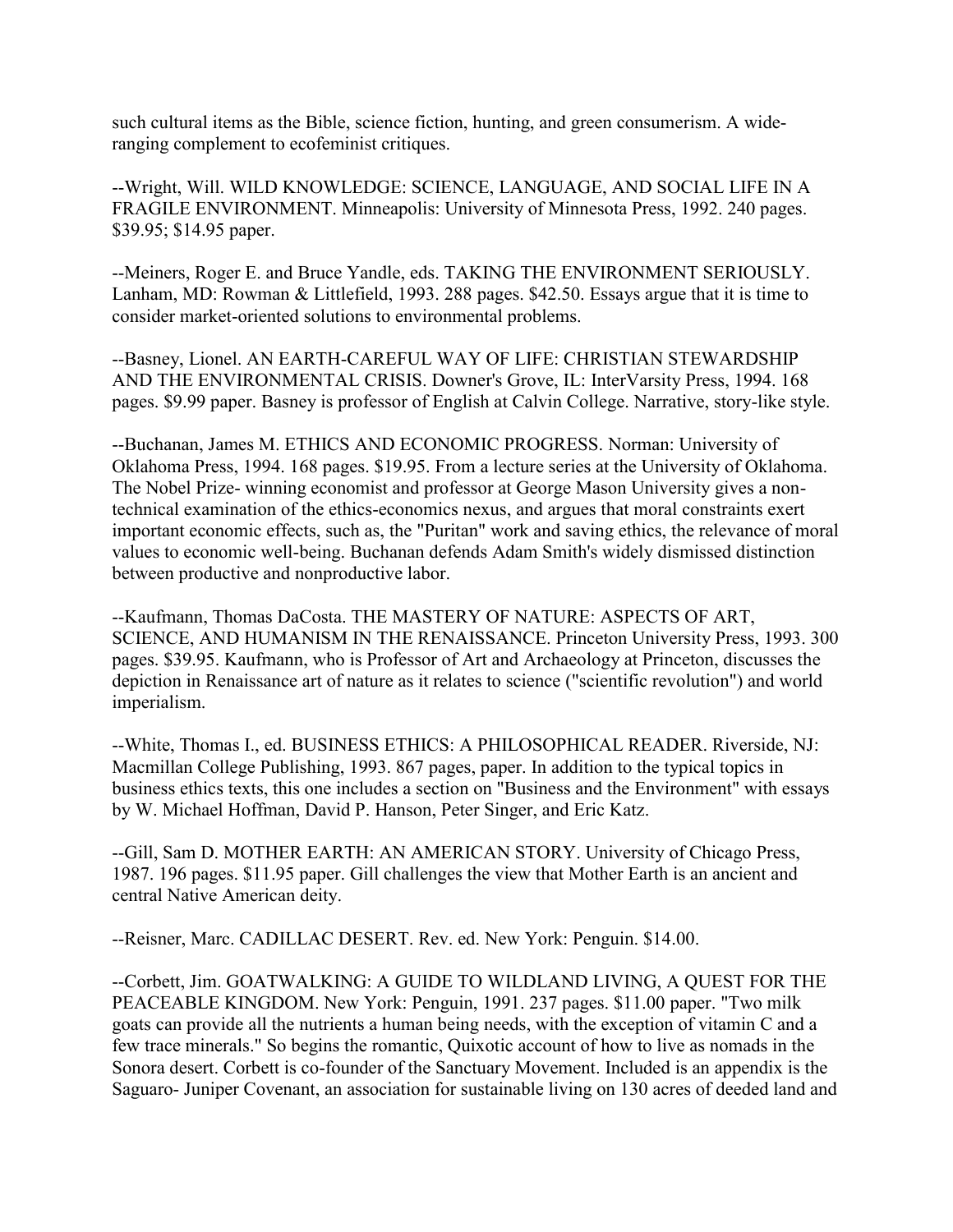such cultural items as the Bible, science fiction, hunting, and green consumerism. A wideranging complement to ecofeminist critiques.

--Wright, Will. WILD KNOWLEDGE: SCIENCE, LANGUAGE, AND SOCIAL LIFE IN A FRAGILE ENVIRONMENT. Minneapolis: University of Minnesota Press, 1992. 240 pages. \$39.95; \$14.95 paper.

--Meiners, Roger E. and Bruce Yandle, eds. TAKING THE ENVIRONMENT SERIOUSLY. Lanham, MD: Rowman & Littlefield, 1993. 288 pages. \$42.50. Essays argue that it is time to consider market-oriented solutions to environmental problems.

--Basney, Lionel. AN EARTH-CAREFUL WAY OF LIFE: CHRISTIAN STEWARDSHIP AND THE ENVIRONMENTAL CRISIS. Downer's Grove, IL: InterVarsity Press, 1994. 168 pages. \$9.99 paper. Basney is professor of English at Calvin College. Narrative, story-like style.

--Buchanan, James M. ETHICS AND ECONOMIC PROGRESS. Norman: University of Oklahoma Press, 1994. 168 pages. \$19.95. From a lecture series at the University of Oklahoma. The Nobel Prize- winning economist and professor at George Mason University gives a nontechnical examination of the ethics-economics nexus, and argues that moral constraints exert important economic effects, such as, the "Puritan" work and saving ethics, the relevance of moral values to economic well-being. Buchanan defends Adam Smith's widely dismissed distinction between productive and nonproductive labor.

--Kaufmann, Thomas DaCosta. THE MASTERY OF NATURE: ASPECTS OF ART, SCIENCE, AND HUMANISM IN THE RENAISSANCE. Princeton University Press, 1993. 300 pages. \$39.95. Kaufmann, who is Professor of Art and Archaeology at Princeton, discusses the depiction in Renaissance art of nature as it relates to science ("scientific revolution") and world imperialism.

--White, Thomas I., ed. BUSINESS ETHICS: A PHILOSOPHICAL READER. Riverside, NJ: Macmillan College Publishing, 1993. 867 pages, paper. In addition to the typical topics in business ethics texts, this one includes a section on "Business and the Environment" with essays by W. Michael Hoffman, David P. Hanson, Peter Singer, and Eric Katz.

--Gill, Sam D. MOTHER EARTH: AN AMERICAN STORY. University of Chicago Press, 1987. 196 pages. \$11.95 paper. Gill challenges the view that Mother Earth is an ancient and central Native American deity.

--Reisner, Marc. CADILLAC DESERT. Rev. ed. New York: Penguin. \$14.00.

--Corbett, Jim. GOATWALKING: A GUIDE TO WILDLAND LIVING, A QUEST FOR THE PEACEABLE KINGDOM. New York: Penguin, 1991. 237 pages. \$11.00 paper. "Two milk goats can provide all the nutrients a human being needs, with the exception of vitamin C and a few trace minerals." So begins the romantic, Quixotic account of how to live as nomads in the Sonora desert. Corbett is co-founder of the Sanctuary Movement. Included is an appendix is the Saguaro- Juniper Covenant, an association for sustainable living on 130 acres of deeded land and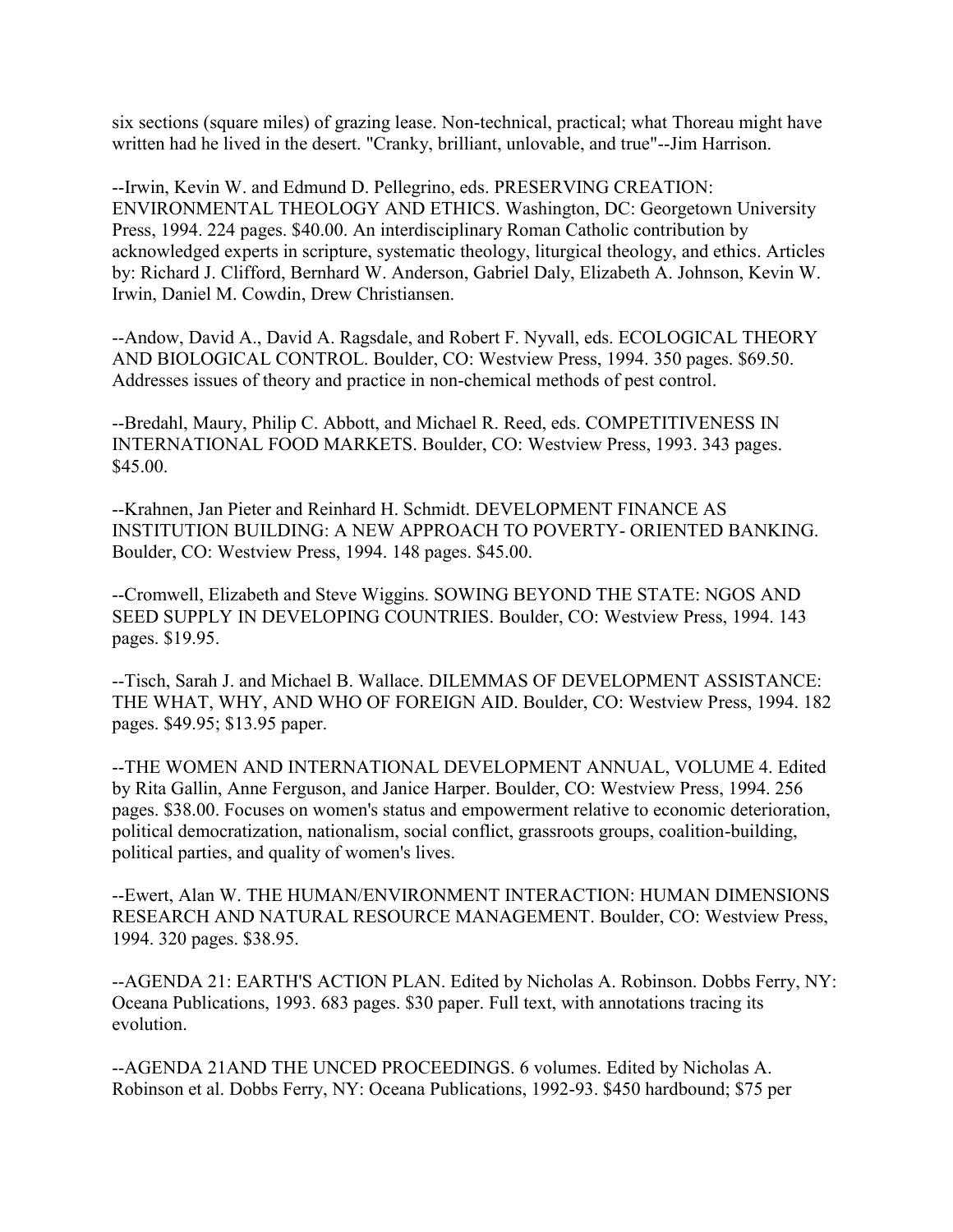six sections (square miles) of grazing lease. Non-technical, practical; what Thoreau might have written had he lived in the desert. "Cranky, brilliant, unlovable, and true"--Jim Harrison.

--Irwin, Kevin W. and Edmund D. Pellegrino, eds. PRESERVING CREATION: ENVIRONMENTAL THEOLOGY AND ETHICS. Washington, DC: Georgetown University Press, 1994. 224 pages. \$40.00. An interdisciplinary Roman Catholic contribution by acknowledged experts in scripture, systematic theology, liturgical theology, and ethics. Articles by: Richard J. Clifford, Bernhard W. Anderson, Gabriel Daly, Elizabeth A. Johnson, Kevin W. Irwin, Daniel M. Cowdin, Drew Christiansen.

--Andow, David A., David A. Ragsdale, and Robert F. Nyvall, eds. ECOLOGICAL THEORY AND BIOLOGICAL CONTROL. Boulder, CO: Westview Press, 1994. 350 pages. \$69.50. Addresses issues of theory and practice in non-chemical methods of pest control.

--Bredahl, Maury, Philip C. Abbott, and Michael R. Reed, eds. COMPETITIVENESS IN INTERNATIONAL FOOD MARKETS. Boulder, CO: Westview Press, 1993. 343 pages. \$45.00.

--Krahnen, Jan Pieter and Reinhard H. Schmidt. DEVELOPMENT FINANCE AS INSTITUTION BUILDING: A NEW APPROACH TO POVERTY- ORIENTED BANKING. Boulder, CO: Westview Press, 1994. 148 pages. \$45.00.

--Cromwell, Elizabeth and Steve Wiggins. SOWING BEYOND THE STATE: NGOS AND SEED SUPPLY IN DEVELOPING COUNTRIES. Boulder, CO: Westview Press, 1994. 143 pages. \$19.95.

--Tisch, Sarah J. and Michael B. Wallace. DILEMMAS OF DEVELOPMENT ASSISTANCE: THE WHAT, WHY, AND WHO OF FOREIGN AID. Boulder, CO: Westview Press, 1994. 182 pages. \$49.95; \$13.95 paper.

--THE WOMEN AND INTERNATIONAL DEVELOPMENT ANNUAL, VOLUME 4. Edited by Rita Gallin, Anne Ferguson, and Janice Harper. Boulder, CO: Westview Press, 1994. 256 pages. \$38.00. Focuses on women's status and empowerment relative to economic deterioration, political democratization, nationalism, social conflict, grassroots groups, coalition-building, political parties, and quality of women's lives.

--Ewert, Alan W. THE HUMAN/ENVIRONMENT INTERACTION: HUMAN DIMENSIONS RESEARCH AND NATURAL RESOURCE MANAGEMENT. Boulder, CO: Westview Press, 1994. 320 pages. \$38.95.

--AGENDA 21: EARTH'S ACTION PLAN. Edited by Nicholas A. Robinson. Dobbs Ferry, NY: Oceana Publications, 1993. 683 pages. \$30 paper. Full text, with annotations tracing its evolution.

--AGENDA 21AND THE UNCED PROCEEDINGS. 6 volumes. Edited by Nicholas A. Robinson et al. Dobbs Ferry, NY: Oceana Publications, 1992-93. \$450 hardbound; \$75 per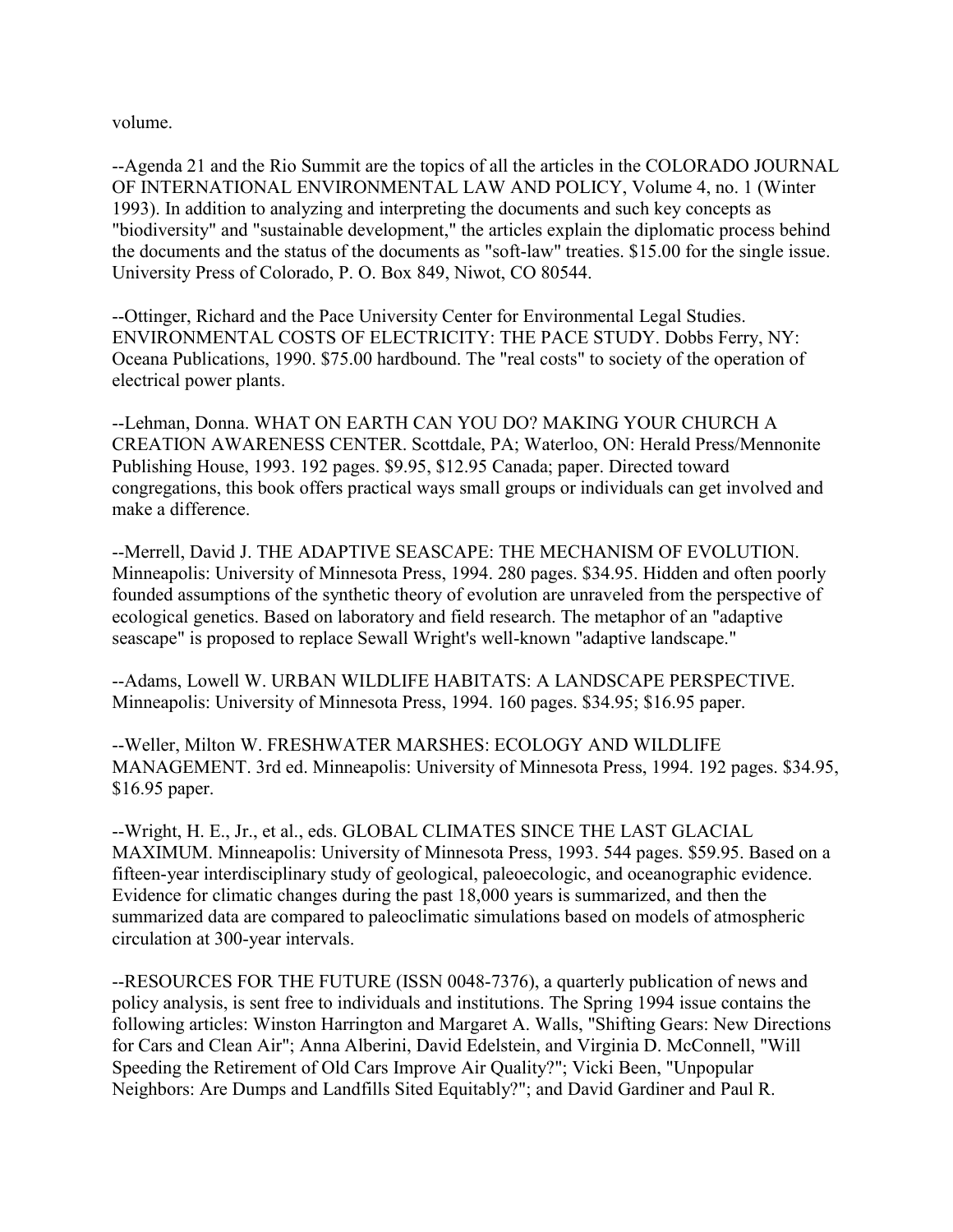volume.

--Agenda 21 and the Rio Summit are the topics of all the articles in the COLORADO JOURNAL OF INTERNATIONAL ENVIRONMENTAL LAW AND POLICY, Volume 4, no. 1 (Winter 1993). In addition to analyzing and interpreting the documents and such key concepts as "biodiversity" and "sustainable development," the articles explain the diplomatic process behind the documents and the status of the documents as "soft-law" treaties. \$15.00 for the single issue. University Press of Colorado, P. O. Box 849, Niwot, CO 80544.

--Ottinger, Richard and the Pace University Center for Environmental Legal Studies. ENVIRONMENTAL COSTS OF ELECTRICITY: THE PACE STUDY. Dobbs Ferry, NY: Oceana Publications, 1990. \$75.00 hardbound. The "real costs" to society of the operation of electrical power plants.

--Lehman, Donna. WHAT ON EARTH CAN YOU DO? MAKING YOUR CHURCH A CREATION AWARENESS CENTER. Scottdale, PA; Waterloo, ON: Herald Press/Mennonite Publishing House, 1993. 192 pages. \$9.95, \$12.95 Canada; paper. Directed toward congregations, this book offers practical ways small groups or individuals can get involved and make a difference.

--Merrell, David J. THE ADAPTIVE SEASCAPE: THE MECHANISM OF EVOLUTION. Minneapolis: University of Minnesota Press, 1994. 280 pages. \$34.95. Hidden and often poorly founded assumptions of the synthetic theory of evolution are unraveled from the perspective of ecological genetics. Based on laboratory and field research. The metaphor of an "adaptive seascape" is proposed to replace Sewall Wright's well-known "adaptive landscape."

--Adams, Lowell W. URBAN WILDLIFE HABITATS: A LANDSCAPE PERSPECTIVE. Minneapolis: University of Minnesota Press, 1994. 160 pages. \$34.95; \$16.95 paper.

--Weller, Milton W. FRESHWATER MARSHES: ECOLOGY AND WILDLIFE MANAGEMENT. 3rd ed. Minneapolis: University of Minnesota Press, 1994. 192 pages. \$34.95, \$16.95 paper.

--Wright, H. E., Jr., et al., eds. GLOBAL CLIMATES SINCE THE LAST GLACIAL MAXIMUM. Minneapolis: University of Minnesota Press, 1993. 544 pages. \$59.95. Based on a fifteen-year interdisciplinary study of geological, paleoecologic, and oceanographic evidence. Evidence for climatic changes during the past 18,000 years is summarized, and then the summarized data are compared to paleoclimatic simulations based on models of atmospheric circulation at 300-year intervals.

--RESOURCES FOR THE FUTURE (ISSN 0048-7376), a quarterly publication of news and policy analysis, is sent free to individuals and institutions. The Spring 1994 issue contains the following articles: Winston Harrington and Margaret A. Walls, "Shifting Gears: New Directions for Cars and Clean Air"; Anna Alberini, David Edelstein, and Virginia D. McConnell, "Will Speeding the Retirement of Old Cars Improve Air Quality?"; Vicki Been, "Unpopular Neighbors: Are Dumps and Landfills Sited Equitably?"; and David Gardiner and Paul R.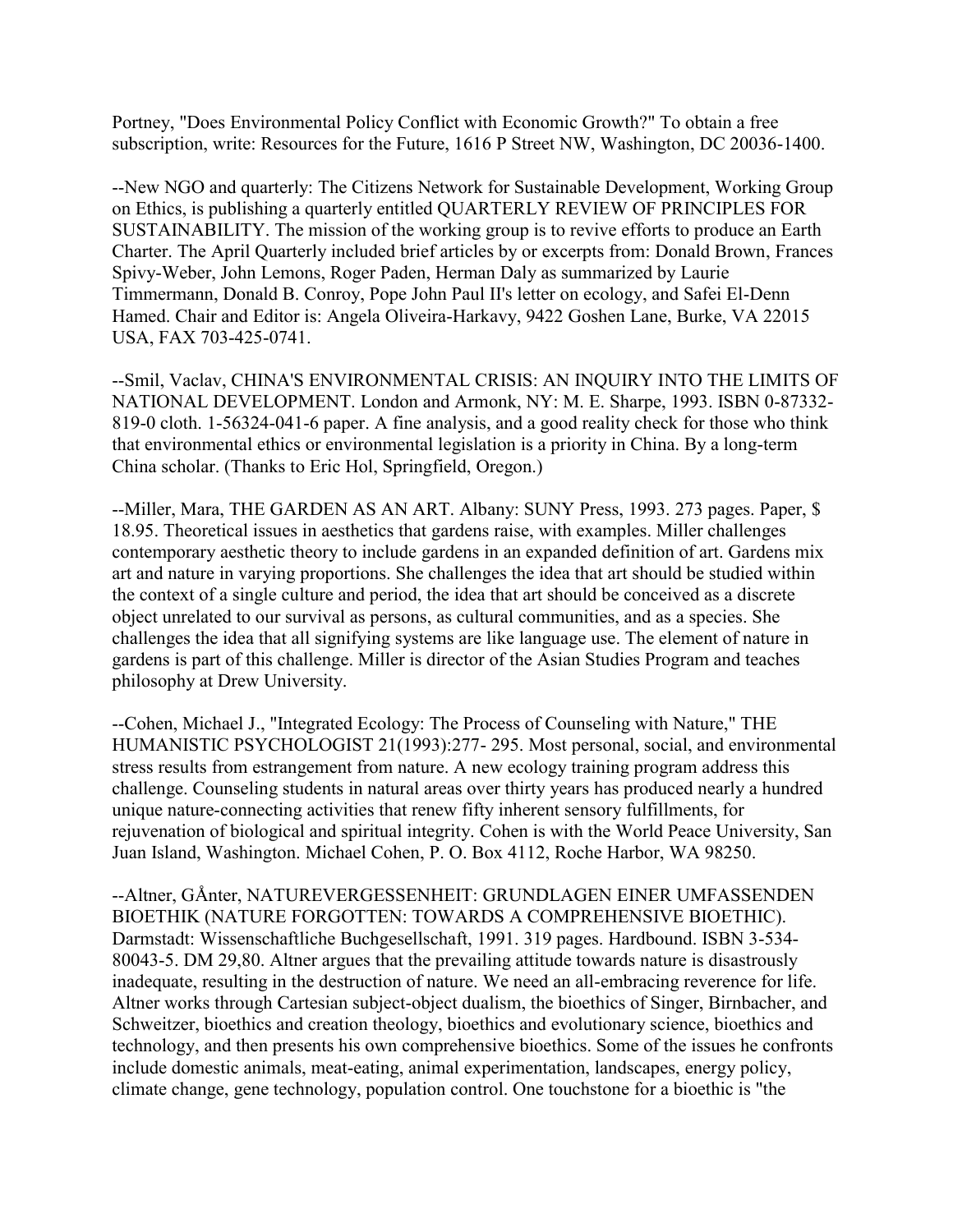Portney, "Does Environmental Policy Conflict with Economic Growth?" To obtain a free subscription, write: Resources for the Future, 1616 P Street NW, Washington, DC 20036-1400.

--New NGO and quarterly: The Citizens Network for Sustainable Development, Working Group on Ethics, is publishing a quarterly entitled QUARTERLY REVIEW OF PRINCIPLES FOR SUSTAINABILITY. The mission of the working group is to revive efforts to produce an Earth Charter. The April Quarterly included brief articles by or excerpts from: Donald Brown, Frances Spivy-Weber, John Lemons, Roger Paden, Herman Daly as summarized by Laurie Timmermann, Donald B. Conroy, Pope John Paul II's letter on ecology, and Safei El-Denn Hamed. Chair and Editor is: Angela Oliveira-Harkavy, 9422 Goshen Lane, Burke, VA 22015 USA, FAX 703-425-0741.

--Smil, Vaclav, CHINA'S ENVIRONMENTAL CRISIS: AN INQUIRY INTO THE LIMITS OF NATIONAL DEVELOPMENT. London and Armonk, NY: M. E. Sharpe, 1993. ISBN 0-87332- 819-0 cloth. 1-56324-041-6 paper. A fine analysis, and a good reality check for those who think that environmental ethics or environmental legislation is a priority in China. By a long-term China scholar. (Thanks to Eric Hol, Springfield, Oregon.)

--Miller, Mara, THE GARDEN AS AN ART. Albany: SUNY Press, 1993. 273 pages. Paper, \$ 18.95. Theoretical issues in aesthetics that gardens raise, with examples. Miller challenges contemporary aesthetic theory to include gardens in an expanded definition of art. Gardens mix art and nature in varying proportions. She challenges the idea that art should be studied within the context of a single culture and period, the idea that art should be conceived as a discrete object unrelated to our survival as persons, as cultural communities, and as a species. She challenges the idea that all signifying systems are like language use. The element of nature in gardens is part of this challenge. Miller is director of the Asian Studies Program and teaches philosophy at Drew University.

--Cohen, Michael J., "Integrated Ecology: The Process of Counseling with Nature," THE HUMANISTIC PSYCHOLOGIST 21(1993):277- 295. Most personal, social, and environmental stress results from estrangement from nature. A new ecology training program address this challenge. Counseling students in natural areas over thirty years has produced nearly a hundred unique nature-connecting activities that renew fifty inherent sensory fulfillments, for rejuvenation of biological and spiritual integrity. Cohen is with the World Peace University, San Juan Island, Washington. Michael Cohen, P. O. Box 4112, Roche Harbor, WA 98250.

--Altner, GÅnter, NATUREVERGESSENHEIT: GRUNDLAGEN EINER UMFASSENDEN BIOETHIK (NATURE FORGOTTEN: TOWARDS A COMPREHENSIVE BIOETHIC). Darmstadt: Wissenschaftliche Buchgesellschaft, 1991. 319 pages. Hardbound. ISBN 3-534- 80043-5. DM 29,80. Altner argues that the prevailing attitude towards nature is disastrously inadequate, resulting in the destruction of nature. We need an all-embracing reverence for life. Altner works through Cartesian subject-object dualism, the bioethics of Singer, Birnbacher, and Schweitzer, bioethics and creation theology, bioethics and evolutionary science, bioethics and technology, and then presents his own comprehensive bioethics. Some of the issues he confronts include domestic animals, meat-eating, animal experimentation, landscapes, energy policy, climate change, gene technology, population control. One touchstone for a bioethic is "the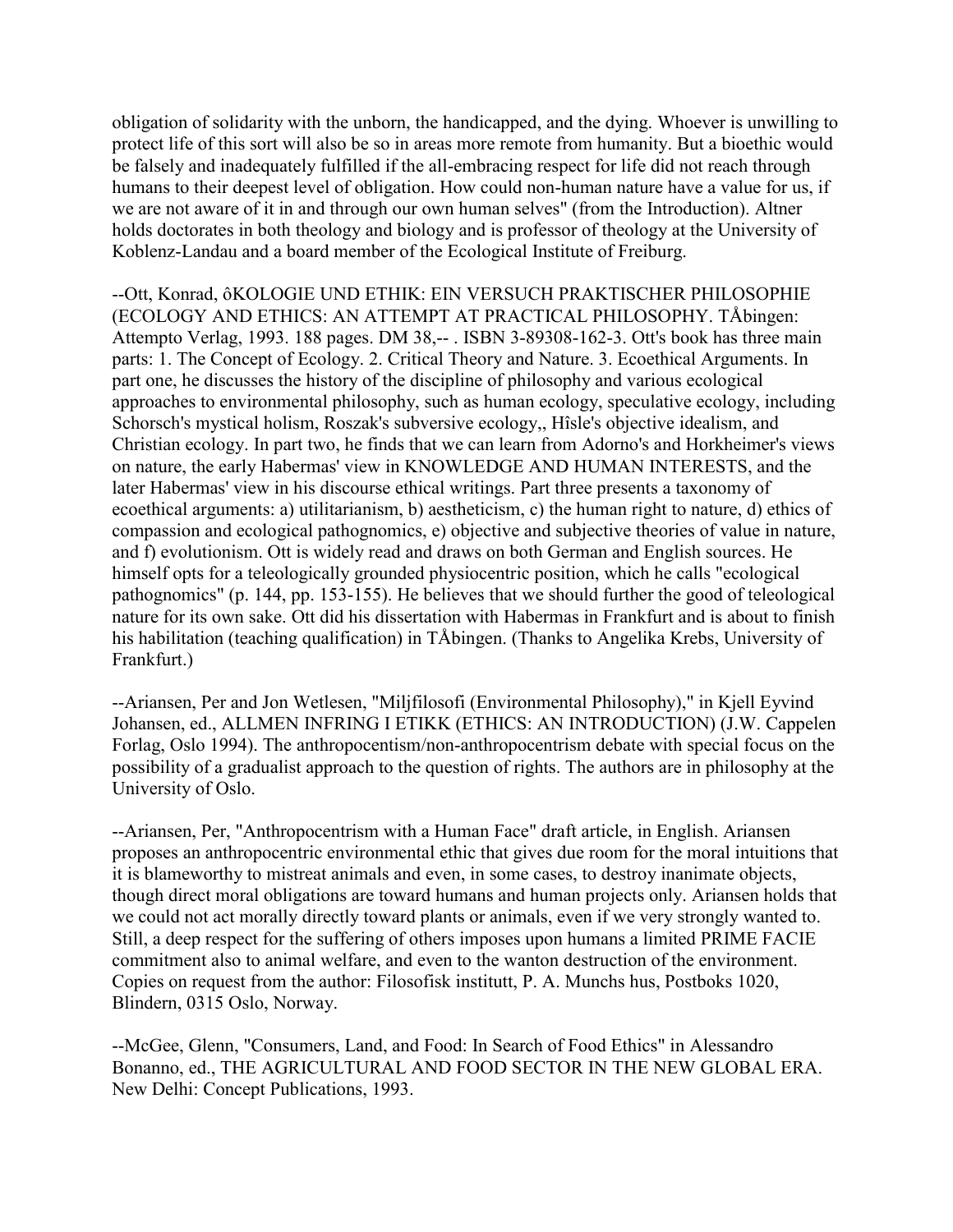obligation of solidarity with the unborn, the handicapped, and the dying. Whoever is unwilling to protect life of this sort will also be so in areas more remote from humanity. But a bioethic would be falsely and inadequately fulfilled if the all-embracing respect for life did not reach through humans to their deepest level of obligation. How could non-human nature have a value for us, if we are not aware of it in and through our own human selves" (from the Introduction). Altner holds doctorates in both theology and biology and is professor of theology at the University of Koblenz-Landau and a board member of the Ecological Institute of Freiburg.

--Ott, Konrad, ôKOLOGIE UND ETHIK: EIN VERSUCH PRAKTISCHER PHILOSOPHIE (ECOLOGY AND ETHICS: AN ATTEMPT AT PRACTICAL PHILOSOPHY. TÅbingen: Attempto Verlag, 1993. 188 pages. DM 38,-- . ISBN 3-89308-162-3. Ott's book has three main parts: 1. The Concept of Ecology. 2. Critical Theory and Nature. 3. Ecoethical Arguments. In part one, he discusses the history of the discipline of philosophy and various ecological approaches to environmental philosophy, such as human ecology, speculative ecology, including Schorsch's mystical holism, Roszak's subversive ecology,, Hîsle's objective idealism, and Christian ecology. In part two, he finds that we can learn from Adorno's and Horkheimer's views on nature, the early Habermas' view in KNOWLEDGE AND HUMAN INTERESTS, and the later Habermas' view in his discourse ethical writings. Part three presents a taxonomy of ecoethical arguments: a) utilitarianism, b) aestheticism, c) the human right to nature, d) ethics of compassion and ecological pathognomics, e) objective and subjective theories of value in nature, and f) evolutionism. Ott is widely read and draws on both German and English sources. He himself opts for a teleologically grounded physiocentric position, which he calls "ecological pathognomics" (p. 144, pp. 153-155). He believes that we should further the good of teleological nature for its own sake. Ott did his dissertation with Habermas in Frankfurt and is about to finish his habilitation (teaching qualification) in TÅbingen. (Thanks to Angelika Krebs, University of Frankfurt.)

--Ariansen, Per and Jon Wetlesen, "Miljfilosofi (Environmental Philosophy)," in Kjell Eyvind Johansen, ed., ALLMEN INFRING I ETIKK (ETHICS: AN INTRODUCTION) (J.W. Cappelen Forlag, Oslo 1994). The anthropocentism/non-anthropocentrism debate with special focus on the possibility of a gradualist approach to the question of rights. The authors are in philosophy at the University of Oslo.

--Ariansen, Per, "Anthropocentrism with a Human Face" draft article, in English. Ariansen proposes an anthropocentric environmental ethic that gives due room for the moral intuitions that it is blameworthy to mistreat animals and even, in some cases, to destroy inanimate objects, though direct moral obligations are toward humans and human projects only. Ariansen holds that we could not act morally directly toward plants or animals, even if we very strongly wanted to. Still, a deep respect for the suffering of others imposes upon humans a limited PRIME FACIE commitment also to animal welfare, and even to the wanton destruction of the environment. Copies on request from the author: Filosofisk institutt, P. A. Munchs hus, Postboks 1020, Blindern, 0315 Oslo, Norway.

--McGee, Glenn, "Consumers, Land, and Food: In Search of Food Ethics" in Alessandro Bonanno, ed., THE AGRICULTURAL AND FOOD SECTOR IN THE NEW GLOBAL ERA. New Delhi: Concept Publications, 1993.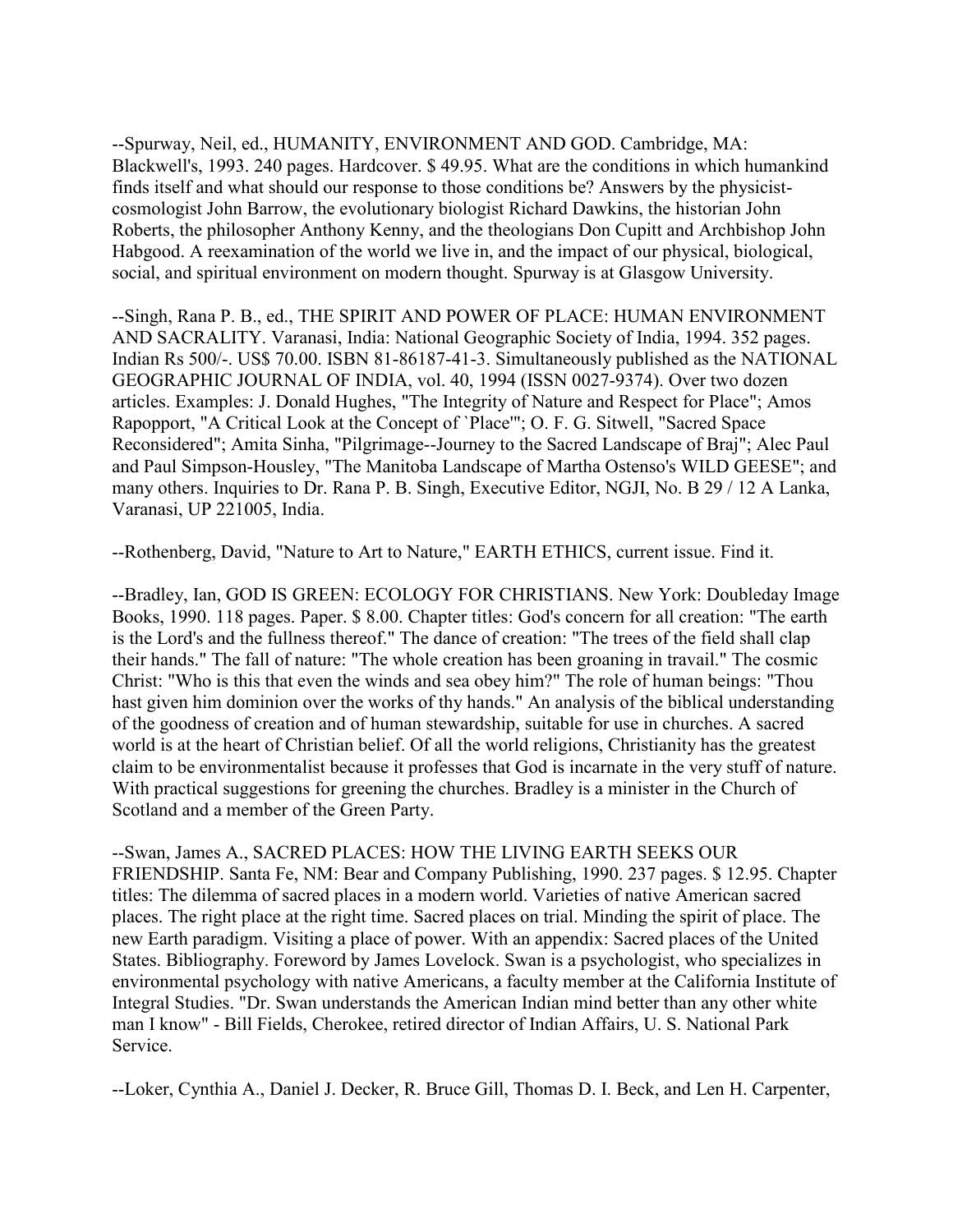--Spurway, Neil, ed., HUMANITY, ENVIRONMENT AND GOD. Cambridge, MA: Blackwell's, 1993. 240 pages. Hardcover. \$ 49.95. What are the conditions in which humankind finds itself and what should our response to those conditions be? Answers by the physicistcosmologist John Barrow, the evolutionary biologist Richard Dawkins, the historian John Roberts, the philosopher Anthony Kenny, and the theologians Don Cupitt and Archbishop John Habgood. A reexamination of the world we live in, and the impact of our physical, biological, social, and spiritual environment on modern thought. Spurway is at Glasgow University.

--Singh, Rana P. B., ed., THE SPIRIT AND POWER OF PLACE: HUMAN ENVIRONMENT AND SACRALITY. Varanasi, India: National Geographic Society of India, 1994. 352 pages. Indian Rs 500/-. US\$ 70.00. ISBN 81-86187-41-3. Simultaneously published as the NATIONAL GEOGRAPHIC JOURNAL OF INDIA, vol. 40, 1994 (ISSN 0027-9374). Over two dozen articles. Examples: J. Donald Hughes, "The Integrity of Nature and Respect for Place"; Amos Rapopport, "A Critical Look at the Concept of `Place'"; O. F. G. Sitwell, "Sacred Space Reconsidered"; Amita Sinha, "Pilgrimage--Journey to the Sacred Landscape of Braj"; Alec Paul and Paul Simpson-Housley, "The Manitoba Landscape of Martha Ostenso's WILD GEESE"; and many others. Inquiries to Dr. Rana P. B. Singh, Executive Editor, NGJI, No. B 29 / 12 A Lanka, Varanasi, UP 221005, India.

--Rothenberg, David, "Nature to Art to Nature," EARTH ETHICS, current issue. Find it.

--Bradley, Ian, GOD IS GREEN: ECOLOGY FOR CHRISTIANS. New York: Doubleday Image Books, 1990. 118 pages. Paper. \$ 8.00. Chapter titles: God's concern for all creation: "The earth is the Lord's and the fullness thereof." The dance of creation: "The trees of the field shall clap their hands." The fall of nature: "The whole creation has been groaning in travail." The cosmic Christ: "Who is this that even the winds and sea obey him?" The role of human beings: "Thou hast given him dominion over the works of thy hands." An analysis of the biblical understanding of the goodness of creation and of human stewardship, suitable for use in churches. A sacred world is at the heart of Christian belief. Of all the world religions, Christianity has the greatest claim to be environmentalist because it professes that God is incarnate in the very stuff of nature. With practical suggestions for greening the churches. Bradley is a minister in the Church of Scotland and a member of the Green Party.

--Swan, James A., SACRED PLACES: HOW THE LIVING EARTH SEEKS OUR FRIENDSHIP. Santa Fe, NM: Bear and Company Publishing, 1990. 237 pages. \$ 12.95. Chapter titles: The dilemma of sacred places in a modern world. Varieties of native American sacred places. The right place at the right time. Sacred places on trial. Minding the spirit of place. The new Earth paradigm. Visiting a place of power. With an appendix: Sacred places of the United States. Bibliography. Foreword by James Lovelock. Swan is a psychologist, who specializes in environmental psychology with native Americans, a faculty member at the California Institute of Integral Studies. "Dr. Swan understands the American Indian mind better than any other white man I know" - Bill Fields, Cherokee, retired director of Indian Affairs, U. S. National Park Service.

--Loker, Cynthia A., Daniel J. Decker, R. Bruce Gill, Thomas D. I. Beck, and Len H. Carpenter,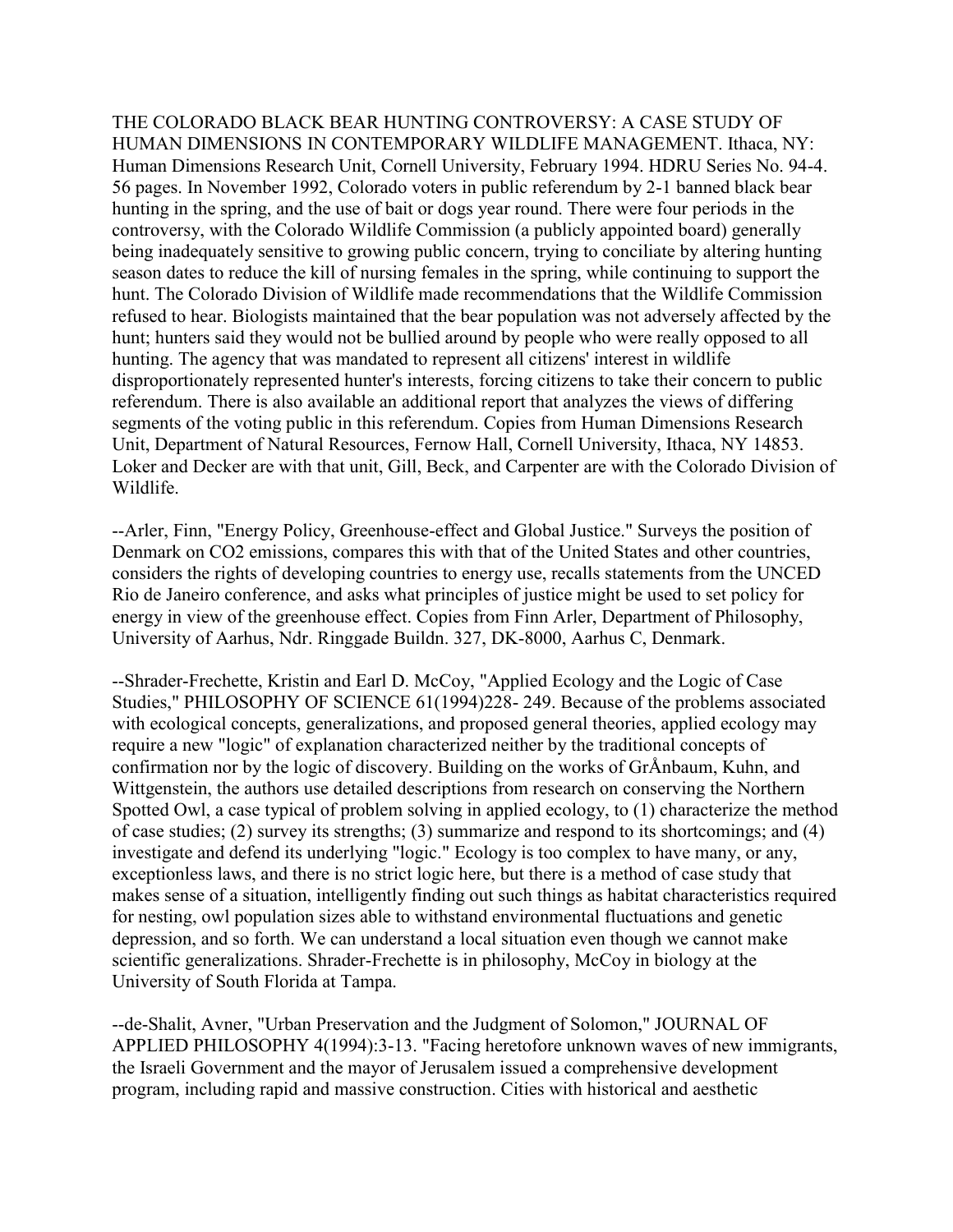THE COLORADO BLACK BEAR HUNTING CONTROVERSY: A CASE STUDY OF HUMAN DIMENSIONS IN CONTEMPORARY WILDLIFE MANAGEMENT. Ithaca, NY: Human Dimensions Research Unit, Cornell University, February 1994. HDRU Series No. 94-4. 56 pages. In November 1992, Colorado voters in public referendum by 2-1 banned black bear hunting in the spring, and the use of bait or dogs year round. There were four periods in the controversy, with the Colorado Wildlife Commission (a publicly appointed board) generally being inadequately sensitive to growing public concern, trying to conciliate by altering hunting season dates to reduce the kill of nursing females in the spring, while continuing to support the hunt. The Colorado Division of Wildlife made recommendations that the Wildlife Commission refused to hear. Biologists maintained that the bear population was not adversely affected by the hunt; hunters said they would not be bullied around by people who were really opposed to all hunting. The agency that was mandated to represent all citizens' interest in wildlife disproportionately represented hunter's interests, forcing citizens to take their concern to public referendum. There is also available an additional report that analyzes the views of differing segments of the voting public in this referendum. Copies from Human Dimensions Research Unit, Department of Natural Resources, Fernow Hall, Cornell University, Ithaca, NY 14853. Loker and Decker are with that unit, Gill, Beck, and Carpenter are with the Colorado Division of Wildlife.

--Arler, Finn, "Energy Policy, Greenhouse-effect and Global Justice." Surveys the position of Denmark on CO2 emissions, compares this with that of the United States and other countries, considers the rights of developing countries to energy use, recalls statements from the UNCED Rio de Janeiro conference, and asks what principles of justice might be used to set policy for energy in view of the greenhouse effect. Copies from Finn Arler, Department of Philosophy, University of Aarhus, Ndr. Ringgade Buildn. 327, DK-8000, Aarhus C, Denmark.

--Shrader-Frechette, Kristin and Earl D. McCoy, "Applied Ecology and the Logic of Case Studies," PHILOSOPHY OF SCIENCE 61(1994)228- 249. Because of the problems associated with ecological concepts, generalizations, and proposed general theories, applied ecology may require a new "logic" of explanation characterized neither by the traditional concepts of confirmation nor by the logic of discovery. Building on the works of GrÅnbaum, Kuhn, and Wittgenstein, the authors use detailed descriptions from research on conserving the Northern Spotted Owl, a case typical of problem solving in applied ecology, to (1) characterize the method of case studies; (2) survey its strengths; (3) summarize and respond to its shortcomings; and (4) investigate and defend its underlying "logic." Ecology is too complex to have many, or any, exceptionless laws, and there is no strict logic here, but there is a method of case study that makes sense of a situation, intelligently finding out such things as habitat characteristics required for nesting, owl population sizes able to withstand environmental fluctuations and genetic depression, and so forth. We can understand a local situation even though we cannot make scientific generalizations. Shrader-Frechette is in philosophy, McCoy in biology at the University of South Florida at Tampa.

--de-Shalit, Avner, "Urban Preservation and the Judgment of Solomon," JOURNAL OF APPLIED PHILOSOPHY 4(1994):3-13. "Facing heretofore unknown waves of new immigrants, the Israeli Government and the mayor of Jerusalem issued a comprehensive development program, including rapid and massive construction. Cities with historical and aesthetic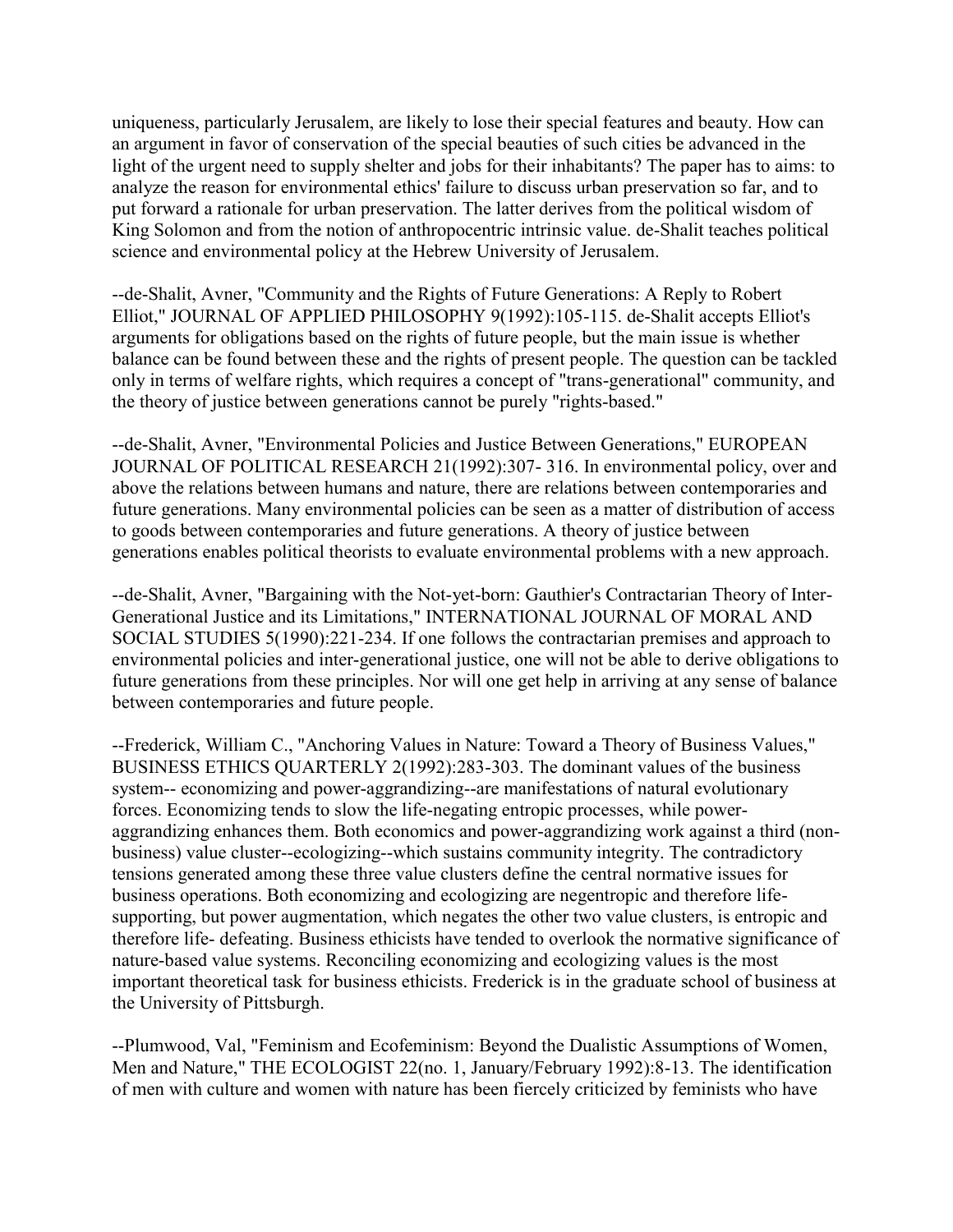uniqueness, particularly Jerusalem, are likely to lose their special features and beauty. How can an argument in favor of conservation of the special beauties of such cities be advanced in the light of the urgent need to supply shelter and jobs for their inhabitants? The paper has to aims: to analyze the reason for environmental ethics' failure to discuss urban preservation so far, and to put forward a rationale for urban preservation. The latter derives from the political wisdom of King Solomon and from the notion of anthropocentric intrinsic value. de-Shalit teaches political science and environmental policy at the Hebrew University of Jerusalem.

--de-Shalit, Avner, "Community and the Rights of Future Generations: A Reply to Robert Elliot," JOURNAL OF APPLIED PHILOSOPHY 9(1992):105-115. de-Shalit accepts Elliot's arguments for obligations based on the rights of future people, but the main issue is whether balance can be found between these and the rights of present people. The question can be tackled only in terms of welfare rights, which requires a concept of "trans-generational" community, and the theory of justice between generations cannot be purely "rights-based."

--de-Shalit, Avner, "Environmental Policies and Justice Between Generations," EUROPEAN JOURNAL OF POLITICAL RESEARCH 21(1992):307- 316. In environmental policy, over and above the relations between humans and nature, there are relations between contemporaries and future generations. Many environmental policies can be seen as a matter of distribution of access to goods between contemporaries and future generations. A theory of justice between generations enables political theorists to evaluate environmental problems with a new approach.

--de-Shalit, Avner, "Bargaining with the Not-yet-born: Gauthier's Contractarian Theory of Inter-Generational Justice and its Limitations," INTERNATIONAL JOURNAL OF MORAL AND SOCIAL STUDIES 5(1990):221-234. If one follows the contractarian premises and approach to environmental policies and inter-generational justice, one will not be able to derive obligations to future generations from these principles. Nor will one get help in arriving at any sense of balance between contemporaries and future people.

--Frederick, William C., "Anchoring Values in Nature: Toward a Theory of Business Values," BUSINESS ETHICS QUARTERLY 2(1992):283-303. The dominant values of the business system-- economizing and power-aggrandizing--are manifestations of natural evolutionary forces. Economizing tends to slow the life-negating entropic processes, while poweraggrandizing enhances them. Both economics and power-aggrandizing work against a third (nonbusiness) value cluster--ecologizing--which sustains community integrity. The contradictory tensions generated among these three value clusters define the central normative issues for business operations. Both economizing and ecologizing are negentropic and therefore lifesupporting, but power augmentation, which negates the other two value clusters, is entropic and therefore life- defeating. Business ethicists have tended to overlook the normative significance of nature-based value systems. Reconciling economizing and ecologizing values is the most important theoretical task for business ethicists. Frederick is in the graduate school of business at the University of Pittsburgh.

--Plumwood, Val, "Feminism and Ecofeminism: Beyond the Dualistic Assumptions of Women, Men and Nature," THE ECOLOGIST 22(no. 1, January/February 1992):8-13. The identification of men with culture and women with nature has been fiercely criticized by feminists who have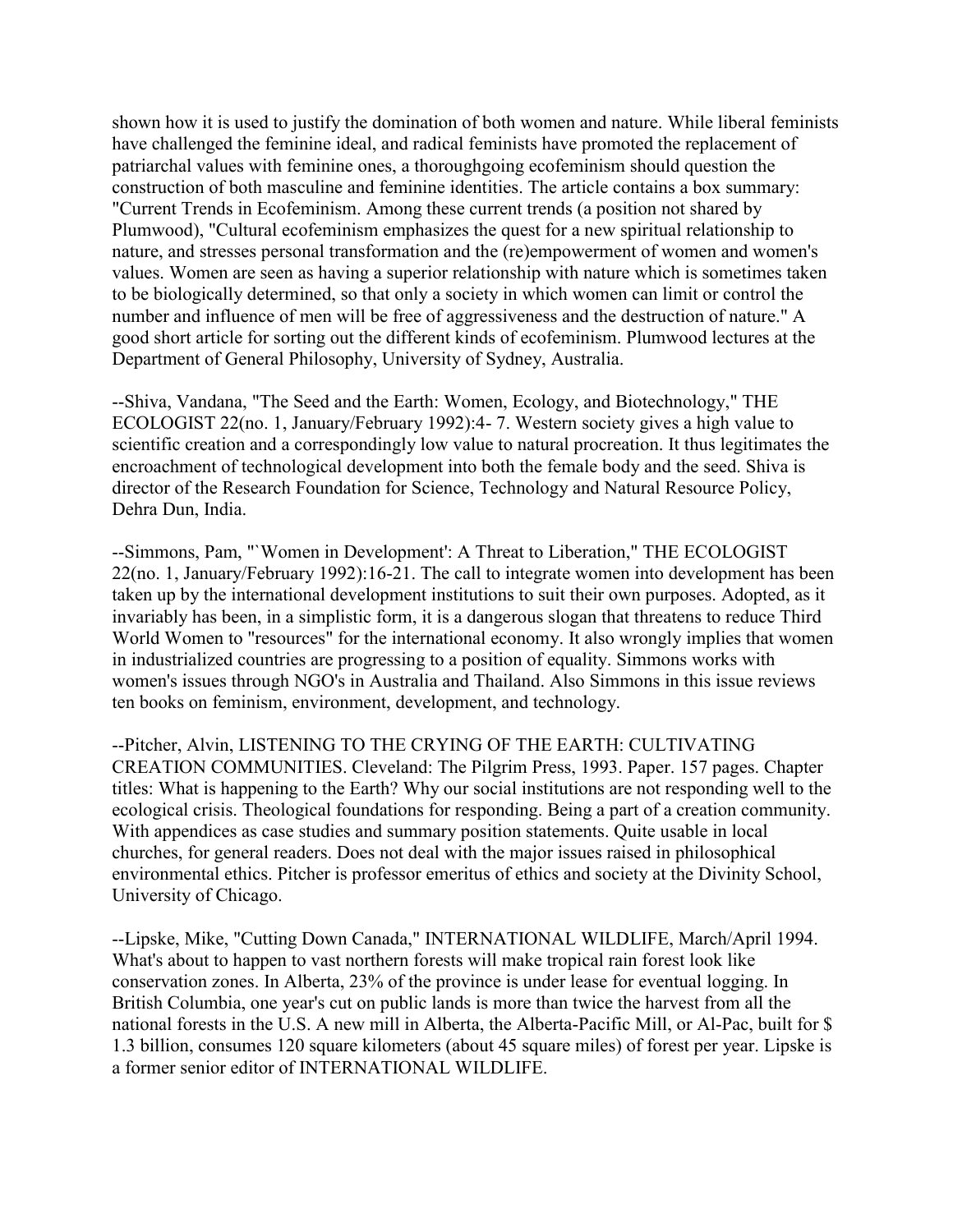shown how it is used to justify the domination of both women and nature. While liberal feminists have challenged the feminine ideal, and radical feminists have promoted the replacement of patriarchal values with feminine ones, a thoroughgoing ecofeminism should question the construction of both masculine and feminine identities. The article contains a box summary: "Current Trends in Ecofeminism. Among these current trends (a position not shared by Plumwood), "Cultural ecofeminism emphasizes the quest for a new spiritual relationship to nature, and stresses personal transformation and the (re)empowerment of women and women's values. Women are seen as having a superior relationship with nature which is sometimes taken to be biologically determined, so that only a society in which women can limit or control the number and influence of men will be free of aggressiveness and the destruction of nature." A good short article for sorting out the different kinds of ecofeminism. Plumwood lectures at the Department of General Philosophy, University of Sydney, Australia.

--Shiva, Vandana, "The Seed and the Earth: Women, Ecology, and Biotechnology," THE ECOLOGIST 22(no. 1, January/February 1992):4- 7. Western society gives a high value to scientific creation and a correspondingly low value to natural procreation. It thus legitimates the encroachment of technological development into both the female body and the seed. Shiva is director of the Research Foundation for Science, Technology and Natural Resource Policy, Dehra Dun, India.

--Simmons, Pam, "`Women in Development': A Threat to Liberation," THE ECOLOGIST 22(no. 1, January/February 1992):16-21. The call to integrate women into development has been taken up by the international development institutions to suit their own purposes. Adopted, as it invariably has been, in a simplistic form, it is a dangerous slogan that threatens to reduce Third World Women to "resources" for the international economy. It also wrongly implies that women in industrialized countries are progressing to a position of equality. Simmons works with women's issues through NGO's in Australia and Thailand. Also Simmons in this issue reviews ten books on feminism, environment, development, and technology.

--Pitcher, Alvin, LISTENING TO THE CRYING OF THE EARTH: CULTIVATING CREATION COMMUNITIES. Cleveland: The Pilgrim Press, 1993. Paper. 157 pages. Chapter titles: What is happening to the Earth? Why our social institutions are not responding well to the ecological crisis. Theological foundations for responding. Being a part of a creation community. With appendices as case studies and summary position statements. Quite usable in local churches, for general readers. Does not deal with the major issues raised in philosophical environmental ethics. Pitcher is professor emeritus of ethics and society at the Divinity School, University of Chicago.

--Lipske, Mike, "Cutting Down Canada," INTERNATIONAL WILDLIFE, March/April 1994. What's about to happen to vast northern forests will make tropical rain forest look like conservation zones. In Alberta, 23% of the province is under lease for eventual logging. In British Columbia, one year's cut on public lands is more than twice the harvest from all the national forests in the U.S. A new mill in Alberta, the Alberta-Pacific Mill, or Al-Pac, built for \$ 1.3 billion, consumes 120 square kilometers (about 45 square miles) of forest per year. Lipske is a former senior editor of INTERNATIONAL WILDLIFE.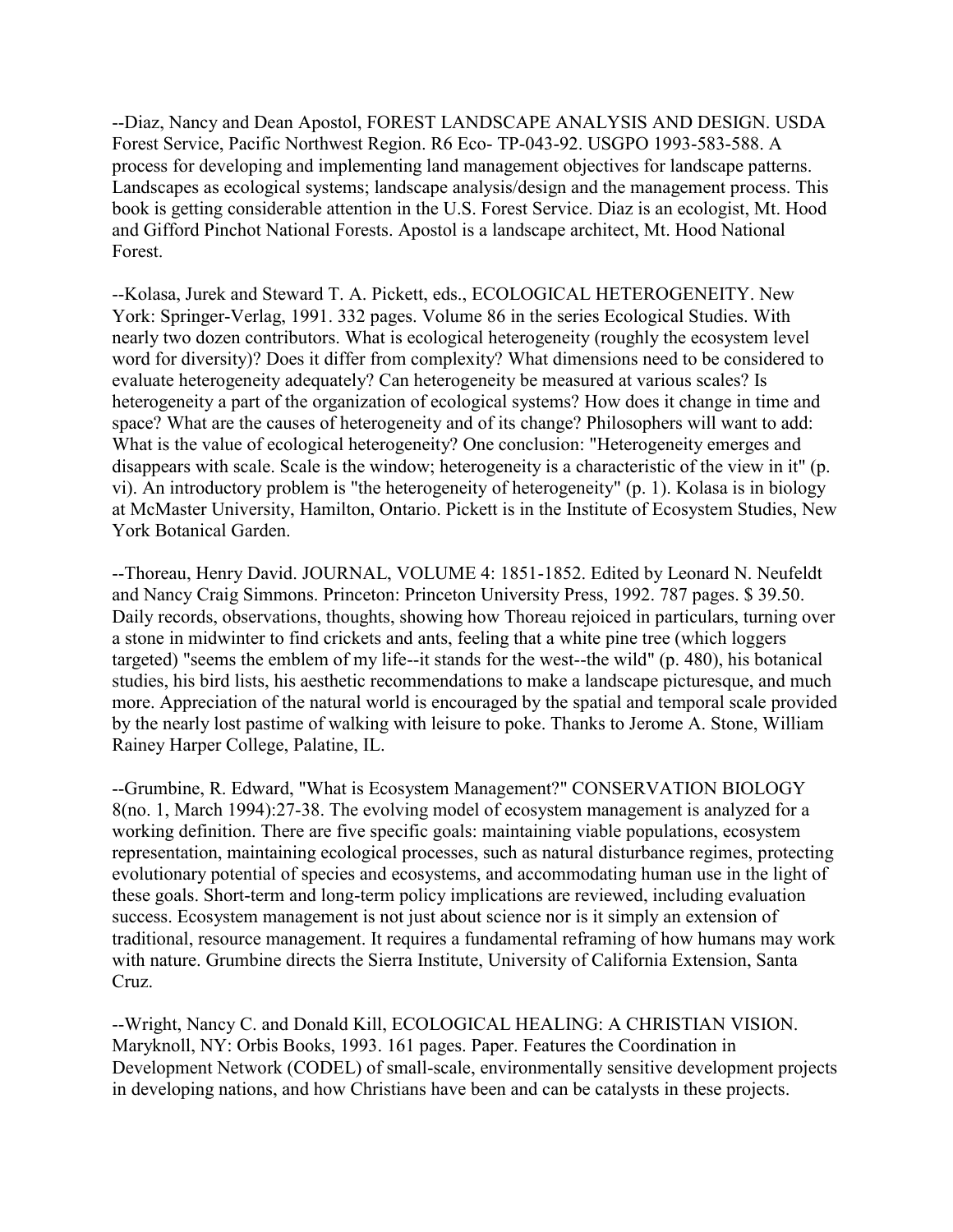--Diaz, Nancy and Dean Apostol, FOREST LANDSCAPE ANALYSIS AND DESIGN. USDA Forest Service, Pacific Northwest Region. R6 Eco- TP-043-92. USGPO 1993-583-588. A process for developing and implementing land management objectives for landscape patterns. Landscapes as ecological systems; landscape analysis/design and the management process. This book is getting considerable attention in the U.S. Forest Service. Diaz is an ecologist, Mt. Hood and Gifford Pinchot National Forests. Apostol is a landscape architect, Mt. Hood National Forest.

--Kolasa, Jurek and Steward T. A. Pickett, eds., ECOLOGICAL HETEROGENEITY. New York: Springer-Verlag, 1991. 332 pages. Volume 86 in the series Ecological Studies. With nearly two dozen contributors. What is ecological heterogeneity (roughly the ecosystem level word for diversity)? Does it differ from complexity? What dimensions need to be considered to evaluate heterogeneity adequately? Can heterogeneity be measured at various scales? Is heterogeneity a part of the organization of ecological systems? How does it change in time and space? What are the causes of heterogeneity and of its change? Philosophers will want to add: What is the value of ecological heterogeneity? One conclusion: "Heterogeneity emerges and disappears with scale. Scale is the window; heterogeneity is a characteristic of the view in it" (p. vi). An introductory problem is "the heterogeneity of heterogeneity" (p. 1). Kolasa is in biology at McMaster University, Hamilton, Ontario. Pickett is in the Institute of Ecosystem Studies, New York Botanical Garden.

--Thoreau, Henry David. JOURNAL, VOLUME 4: 1851-1852. Edited by Leonard N. Neufeldt and Nancy Craig Simmons. Princeton: Princeton University Press, 1992. 787 pages. \$ 39.50. Daily records, observations, thoughts, showing how Thoreau rejoiced in particulars, turning over a stone in midwinter to find crickets and ants, feeling that a white pine tree (which loggers targeted) "seems the emblem of my life--it stands for the west--the wild" (p. 480), his botanical studies, his bird lists, his aesthetic recommendations to make a landscape picturesque, and much more. Appreciation of the natural world is encouraged by the spatial and temporal scale provided by the nearly lost pastime of walking with leisure to poke. Thanks to Jerome A. Stone, William Rainey Harper College, Palatine, IL.

--Grumbine, R. Edward, "What is Ecosystem Management?" CONSERVATION BIOLOGY 8(no. 1, March 1994):27-38. The evolving model of ecosystem management is analyzed for a working definition. There are five specific goals: maintaining viable populations, ecosystem representation, maintaining ecological processes, such as natural disturbance regimes, protecting evolutionary potential of species and ecosystems, and accommodating human use in the light of these goals. Short-term and long-term policy implications are reviewed, including evaluation success. Ecosystem management is not just about science nor is it simply an extension of traditional, resource management. It requires a fundamental reframing of how humans may work with nature. Grumbine directs the Sierra Institute, University of California Extension, Santa Cruz.

--Wright, Nancy C. and Donald Kill, ECOLOGICAL HEALING: A CHRISTIAN VISION. Maryknoll, NY: Orbis Books, 1993. 161 pages. Paper. Features the Coordination in Development Network (CODEL) of small-scale, environmentally sensitive development projects in developing nations, and how Christians have been and can be catalysts in these projects.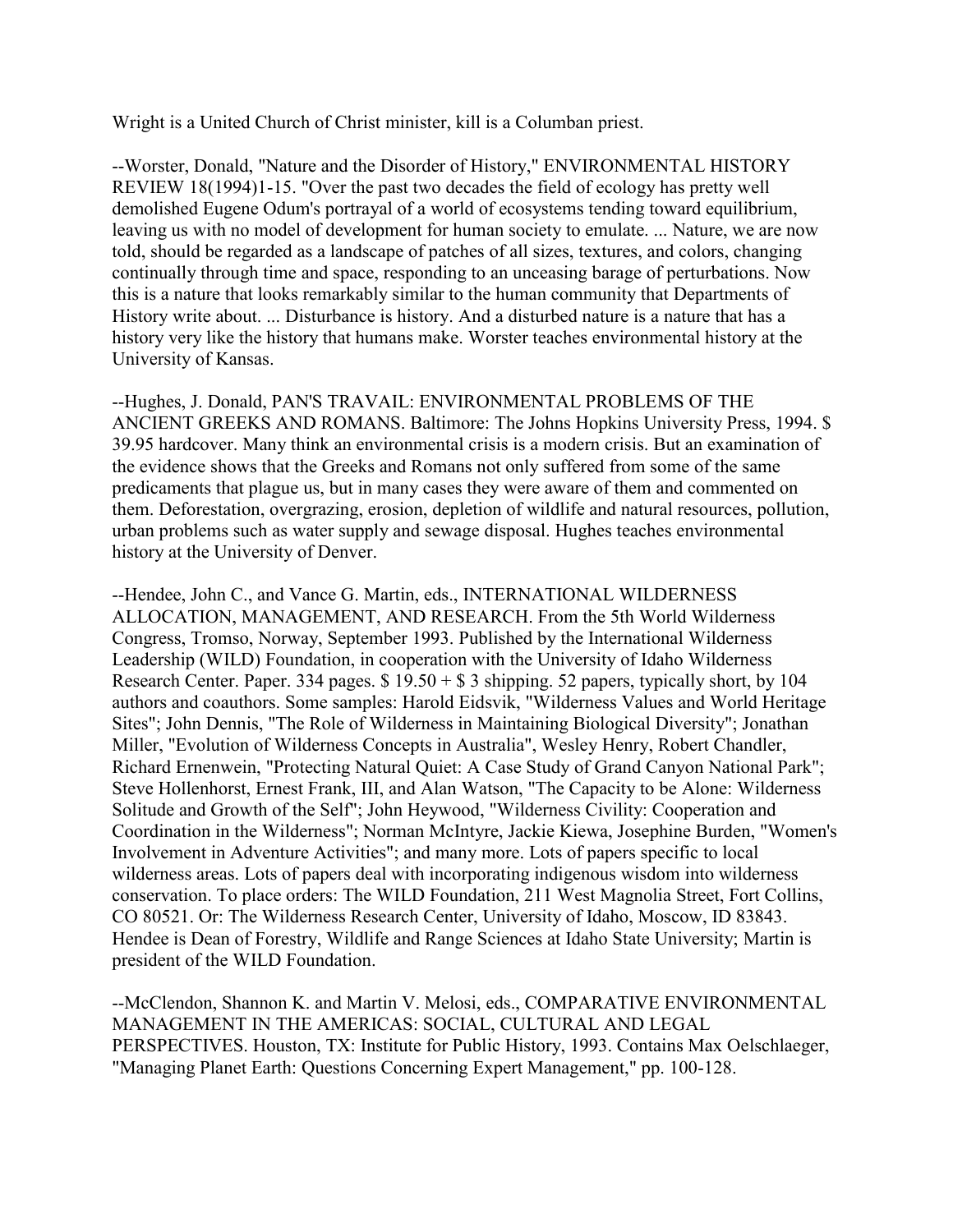Wright is a United Church of Christ minister, kill is a Columban priest.

--Worster, Donald, "Nature and the Disorder of History," ENVIRONMENTAL HISTORY REVIEW 18(1994)1-15. "Over the past two decades the field of ecology has pretty well demolished Eugene Odum's portrayal of a world of ecosystems tending toward equilibrium, leaving us with no model of development for human society to emulate. ... Nature, we are now told, should be regarded as a landscape of patches of all sizes, textures, and colors, changing continually through time and space, responding to an unceasing barage of perturbations. Now this is a nature that looks remarkably similar to the human community that Departments of History write about. ... Disturbance is history. And a disturbed nature is a nature that has a history very like the history that humans make. Worster teaches environmental history at the University of Kansas.

--Hughes, J. Donald, PAN'S TRAVAIL: ENVIRONMENTAL PROBLEMS OF THE ANCIENT GREEKS AND ROMANS. Baltimore: The Johns Hopkins University Press, 1994. \$ 39.95 hardcover. Many think an environmental crisis is a modern crisis. But an examination of the evidence shows that the Greeks and Romans not only suffered from some of the same predicaments that plague us, but in many cases they were aware of them and commented on them. Deforestation, overgrazing, erosion, depletion of wildlife and natural resources, pollution, urban problems such as water supply and sewage disposal. Hughes teaches environmental history at the University of Denver.

--Hendee, John C., and Vance G. Martin, eds., INTERNATIONAL WILDERNESS ALLOCATION, MANAGEMENT, AND RESEARCH. From the 5th World Wilderness Congress, Tromso, Norway, September 1993. Published by the International Wilderness Leadership (WILD) Foundation, in cooperation with the University of Idaho Wilderness Research Center. Paper. 334 pages.  $$ 19.50 + $ 3$  shipping. 52 papers, typically short, by 104 authors and coauthors. Some samples: Harold Eidsvik, "Wilderness Values and World Heritage Sites"; John Dennis, "The Role of Wilderness in Maintaining Biological Diversity"; Jonathan Miller, "Evolution of Wilderness Concepts in Australia", Wesley Henry, Robert Chandler, Richard Ernenwein, "Protecting Natural Quiet: A Case Study of Grand Canyon National Park"; Steve Hollenhorst, Ernest Frank, III, and Alan Watson, "The Capacity to be Alone: Wilderness Solitude and Growth of the Self"; John Heywood, "Wilderness Civility: Cooperation and Coordination in the Wilderness"; Norman McIntyre, Jackie Kiewa, Josephine Burden, "Women's Involvement in Adventure Activities"; and many more. Lots of papers specific to local wilderness areas. Lots of papers deal with incorporating indigenous wisdom into wilderness conservation. To place orders: The WILD Foundation, 211 West Magnolia Street, Fort Collins, CO 80521. Or: The Wilderness Research Center, University of Idaho, Moscow, ID 83843. Hendee is Dean of Forestry, Wildlife and Range Sciences at Idaho State University; Martin is president of the WILD Foundation.

--McClendon, Shannon K. and Martin V. Melosi, eds., COMPARATIVE ENVIRONMENTAL MANAGEMENT IN THE AMERICAS: SOCIAL, CULTURAL AND LEGAL PERSPECTIVES. Houston, TX: Institute for Public History, 1993. Contains Max Oelschlaeger, "Managing Planet Earth: Questions Concerning Expert Management," pp. 100-128.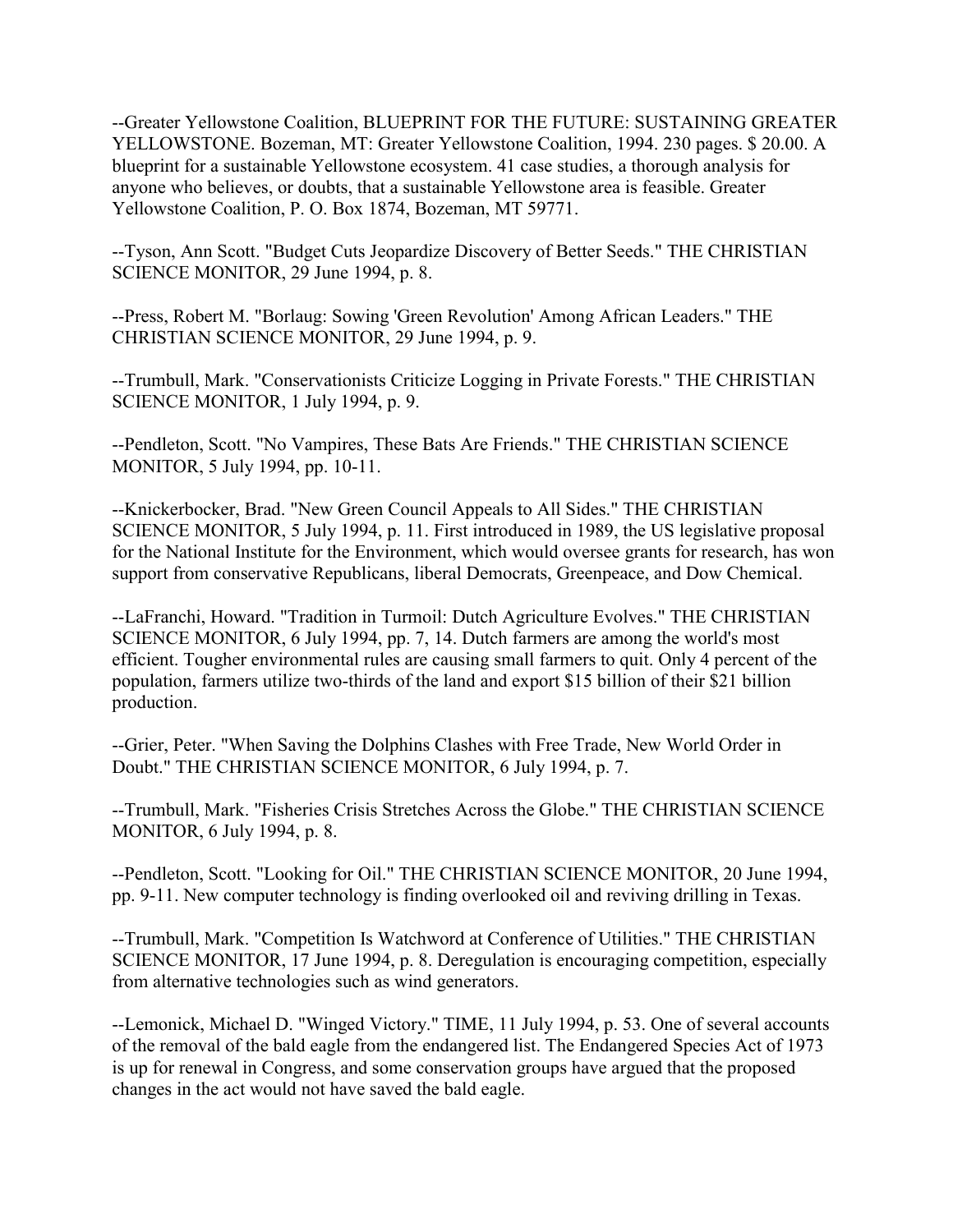--Greater Yellowstone Coalition, BLUEPRINT FOR THE FUTURE: SUSTAINING GREATER YELLOWSTONE. Bozeman, MT: Greater Yellowstone Coalition, 1994. 230 pages. \$ 20.00. A blueprint for a sustainable Yellowstone ecosystem. 41 case studies, a thorough analysis for anyone who believes, or doubts, that a sustainable Yellowstone area is feasible. Greater Yellowstone Coalition, P. O. Box 1874, Bozeman, MT 59771.

--Tyson, Ann Scott. "Budget Cuts Jeopardize Discovery of Better Seeds." THE CHRISTIAN SCIENCE MONITOR, 29 June 1994, p. 8.

--Press, Robert M. "Borlaug: Sowing 'Green Revolution' Among African Leaders." THE CHRISTIAN SCIENCE MONITOR, 29 June 1994, p. 9.

--Trumbull, Mark. "Conservationists Criticize Logging in Private Forests." THE CHRISTIAN SCIENCE MONITOR, 1 July 1994, p. 9.

--Pendleton, Scott. "No Vampires, These Bats Are Friends." THE CHRISTIAN SCIENCE MONITOR, 5 July 1994, pp. 10-11.

--Knickerbocker, Brad. "New Green Council Appeals to All Sides." THE CHRISTIAN SCIENCE MONITOR, 5 July 1994, p. 11. First introduced in 1989, the US legislative proposal for the National Institute for the Environment, which would oversee grants for research, has won support from conservative Republicans, liberal Democrats, Greenpeace, and Dow Chemical.

--LaFranchi, Howard. "Tradition in Turmoil: Dutch Agriculture Evolves." THE CHRISTIAN SCIENCE MONITOR, 6 July 1994, pp. 7, 14. Dutch farmers are among the world's most efficient. Tougher environmental rules are causing small farmers to quit. Only 4 percent of the population, farmers utilize two-thirds of the land and export \$15 billion of their \$21 billion production.

--Grier, Peter. "When Saving the Dolphins Clashes with Free Trade, New World Order in Doubt." THE CHRISTIAN SCIENCE MONITOR, 6 July 1994, p. 7.

--Trumbull, Mark. "Fisheries Crisis Stretches Across the Globe." THE CHRISTIAN SCIENCE MONITOR, 6 July 1994, p. 8.

--Pendleton, Scott. "Looking for Oil." THE CHRISTIAN SCIENCE MONITOR, 20 June 1994, pp. 9-11. New computer technology is finding overlooked oil and reviving drilling in Texas.

--Trumbull, Mark. "Competition Is Watchword at Conference of Utilities." THE CHRISTIAN SCIENCE MONITOR, 17 June 1994, p. 8. Deregulation is encouraging competition, especially from alternative technologies such as wind generators.

--Lemonick, Michael D. "Winged Victory." TIME, 11 July 1994, p. 53. One of several accounts of the removal of the bald eagle from the endangered list. The Endangered Species Act of 1973 is up for renewal in Congress, and some conservation groups have argued that the proposed changes in the act would not have saved the bald eagle.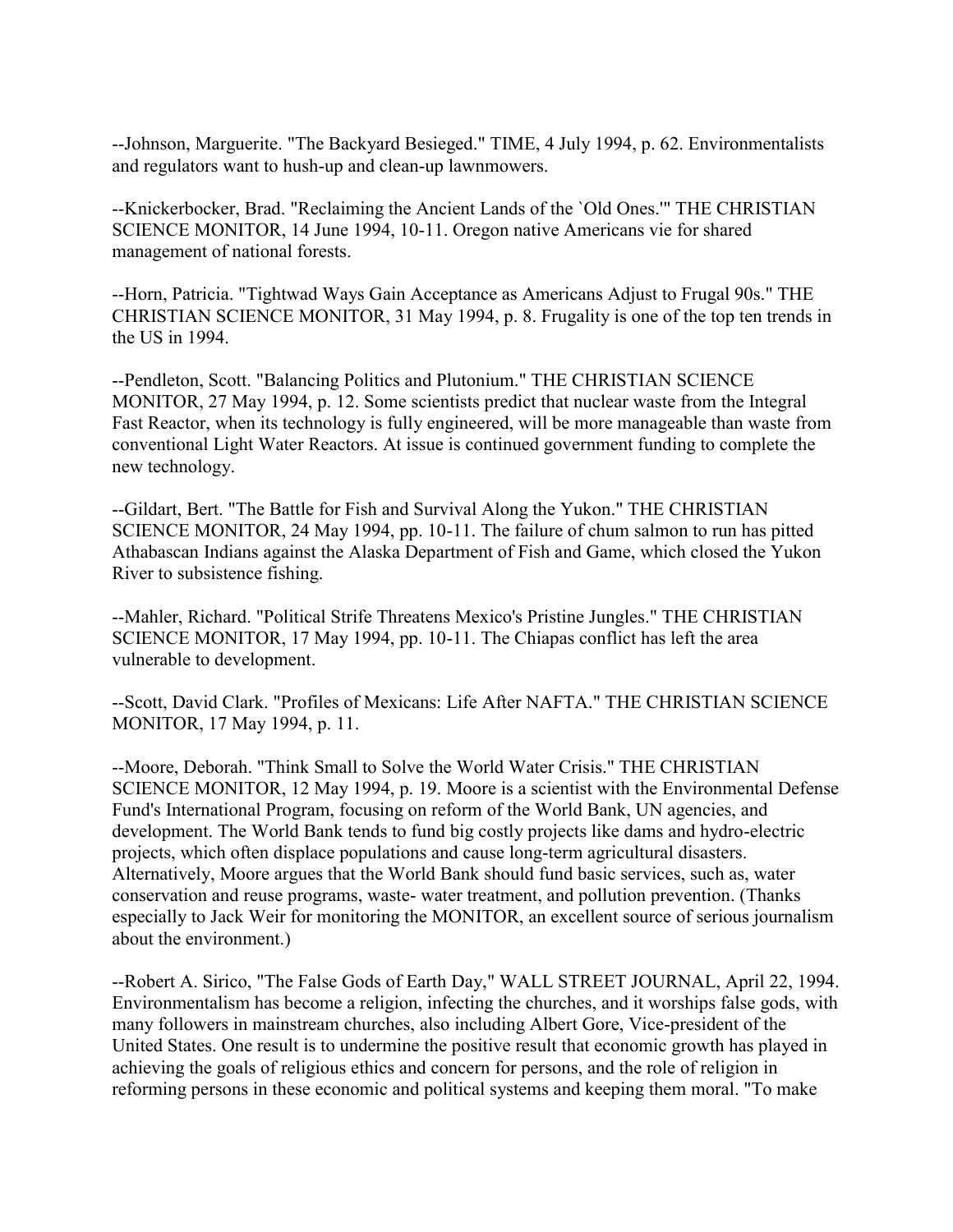--Johnson, Marguerite. "The Backyard Besieged." TIME, 4 July 1994, p. 62. Environmentalists and regulators want to hush-up and clean-up lawnmowers.

--Knickerbocker, Brad. "Reclaiming the Ancient Lands of the `Old Ones.'" THE CHRISTIAN SCIENCE MONITOR, 14 June 1994, 10-11. Oregon native Americans vie for shared management of national forests.

--Horn, Patricia. "Tightwad Ways Gain Acceptance as Americans Adjust to Frugal 90s." THE CHRISTIAN SCIENCE MONITOR, 31 May 1994, p. 8. Frugality is one of the top ten trends in the US in 1994.

--Pendleton, Scott. "Balancing Politics and Plutonium." THE CHRISTIAN SCIENCE MONITOR, 27 May 1994, p. 12. Some scientists predict that nuclear waste from the Integral Fast Reactor, when its technology is fully engineered, will be more manageable than waste from conventional Light Water Reactors. At issue is continued government funding to complete the new technology.

--Gildart, Bert. "The Battle for Fish and Survival Along the Yukon." THE CHRISTIAN SCIENCE MONITOR, 24 May 1994, pp. 10-11. The failure of chum salmon to run has pitted Athabascan Indians against the Alaska Department of Fish and Game, which closed the Yukon River to subsistence fishing.

--Mahler, Richard. "Political Strife Threatens Mexico's Pristine Jungles." THE CHRISTIAN SCIENCE MONITOR, 17 May 1994, pp. 10-11. The Chiapas conflict has left the area vulnerable to development.

--Scott, David Clark. "Profiles of Mexicans: Life After NAFTA." THE CHRISTIAN SCIENCE MONITOR, 17 May 1994, p. 11.

--Moore, Deborah. "Think Small to Solve the World Water Crisis." THE CHRISTIAN SCIENCE MONITOR, 12 May 1994, p. 19. Moore is a scientist with the Environmental Defense Fund's International Program, focusing on reform of the World Bank, UN agencies, and development. The World Bank tends to fund big costly projects like dams and hydro-electric projects, which often displace populations and cause long-term agricultural disasters. Alternatively, Moore argues that the World Bank should fund basic services, such as, water conservation and reuse programs, waste- water treatment, and pollution prevention. (Thanks especially to Jack Weir for monitoring the MONITOR, an excellent source of serious journalism about the environment.)

--Robert A. Sirico, "The False Gods of Earth Day," WALL STREET JOURNAL, April 22, 1994. Environmentalism has become a religion, infecting the churches, and it worships false gods, with many followers in mainstream churches, also including Albert Gore, Vice-president of the United States. One result is to undermine the positive result that economic growth has played in achieving the goals of religious ethics and concern for persons, and the role of religion in reforming persons in these economic and political systems and keeping them moral. "To make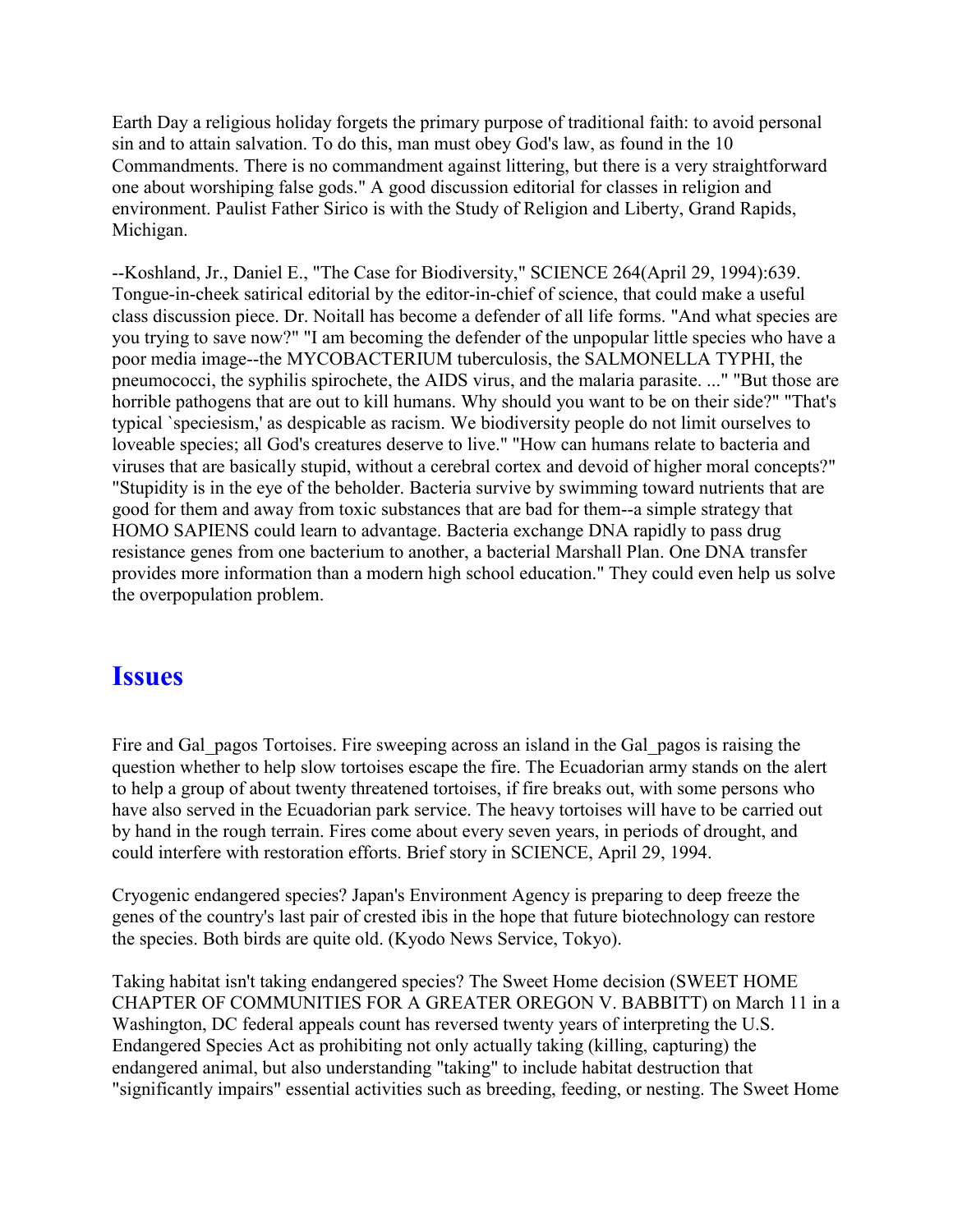Earth Day a religious holiday forgets the primary purpose of traditional faith: to avoid personal sin and to attain salvation. To do this, man must obey God's law, as found in the 10 Commandments. There is no commandment against littering, but there is a very straightforward one about worshiping false gods." A good discussion editorial for classes in religion and environment. Paulist Father Sirico is with the Study of Religion and Liberty, Grand Rapids, Michigan.

--Koshland, Jr., Daniel E., "The Case for Biodiversity," SCIENCE 264(April 29, 1994):639. Tongue-in-cheek satirical editorial by the editor-in-chief of science, that could make a useful class discussion piece. Dr. Noitall has become a defender of all life forms. "And what species are you trying to save now?" "I am becoming the defender of the unpopular little species who have a poor media image--the MYCOBACTERIUM tuberculosis, the SALMONELLA TYPHI, the pneumococci, the syphilis spirochete, the AIDS virus, and the malaria parasite. ..." "But those are horrible pathogens that are out to kill humans. Why should you want to be on their side?" "That's typical `speciesism,' as despicable as racism. We biodiversity people do not limit ourselves to loveable species; all God's creatures deserve to live." "How can humans relate to bacteria and viruses that are basically stupid, without a cerebral cortex and devoid of higher moral concepts?" "Stupidity is in the eye of the beholder. Bacteria survive by swimming toward nutrients that are good for them and away from toxic substances that are bad for them--a simple strategy that HOMO SAPIENS could learn to advantage. Bacteria exchange DNA rapidly to pass drug resistance genes from one bacterium to another, a bacterial Marshall Plan. One DNA transfer provides more information than a modern high school education." They could even help us solve the overpopulation problem.

### **Issues**

Fire and Gal pagos Tortoises. Fire sweeping across an island in the Gal pagos is raising the question whether to help slow tortoises escape the fire. The Ecuadorian army stands on the alert to help a group of about twenty threatened tortoises, if fire breaks out, with some persons who have also served in the Ecuadorian park service. The heavy tortoises will have to be carried out by hand in the rough terrain. Fires come about every seven years, in periods of drought, and could interfere with restoration efforts. Brief story in SCIENCE, April 29, 1994.

Cryogenic endangered species? Japan's Environment Agency is preparing to deep freeze the genes of the country's last pair of crested ibis in the hope that future biotechnology can restore the species. Both birds are quite old. (Kyodo News Service, Tokyo).

Taking habitat isn't taking endangered species? The Sweet Home decision (SWEET HOME CHAPTER OF COMMUNITIES FOR A GREATER OREGON V. BABBITT) on March 11 in a Washington, DC federal appeals count has reversed twenty years of interpreting the U.S. Endangered Species Act as prohibiting not only actually taking (killing, capturing) the endangered animal, but also understanding "taking" to include habitat destruction that "significantly impairs" essential activities such as breeding, feeding, or nesting. The Sweet Home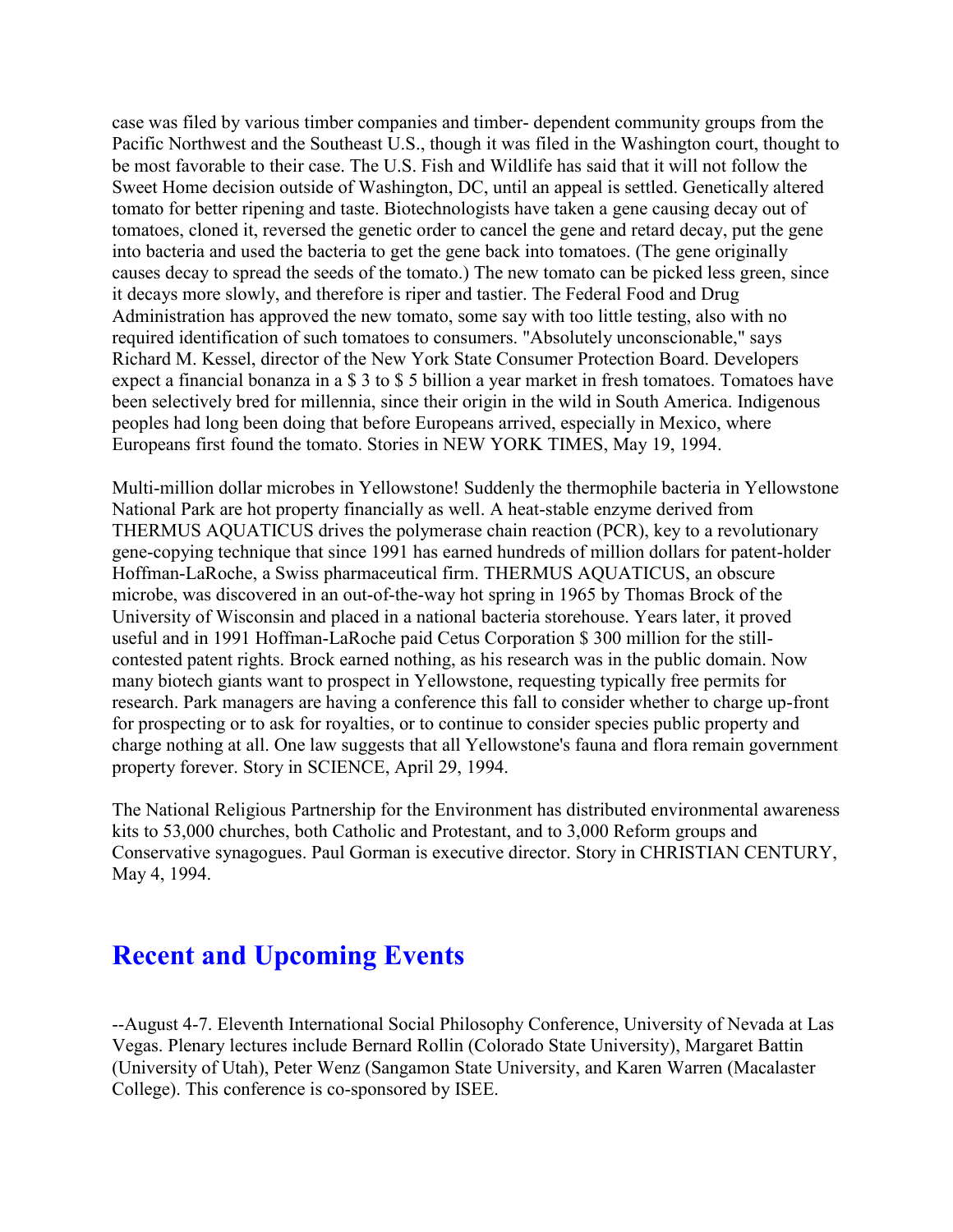case was filed by various timber companies and timber- dependent community groups from the Pacific Northwest and the Southeast U.S., though it was filed in the Washington court, thought to be most favorable to their case. The U.S. Fish and Wildlife has said that it will not follow the Sweet Home decision outside of Washington, DC, until an appeal is settled. Genetically altered tomato for better ripening and taste. Biotechnologists have taken a gene causing decay out of tomatoes, cloned it, reversed the genetic order to cancel the gene and retard decay, put the gene into bacteria and used the bacteria to get the gene back into tomatoes. (The gene originally causes decay to spread the seeds of the tomato.) The new tomato can be picked less green, since it decays more slowly, and therefore is riper and tastier. The Federal Food and Drug Administration has approved the new tomato, some say with too little testing, also with no required identification of such tomatoes to consumers. "Absolutely unconscionable," says Richard M. Kessel, director of the New York State Consumer Protection Board. Developers expect a financial bonanza in a \$ 3 to \$ 5 billion a year market in fresh tomatoes. Tomatoes have been selectively bred for millennia, since their origin in the wild in South America. Indigenous peoples had long been doing that before Europeans arrived, especially in Mexico, where Europeans first found the tomato. Stories in NEW YORK TIMES, May 19, 1994.

Multi-million dollar microbes in Yellowstone! Suddenly the thermophile bacteria in Yellowstone National Park are hot property financially as well. A heat-stable enzyme derived from THERMUS AQUATICUS drives the polymerase chain reaction (PCR), key to a revolutionary gene-copying technique that since 1991 has earned hundreds of million dollars for patent-holder Hoffman-LaRoche, a Swiss pharmaceutical firm. THERMUS AQUATICUS, an obscure microbe, was discovered in an out-of-the-way hot spring in 1965 by Thomas Brock of the University of Wisconsin and placed in a national bacteria storehouse. Years later, it proved useful and in 1991 Hoffman-LaRoche paid Cetus Corporation \$ 300 million for the stillcontested patent rights. Brock earned nothing, as his research was in the public domain. Now many biotech giants want to prospect in Yellowstone, requesting typically free permits for research. Park managers are having a conference this fall to consider whether to charge up-front for prospecting or to ask for royalties, or to continue to consider species public property and charge nothing at all. One law suggests that all Yellowstone's fauna and flora remain government property forever. Story in SCIENCE, April 29, 1994.

The National Religious Partnership for the Environment has distributed environmental awareness kits to 53,000 churches, both Catholic and Protestant, and to 3,000 Reform groups and Conservative synagogues. Paul Gorman is executive director. Story in CHRISTIAN CENTURY, May 4, 1994.

### **Recent and Upcoming Events**

--August 4-7. Eleventh International Social Philosophy Conference, University of Nevada at Las Vegas. Plenary lectures include Bernard Rollin (Colorado State University), Margaret Battin (University of Utah), Peter Wenz (Sangamon State University, and Karen Warren (Macalaster College). This conference is co-sponsored by ISEE.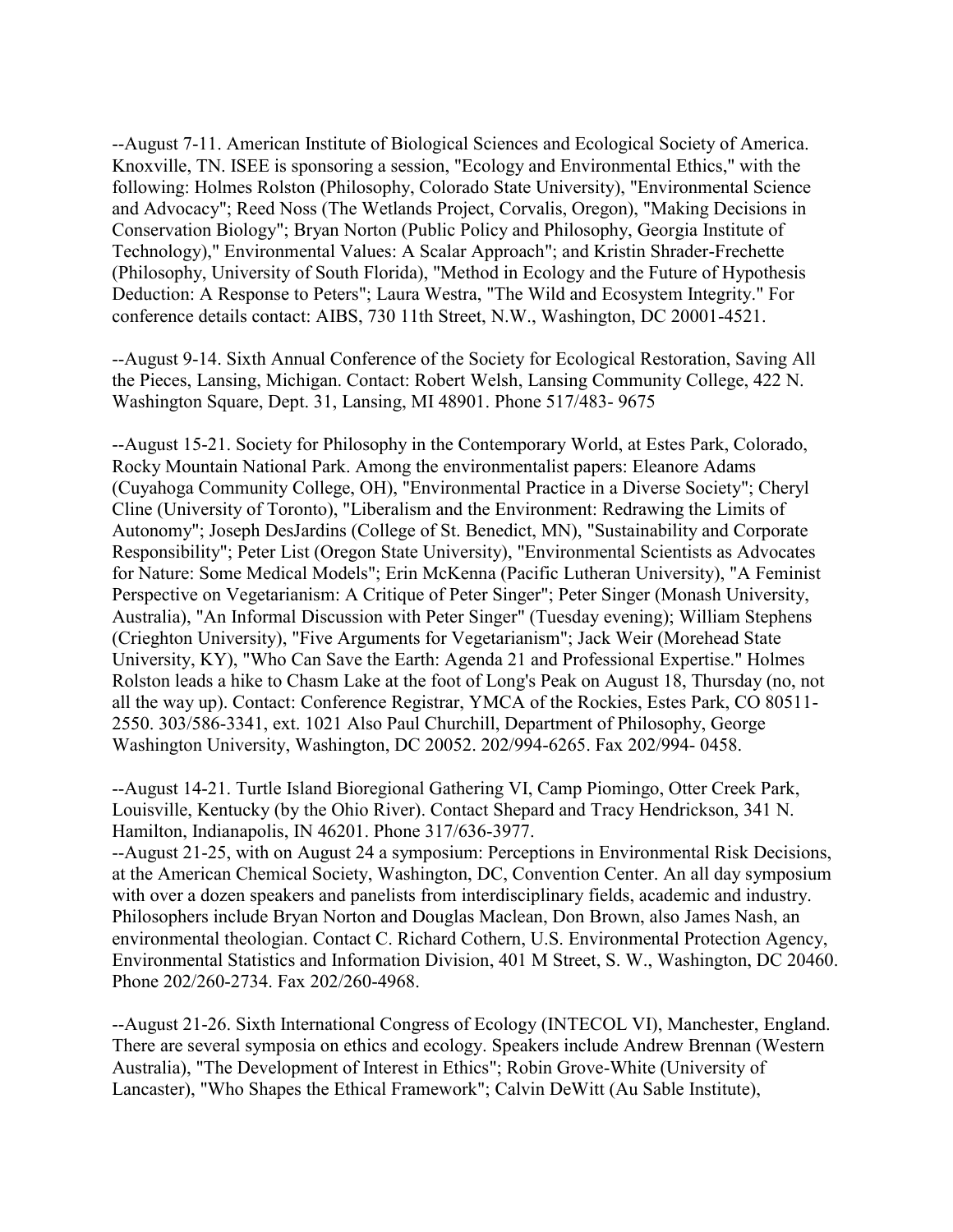--August 7-11. American Institute of Biological Sciences and Ecological Society of America. Knoxville, TN. ISEE is sponsoring a session, "Ecology and Environmental Ethics," with the following: Holmes Rolston (Philosophy, Colorado State University), "Environmental Science and Advocacy"; Reed Noss (The Wetlands Project, Corvalis, Oregon), "Making Decisions in Conservation Biology"; Bryan Norton (Public Policy and Philosophy, Georgia Institute of Technology)," Environmental Values: A Scalar Approach"; and Kristin Shrader-Frechette (Philosophy, University of South Florida), "Method in Ecology and the Future of Hypothesis Deduction: A Response to Peters"; Laura Westra, "The Wild and Ecosystem Integrity." For conference details contact: AIBS, 730 11th Street, N.W., Washington, DC 20001-4521.

--August 9-14. Sixth Annual Conference of the Society for Ecological Restoration, Saving All the Pieces, Lansing, Michigan. Contact: Robert Welsh, Lansing Community College, 422 N. Washington Square, Dept. 31, Lansing, MI 48901. Phone 517/483- 9675

--August 15-21. Society for Philosophy in the Contemporary World, at Estes Park, Colorado, Rocky Mountain National Park. Among the environmentalist papers: Eleanore Adams (Cuyahoga Community College, OH), "Environmental Practice in a Diverse Society"; Cheryl Cline (University of Toronto), "Liberalism and the Environment: Redrawing the Limits of Autonomy"; Joseph DesJardins (College of St. Benedict, MN), "Sustainability and Corporate Responsibility"; Peter List (Oregon State University), "Environmental Scientists as Advocates for Nature: Some Medical Models"; Erin McKenna (Pacific Lutheran University), "A Feminist Perspective on Vegetarianism: A Critique of Peter Singer"; Peter Singer (Monash University, Australia), "An Informal Discussion with Peter Singer" (Tuesday evening); William Stephens (Crieghton University), "Five Arguments for Vegetarianism"; Jack Weir (Morehead State University, KY), "Who Can Save the Earth: Agenda 21 and Professional Expertise." Holmes Rolston leads a hike to Chasm Lake at the foot of Long's Peak on August 18, Thursday (no, not all the way up). Contact: Conference Registrar, YMCA of the Rockies, Estes Park, CO 80511- 2550. 303/586-3341, ext. 1021 Also Paul Churchill, Department of Philosophy, George Washington University, Washington, DC 20052. 202/994-6265. Fax 202/994- 0458.

--August 14-21. Turtle Island Bioregional Gathering VI, Camp Piomingo, Otter Creek Park, Louisville, Kentucky (by the Ohio River). Contact Shepard and Tracy Hendrickson, 341 N. Hamilton, Indianapolis, IN 46201. Phone 317/636-3977.

--August 21-25, with on August 24 a symposium: Perceptions in Environmental Risk Decisions, at the American Chemical Society, Washington, DC, Convention Center. An all day symposium with over a dozen speakers and panelists from interdisciplinary fields, academic and industry. Philosophers include Bryan Norton and Douglas Maclean, Don Brown, also James Nash, an environmental theologian. Contact C. Richard Cothern, U.S. Environmental Protection Agency, Environmental Statistics and Information Division, 401 M Street, S. W., Washington, DC 20460. Phone 202/260-2734. Fax 202/260-4968.

--August 21-26. Sixth International Congress of Ecology (INTECOL VI), Manchester, England. There are several symposia on ethics and ecology. Speakers include Andrew Brennan (Western Australia), "The Development of Interest in Ethics"; Robin Grove-White (University of Lancaster), "Who Shapes the Ethical Framework"; Calvin DeWitt (Au Sable Institute),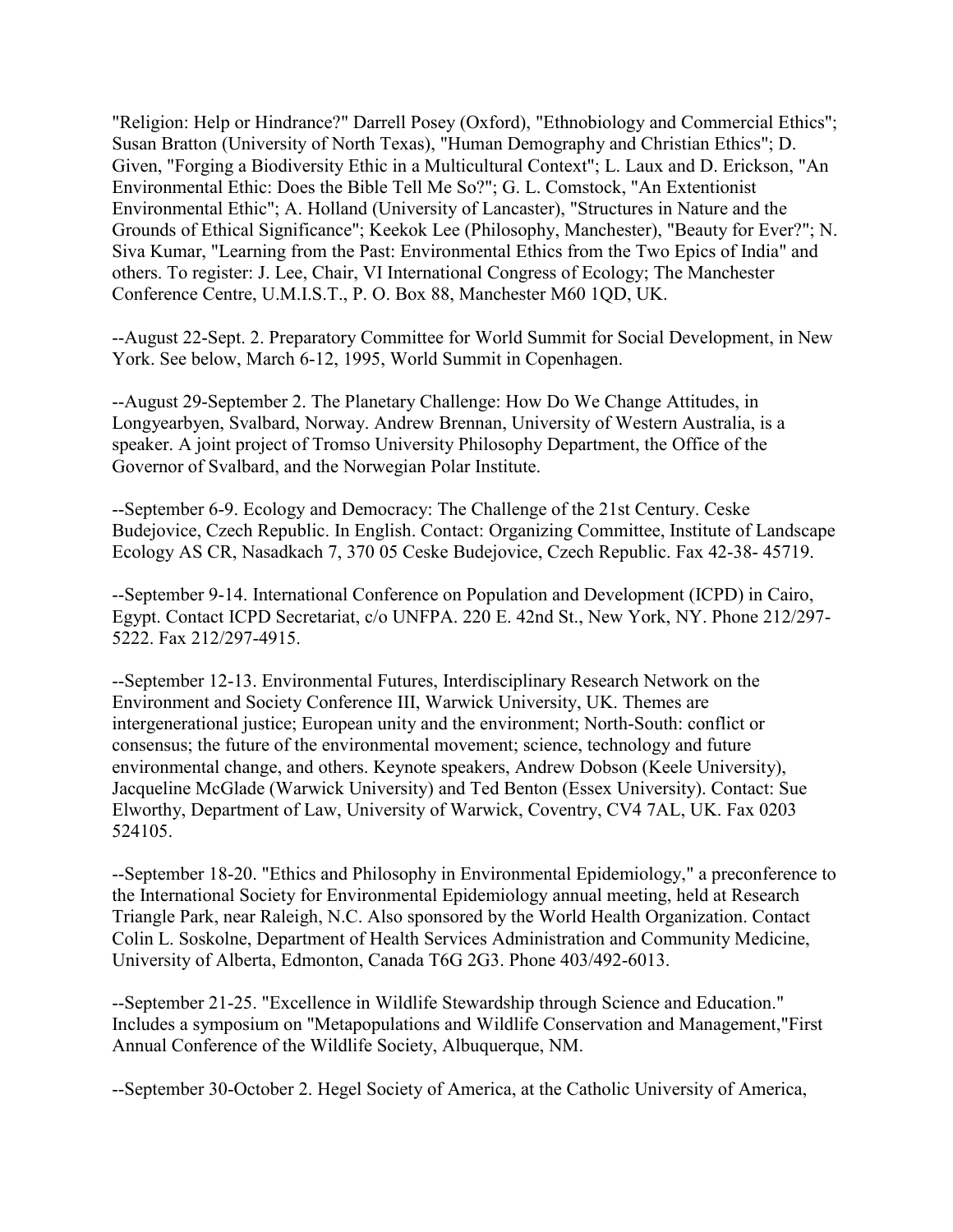"Religion: Help or Hindrance?" Darrell Posey (Oxford), "Ethnobiology and Commercial Ethics"; Susan Bratton (University of North Texas), "Human Demography and Christian Ethics"; D. Given, "Forging a Biodiversity Ethic in a Multicultural Context"; L. Laux and D. Erickson, "An Environmental Ethic: Does the Bible Tell Me So?"; G. L. Comstock, "An Extentionist Environmental Ethic"; A. Holland (University of Lancaster), "Structures in Nature and the Grounds of Ethical Significance"; Keekok Lee (Philosophy, Manchester), "Beauty for Ever?"; N. Siva Kumar, "Learning from the Past: Environmental Ethics from the Two Epics of India" and others. To register: J. Lee, Chair, VI International Congress of Ecology; The Manchester Conference Centre, U.M.I.S.T., P. O. Box 88, Manchester M60 1QD, UK.

--August 22-Sept. 2. Preparatory Committee for World Summit for Social Development, in New York. See below, March 6-12, 1995, World Summit in Copenhagen.

--August 29-September 2. The Planetary Challenge: How Do We Change Attitudes, in Longyearbyen, Svalbard, Norway. Andrew Brennan, University of Western Australia, is a speaker. A joint project of Tromso University Philosophy Department, the Office of the Governor of Svalbard, and the Norwegian Polar Institute.

--September 6-9. Ecology and Democracy: The Challenge of the 21st Century. Ceske Budejovice, Czech Republic. In English. Contact: Organizing Committee, Institute of Landscape Ecology AS CR, Nasadkach 7, 370 05 Ceske Budejovice, Czech Republic. Fax 42-38- 45719.

--September 9-14. International Conference on Population and Development (ICPD) in Cairo, Egypt. Contact ICPD Secretariat, c/o UNFPA. 220 E. 42nd St., New York, NY. Phone 212/297- 5222. Fax 212/297-4915.

--September 12-13. Environmental Futures, Interdisciplinary Research Network on the Environment and Society Conference III, Warwick University, UK. Themes are intergenerational justice; European unity and the environment; North-South: conflict or consensus; the future of the environmental movement; science, technology and future environmental change, and others. Keynote speakers, Andrew Dobson (Keele University), Jacqueline McGlade (Warwick University) and Ted Benton (Essex University). Contact: Sue Elworthy, Department of Law, University of Warwick, Coventry, CV4 7AL, UK. Fax 0203 524105.

--September 18-20. "Ethics and Philosophy in Environmental Epidemiology," a preconference to the International Society for Environmental Epidemiology annual meeting, held at Research Triangle Park, near Raleigh, N.C. Also sponsored by the World Health Organization. Contact Colin L. Soskolne, Department of Health Services Administration and Community Medicine, University of Alberta, Edmonton, Canada T6G 2G3. Phone 403/492-6013.

--September 21-25. "Excellence in Wildlife Stewardship through Science and Education." Includes a symposium on "Metapopulations and Wildlife Conservation and Management,"First Annual Conference of the Wildlife Society, Albuquerque, NM.

--September 30-October 2. Hegel Society of America, at the Catholic University of America,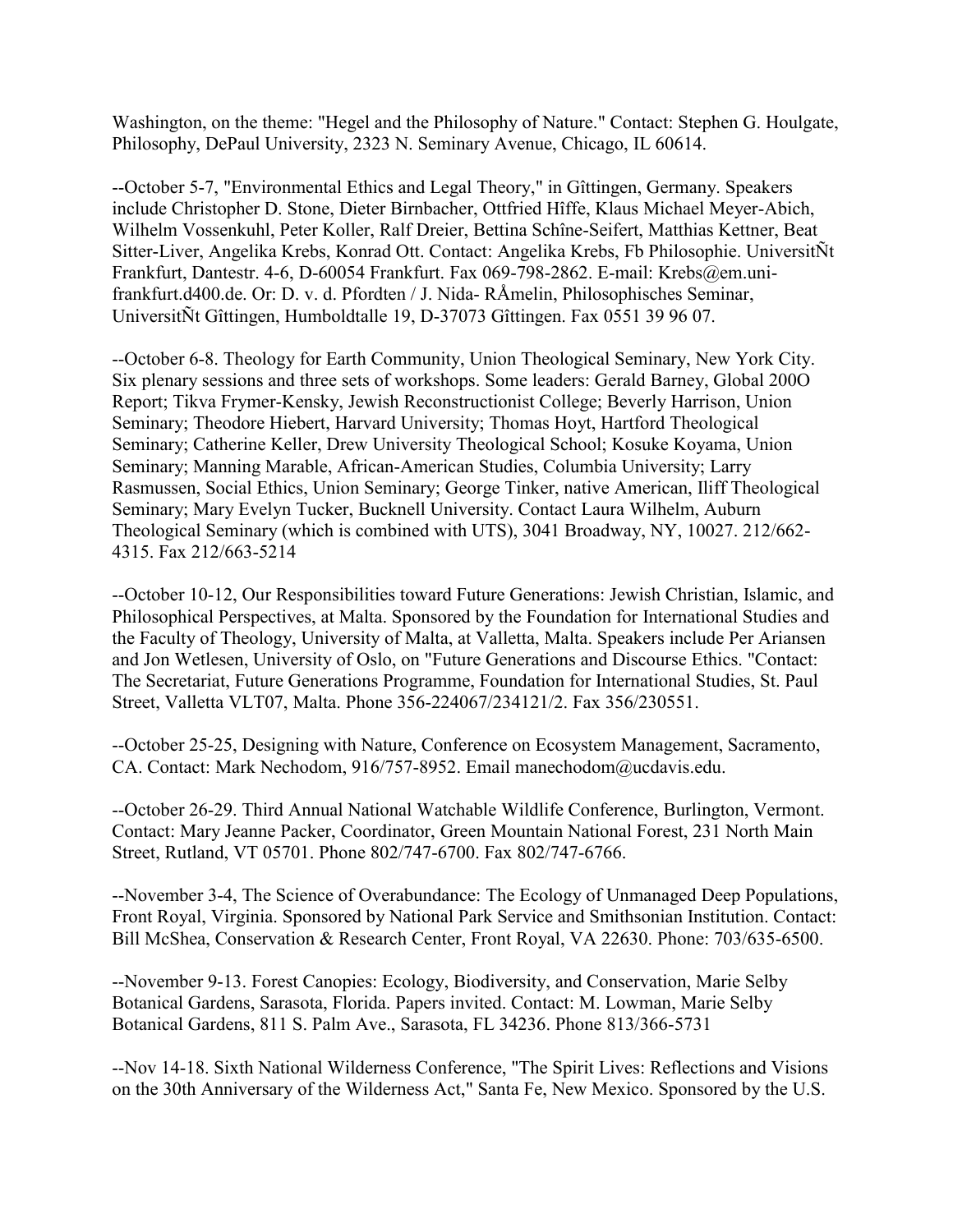Washington, on the theme: "Hegel and the Philosophy of Nature." Contact: Stephen G. Houlgate, Philosophy, DePaul University, 2323 N. Seminary Avenue, Chicago, IL 60614.

--October 5-7, "Environmental Ethics and Legal Theory," in Gîttingen, Germany. Speakers include Christopher D. Stone, Dieter Birnbacher, Ottfried Hîffe, Klaus Michael Meyer-Abich, Wilhelm Vossenkuhl, Peter Koller, Ralf Dreier, Bettina Schîne-Seifert, Matthias Kettner, Beat Sitter-Liver, Angelika Krebs, Konrad Ott. Contact: Angelika Krebs, Fb Philosophie. UniversitÑt Frankfurt, Dantestr. 4-6, D-60054 Frankfurt. Fax 069-798-2862. E-mail: Krebs@em.unifrankfurt.d400.de. Or: D. v. d. Pfordten / J. Nida- RÅmelin, Philosophisches Seminar, UniversitÑt Gîttingen, Humboldtalle 19, D-37073 Gîttingen. Fax 0551 39 96 07.

--October 6-8. Theology for Earth Community, Union Theological Seminary, New York City. Six plenary sessions and three sets of workshops. Some leaders: Gerald Barney, Global 200O Report; Tikva Frymer-Kensky, Jewish Reconstructionist College; Beverly Harrison, Union Seminary; Theodore Hiebert, Harvard University; Thomas Hoyt, Hartford Theological Seminary; Catherine Keller, Drew University Theological School; Kosuke Koyama, Union Seminary; Manning Marable, African-American Studies, Columbia University; Larry Rasmussen, Social Ethics, Union Seminary; George Tinker, native American, Iliff Theological Seminary; Mary Evelyn Tucker, Bucknell University. Contact Laura Wilhelm, Auburn Theological Seminary (which is combined with UTS), 3041 Broadway, NY, 10027. 212/662- 4315. Fax 212/663-5214

--October 10-12, Our Responsibilities toward Future Generations: Jewish Christian, Islamic, and Philosophical Perspectives, at Malta. Sponsored by the Foundation for International Studies and the Faculty of Theology, University of Malta, at Valletta, Malta. Speakers include Per Ariansen and Jon Wetlesen, University of Oslo, on "Future Generations and Discourse Ethics. "Contact: The Secretariat, Future Generations Programme, Foundation for International Studies, St. Paul Street, Valletta VLT07, Malta. Phone 356-224067/234121/2. Fax 356/230551.

--October 25-25, Designing with Nature, Conference on Ecosystem Management, Sacramento, CA. Contact: Mark Nechodom, 916/757-8952. Email manechodom@ucdavis.edu.

--October 26-29. Third Annual National Watchable Wildlife Conference, Burlington, Vermont. Contact: Mary Jeanne Packer, Coordinator, Green Mountain National Forest, 231 North Main Street, Rutland, VT 05701. Phone 802/747-6700. Fax 802/747-6766.

--November 3-4, The Science of Overabundance: The Ecology of Unmanaged Deep Populations, Front Royal, Virginia. Sponsored by National Park Service and Smithsonian Institution. Contact: Bill McShea, Conservation & Research Center, Front Royal, VA 22630. Phone: 703/635-6500.

--November 9-13. Forest Canopies: Ecology, Biodiversity, and Conservation, Marie Selby Botanical Gardens, Sarasota, Florida. Papers invited. Contact: M. Lowman, Marie Selby Botanical Gardens, 811 S. Palm Ave., Sarasota, FL 34236. Phone 813/366-5731

--Nov 14-18. Sixth National Wilderness Conference, "The Spirit Lives: Reflections and Visions on the 30th Anniversary of the Wilderness Act," Santa Fe, New Mexico. Sponsored by the U.S.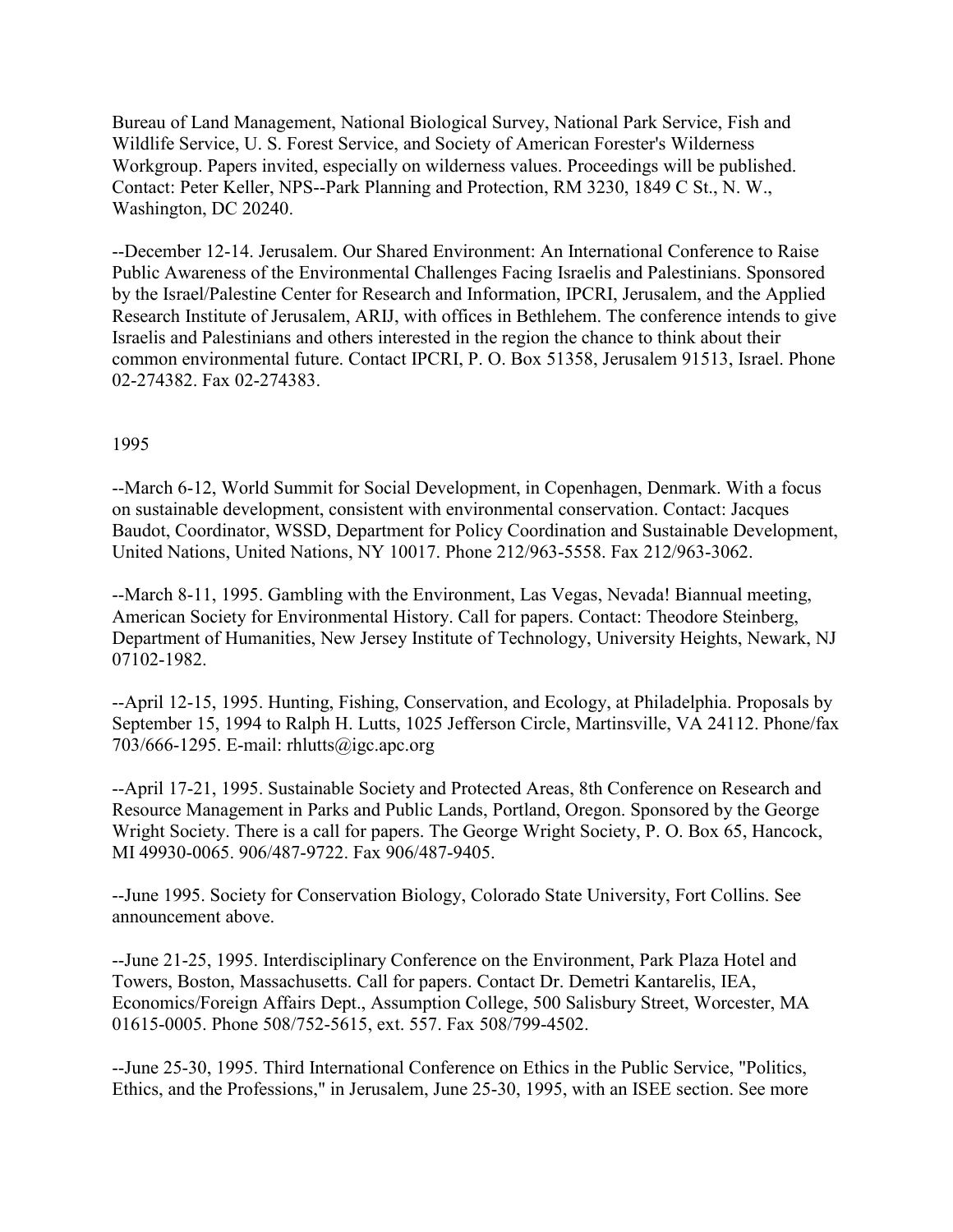Bureau of Land Management, National Biological Survey, National Park Service, Fish and Wildlife Service, U. S. Forest Service, and Society of American Forester's Wilderness Workgroup. Papers invited, especially on wilderness values. Proceedings will be published. Contact: Peter Keller, NPS--Park Planning and Protection, RM 3230, 1849 C St., N. W., Washington, DC 20240.

--December 12-14. Jerusalem. Our Shared Environment: An International Conference to Raise Public Awareness of the Environmental Challenges Facing Israelis and Palestinians. Sponsored by the Israel/Palestine Center for Research and Information, IPCRI, Jerusalem, and the Applied Research Institute of Jerusalem, ARIJ, with offices in Bethlehem. The conference intends to give Israelis and Palestinians and others interested in the region the chance to think about their common environmental future. Contact IPCRI, P. O. Box 51358, Jerusalem 91513, Israel. Phone 02-274382. Fax 02-274383.

#### 1995

--March 6-12, World Summit for Social Development, in Copenhagen, Denmark. With a focus on sustainable development, consistent with environmental conservation. Contact: Jacques Baudot, Coordinator, WSSD, Department for Policy Coordination and Sustainable Development, United Nations, United Nations, NY 10017. Phone 212/963-5558. Fax 212/963-3062.

--March 8-11, 1995. Gambling with the Environment, Las Vegas, Nevada! Biannual meeting, American Society for Environmental History. Call for papers. Contact: Theodore Steinberg, Department of Humanities, New Jersey Institute of Technology, University Heights, Newark, NJ 07102-1982.

--April 12-15, 1995. Hunting, Fishing, Conservation, and Ecology, at Philadelphia. Proposals by September 15, 1994 to Ralph H. Lutts, 1025 Jefferson Circle, Martinsville, VA 24112. Phone/fax 703/666-1295. E-mail: rhlutts@igc.apc.org

--April 17-21, 1995. Sustainable Society and Protected Areas, 8th Conference on Research and Resource Management in Parks and Public Lands, Portland, Oregon. Sponsored by the George Wright Society. There is a call for papers. The George Wright Society, P. O. Box 65, Hancock, MI 49930-0065. 906/487-9722. Fax 906/487-9405.

--June 1995. Society for Conservation Biology, Colorado State University, Fort Collins. See announcement above.

--June 21-25, 1995. Interdisciplinary Conference on the Environment, Park Plaza Hotel and Towers, Boston, Massachusetts. Call for papers. Contact Dr. Demetri Kantarelis, IEA, Economics/Foreign Affairs Dept., Assumption College, 500 Salisbury Street, Worcester, MA 01615-0005. Phone 508/752-5615, ext. 557. Fax 508/799-4502.

--June 25-30, 1995. Third International Conference on Ethics in the Public Service, "Politics, Ethics, and the Professions," in Jerusalem, June 25-30, 1995, with an ISEE section. See more